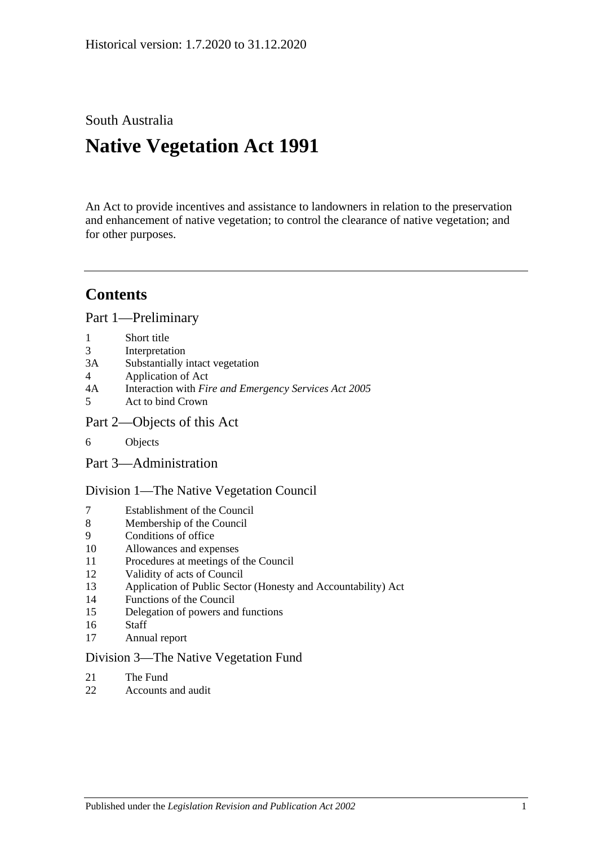South Australia

# **Native Vegetation Act 1991**

An Act to provide incentives and assistance to landowners in relation to the preservation and enhancement of native vegetation; to control the clearance of native vegetation; and for other purposes.

## **Contents**

[Part 1—Preliminary](#page-2-0)

- 1 [Short title](#page-2-1)
- 3 [Interpretation](#page-2-2)
- 3A [Substantially intact vegetation](#page-5-0)
- 4 [Application of Act](#page-5-1)
- 4A Interaction with *[Fire and Emergency Services Act](#page-7-0) 2005*
- 5 [Act to bind Crown](#page-7-1)
- [Part 2—Objects of this Act](#page-7-2)
- 6 [Objects](#page-7-3)
- [Part 3—Administration](#page-7-4)

[Division 1—The Native Vegetation Council](#page-7-5)

- 7 [Establishment of the Council](#page-7-6)
- 8 [Membership of the Council](#page-8-0)
- 9 [Conditions of office](#page-8-1)
- 10 [Allowances and expenses](#page-9-0)
- 11 [Procedures at meetings of the Council](#page-9-1)
- 12 [Validity of acts of Council](#page-9-2)
- 13 [Application of Public Sector \(Honesty and Accountability\) Act](#page-9-3)
- 14 [Functions of the Council](#page-10-0)
- 15 [Delegation of powers and functions](#page-11-0)
- 16 [Staff](#page-12-0)
- 17 [Annual report](#page-12-1)

#### [Division 3—The Native Vegetation Fund](#page-12-2)

- 21 [The Fund](#page-12-3)
- 22 [Accounts and audit](#page-14-0)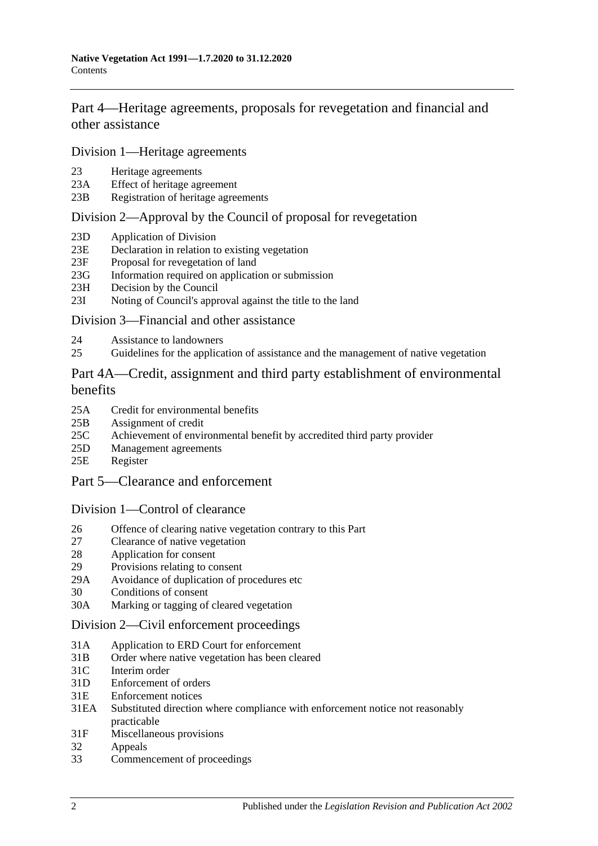[Part 4—Heritage agreements, proposals for revegetation and financial and](#page-14-1)  [other assistance](#page-14-1)

[Division 1—Heritage agreements](#page-14-2)

- 23 [Heritage agreements](#page-14-3)
- 23A [Effect of heritage agreement](#page-15-0)
- 23B [Registration of heritage agreements](#page-15-1)

#### [Division 2—Approval by the Council of proposal for revegetation](#page-16-0)

- 23D [Application of Division](#page-16-1)
- 23E [Declaration in relation to existing vegetation](#page-16-2)
- 23F [Proposal for revegetation of land](#page-16-3)
- 23G [Information required on application or submission](#page-16-4)
- 23H [Decision by the Council](#page-16-5)
- 23I [Noting of Council's approval against the title to the land](#page-17-0)

#### [Division 3—Financial and other assistance](#page-17-1)

- 24 [Assistance to landowners](#page-17-2)
- 25 [Guidelines for the application of assistance and the management of native vegetation](#page-18-0)

### [Part 4A—Credit, assignment and third party establishment of environmental](#page-19-0)  [benefits](#page-19-0)

- 25A [Credit for environmental benefits](#page-19-1)
- 25B [Assignment of credit](#page-20-0)
- 25C [Achievement of environmental benefit by accredited third party provider](#page-21-0)
- 25D [Management agreements](#page-22-0)
- 25E [Register](#page-23-0)
- [Part 5—Clearance and enforcement](#page-23-1)

#### [Division 1—Control of clearance](#page-23-2)

- 26 [Offence of clearing native vegetation contrary to this Part](#page-23-3)
- 27 [Clearance of native vegetation](#page-25-0)
- 28 [Application for consent](#page-26-0)
- 29 [Provisions relating to consent](#page-28-0)
- 29A [Avoidance of duplication of procedures etc](#page-32-0)
- 30 [Conditions of consent](#page-33-0)
- 30A [Marking or tagging of cleared vegetation](#page-34-0)

#### [Division 2—Civil enforcement proceedings](#page-34-1)

- 31A [Application to ERD Court for enforcement](#page-34-2)
- 31B [Order where native vegetation has been cleared](#page-36-0)
- 31C [Interim order](#page-38-0)
- 31D [Enforcement of orders](#page-38-1)
- 31E [Enforcement notices](#page-38-2)
- 31EA [Substituted direction where compliance with enforcement](#page-39-0) notice not reasonably [practicable](#page-39-0)
- 31F [Miscellaneous provisions](#page-40-0)
- 32 [Appeals](#page-41-0)
- 33 [Commencement of proceedings](#page-41-1)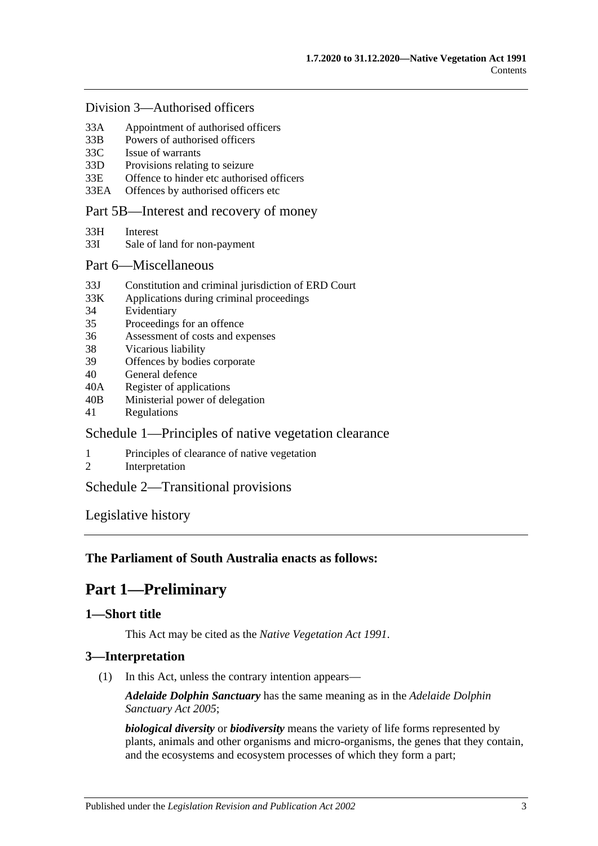#### [Division 3—Authorised officers](#page-41-2)

- 33A [Appointment of authorised officers](#page-41-3)
- 33B [Powers of authorised officers](#page-42-0)
- 33C [Issue of warrants](#page-44-0)
- 33D [Provisions relating to seizure](#page-45-0)
- 33E [Offence to hinder etc authorised officers](#page-46-0)
- 33EA [Offences by authorised officers etc](#page-47-0)

#### [Part 5B—Interest and recovery of money](#page-47-1)

- 33H [Interest](#page-47-2)
- 33I [Sale of land for non-payment](#page-47-3)

#### [Part 6—Miscellaneous](#page-49-0)

- 33J [Constitution and criminal jurisdiction of ERD Court](#page-49-1)
- 33K [Applications during criminal proceedings](#page-49-2)
- 34 [Evidentiary](#page-50-0)
- 35 [Proceedings for an offence](#page-51-0)
- 36 [Assessment of costs and expenses](#page-51-1)
- 38 [Vicarious liability](#page-51-2)
- 39 [Offences by bodies corporate](#page-51-3)
- 40 [General defence](#page-51-4)
- 40A [Register of applications](#page-51-5)
- 40B [Ministerial power of delegation](#page-52-0)
- 41 [Regulations](#page-52-1)

### [Schedule 1—Principles of native vegetation clearance](#page-53-0)

- 1 [Principles of clearance of native vegetation](#page-53-1)
- 2 [Interpretation](#page-54-0)

## [Schedule 2—Transitional provisions](#page-54-1)

[Legislative history](#page-56-0)

### <span id="page-2-0"></span>**The Parliament of South Australia enacts as follows:**

## **Part 1—Preliminary**

## <span id="page-2-1"></span>**1—Short title**

This Act may be cited as the *Native Vegetation Act 1991*.

### <span id="page-2-2"></span>**3—Interpretation**

(1) In this Act, unless the contrary intention appears—

*Adelaide Dolphin Sanctuary* has the same meaning as in the *[Adelaide Dolphin](http://www.legislation.sa.gov.au/index.aspx?action=legref&type=act&legtitle=Adelaide%20Dolphin%20Sanctuary%20Act%202005)  [Sanctuary Act](http://www.legislation.sa.gov.au/index.aspx?action=legref&type=act&legtitle=Adelaide%20Dolphin%20Sanctuary%20Act%202005) 2005*;

*biological diversity* or *biodiversity* means the variety of life forms represented by plants, animals and other organisms and micro-organisms, the genes that they contain, and the ecosystems and ecosystem processes of which they form a part;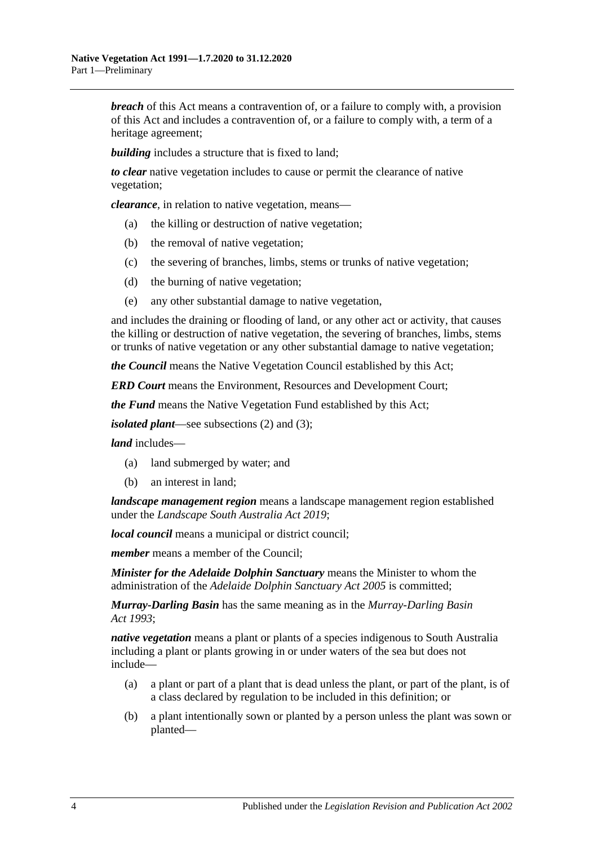*breach* of this Act means a contravention of, or a failure to comply with, a provision of this Act and includes a contravention of, or a failure to comply with, a term of a heritage agreement;

*building* includes a structure that is fixed to land:

*to clear* native vegetation includes to cause or permit the clearance of native vegetation;

*clearance*, in relation to native vegetation, means—

- (a) the killing or destruction of native vegetation;
- (b) the removal of native vegetation;
- (c) the severing of branches, limbs, stems or trunks of native vegetation;
- (d) the burning of native vegetation;
- (e) any other substantial damage to native vegetation,

and includes the draining or flooding of land, or any other act or activity, that causes the killing or destruction of native vegetation, the severing of branches, limbs, stems or trunks of native vegetation or any other substantial damage to native vegetation;

*the Council* means the Native Vegetation Council established by this Act;

*ERD Court* means the Environment, Resources and Development Court;

*the Fund* means the Native Vegetation Fund established by this Act;

*isolated plant*—see [subsections](#page-4-0) (2) and [\(3\);](#page-5-2)

*land* includes—

- (a) land submerged by water; and
- (b) an interest in land;

*landscape management region* means a landscape management region established under the *[Landscape South Australia Act](http://www.legislation.sa.gov.au/index.aspx?action=legref&type=act&legtitle=Landscape%20South%20Australia%20Act%202019) 2019*;

*local council* means a municipal or district council;

*member* means a member of the Council;

*Minister for the Adelaide Dolphin Sanctuary* means the Minister to whom the administration of the *[Adelaide Dolphin Sanctuary Act](http://www.legislation.sa.gov.au/index.aspx?action=legref&type=act&legtitle=Adelaide%20Dolphin%20Sanctuary%20Act%202005) 2005* is committed;

*Murray-Darling Basin* has the same meaning as in the *[Murray-Darling Basin](http://www.legislation.sa.gov.au/index.aspx?action=legref&type=act&legtitle=Murray-Darling%20Basin%20Act%201993)  Act [1993](http://www.legislation.sa.gov.au/index.aspx?action=legref&type=act&legtitle=Murray-Darling%20Basin%20Act%201993)*;

*native vegetation* means a plant or plants of a species indigenous to South Australia including a plant or plants growing in or under waters of the sea but does not include—

- (a) a plant or part of a plant that is dead unless the plant, or part of the plant, is of a class declared by regulation to be included in this definition; or
- (b) a plant intentionally sown or planted by a person unless the plant was sown or planted—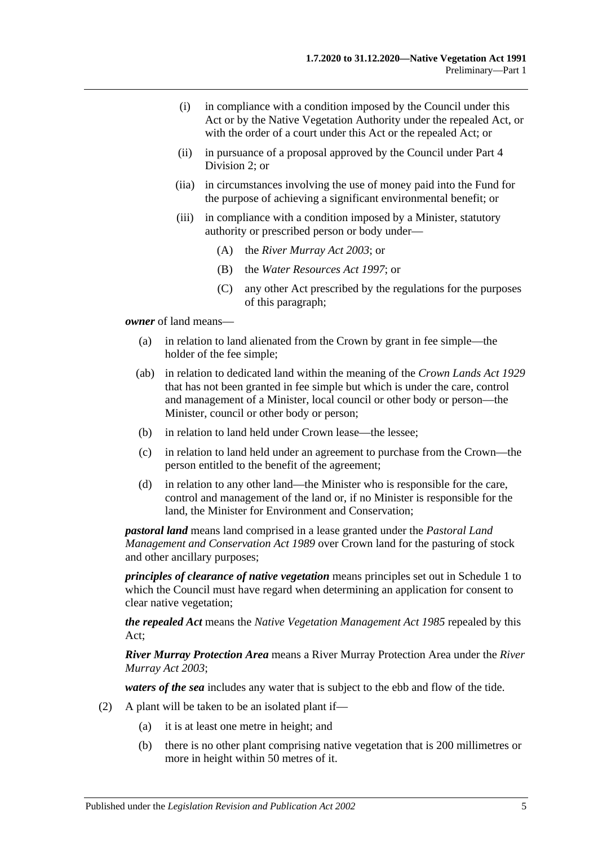- (i) in compliance with a condition imposed by the Council under this Act or by the Native Vegetation Authority under the repealed Act, or with the order of a court under this Act or the repealed Act; or
- (ii) in pursuance of a proposal approved by the Council under [Part 4](#page-16-0)  [Division 2;](#page-16-0) or
- (iia) in circumstances involving the use of money paid into the Fund for the purpose of achieving a significant environmental benefit; or
- (iii) in compliance with a condition imposed by a Minister, statutory authority or prescribed person or body under—
	- (A) the *[River Murray Act](http://www.legislation.sa.gov.au/index.aspx?action=legref&type=act&legtitle=River%20Murray%20Act%202003) 2003*; or
	- (B) the *[Water Resources Act](http://www.legislation.sa.gov.au/index.aspx?action=legref&type=act&legtitle=Water%20Resources%20Act%201997) 1997*; or
	- (C) any other Act prescribed by the regulations for the purposes of this paragraph;

*owner* of land means—

- (a) in relation to land alienated from the Crown by grant in fee simple—the holder of the fee simple;
- (ab) in relation to dedicated land within the meaning of the *[Crown Lands Act](http://www.legislation.sa.gov.au/index.aspx?action=legref&type=act&legtitle=Crown%20Lands%20Act%201929) 1929* that has not been granted in fee simple but which is under the care, control and management of a Minister, local council or other body or person—the Minister, council or other body or person;
- (b) in relation to land held under Crown lease—the lessee;
- (c) in relation to land held under an agreement to purchase from the Crown—the person entitled to the benefit of the agreement;
- (d) in relation to any other land—the Minister who is responsible for the care, control and management of the land or, if no Minister is responsible for the land, the Minister for Environment and Conservation;

*pastoral land* means land comprised in a lease granted under the *[Pastoral Land](http://www.legislation.sa.gov.au/index.aspx?action=legref&type=act&legtitle=Pastoral%20Land%20Management%20and%20Conservation%20Act%201989)  [Management and Conservation Act](http://www.legislation.sa.gov.au/index.aspx?action=legref&type=act&legtitle=Pastoral%20Land%20Management%20and%20Conservation%20Act%201989) 1989* over Crown land for the pasturing of stock and other ancillary purposes;

*principles of clearance of native vegetation* means principles set out in [Schedule 1](#page-53-0) to which the Council must have regard when determining an application for consent to clear native vegetation;

*the repealed Act* means the *[Native Vegetation Management Act](http://www.legislation.sa.gov.au/index.aspx?action=legref&type=act&legtitle=Native%20Vegetation%20Management%20Act%201985) 1985* repealed by this Act;

*River Murray Protection Area* means a River Murray Protection Area under the *[River](http://www.legislation.sa.gov.au/index.aspx?action=legref&type=act&legtitle=River%20Murray%20Act%202003)  [Murray Act](http://www.legislation.sa.gov.au/index.aspx?action=legref&type=act&legtitle=River%20Murray%20Act%202003) 2003*;

*waters of the sea* includes any water that is subject to the ebb and flow of the tide.

- <span id="page-4-0"></span>(2) A plant will be taken to be an isolated plant if—
	- (a) it is at least one metre in height; and
	- (b) there is no other plant comprising native vegetation that is 200 millimetres or more in height within 50 metres of it.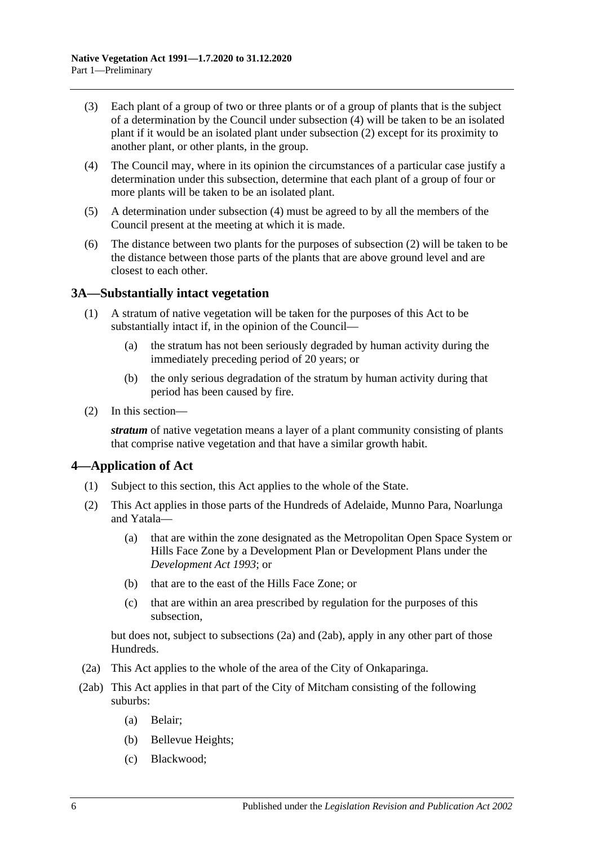- <span id="page-5-2"></span>(3) Each plant of a group of two or three plants or of a group of plants that is the subject of a determination by the Council under [subsection](#page-5-3) (4) will be taken to be an isolated plant if it would be an isolated plant under [subsection](#page-4-0) (2) except for its proximity to another plant, or other plants, in the group.
- <span id="page-5-3"></span>(4) The Council may, where in its opinion the circumstances of a particular case justify a determination under this subsection, determine that each plant of a group of four or more plants will be taken to be an isolated plant.
- (5) A determination under [subsection](#page-5-3) (4) must be agreed to by all the members of the Council present at the meeting at which it is made.
- (6) The distance between two plants for the purposes of [subsection](#page-4-0) (2) will be taken to be the distance between those parts of the plants that are above ground level and are closest to each other.

### <span id="page-5-0"></span>**3A—Substantially intact vegetation**

- (1) A stratum of native vegetation will be taken for the purposes of this Act to be substantially intact if, in the opinion of the Council—
	- (a) the stratum has not been seriously degraded by human activity during the immediately preceding period of 20 years; or
	- (b) the only serious degradation of the stratum by human activity during that period has been caused by fire.
- (2) In this section—

*stratum* of native vegetation means a layer of a plant community consisting of plants that comprise native vegetation and that have a similar growth habit.

### <span id="page-5-1"></span>**4—Application of Act**

- (1) Subject to this section, this Act applies to the whole of the State.
- <span id="page-5-6"></span>(2) This Act applies in those parts of the Hundreds of Adelaide, Munno Para, Noarlunga and Yatala—
	- (a) that are within the zone designated as the Metropolitan Open Space System or Hills Face Zone by a Development Plan or Development Plans under the *[Development Act](http://www.legislation.sa.gov.au/index.aspx?action=legref&type=act&legtitle=Development%20Act%201993) 1993*; or
	- (b) that are to the east of the Hills Face Zone; or
	- (c) that are within an area prescribed by regulation for the purposes of this subsection,

but does not, subject to [subsections](#page-5-4) (2a) and [\(2ab\),](#page-5-5) apply in any other part of those Hundreds.

- <span id="page-5-4"></span>(2a) This Act applies to the whole of the area of the City of Onkaparinga.
- <span id="page-5-5"></span>(2ab) This Act applies in that part of the City of Mitcham consisting of the following suburbs:
	- (a) Belair;
	- (b) Bellevue Heights;
	- (c) Blackwood;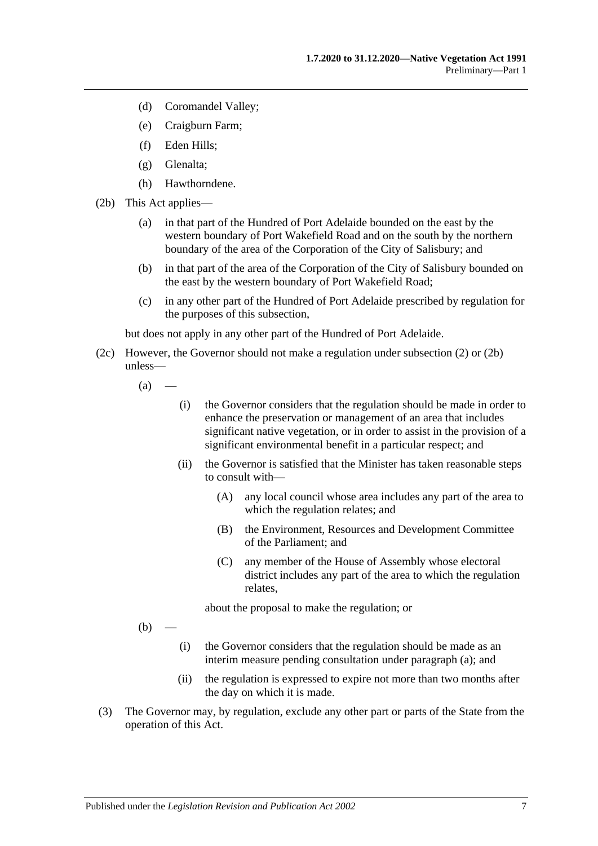- (d) Coromandel Valley;
- (e) Craigburn Farm;
- (f) Eden Hills;
- (g) Glenalta;
- (h) Hawthorndene.
- <span id="page-6-0"></span>(2b) This Act applies—
	- (a) in that part of the Hundred of Port Adelaide bounded on the east by the western boundary of Port Wakefield Road and on the south by the northern boundary of the area of the Corporation of the City of Salisbury; and
	- (b) in that part of the area of the Corporation of the City of Salisbury bounded on the east by the western boundary of Port Wakefield Road;
	- (c) in any other part of the Hundred of Port Adelaide prescribed by regulation for the purposes of this subsection,

but does not apply in any other part of the Hundred of Port Adelaide.

- <span id="page-6-1"></span>(2c) However, the Governor should not make a regulation under [subsection](#page-5-6) (2) or [\(2b\)](#page-6-0) unless—
	- $(a)$
- (i) the Governor considers that the regulation should be made in order to enhance the preservation or management of an area that includes significant native vegetation, or in order to assist in the provision of a significant environmental benefit in a particular respect; and
- (ii) the Governor is satisfied that the Minister has taken reasonable steps to consult with—
	- (A) any local council whose area includes any part of the area to which the regulation relates; and
	- (B) the Environment, Resources and Development Committee of the Parliament; and
	- (C) any member of the House of Assembly whose electoral district includes any part of the area to which the regulation relates,

about the proposal to make the regulation; or

 $(b)$ 

- (i) the Governor considers that the regulation should be made as an interim measure pending consultation under [paragraph](#page-6-1) (a); and
- (ii) the regulation is expressed to expire not more than two months after the day on which it is made.
- (3) The Governor may, by regulation, exclude any other part or parts of the State from the operation of this Act.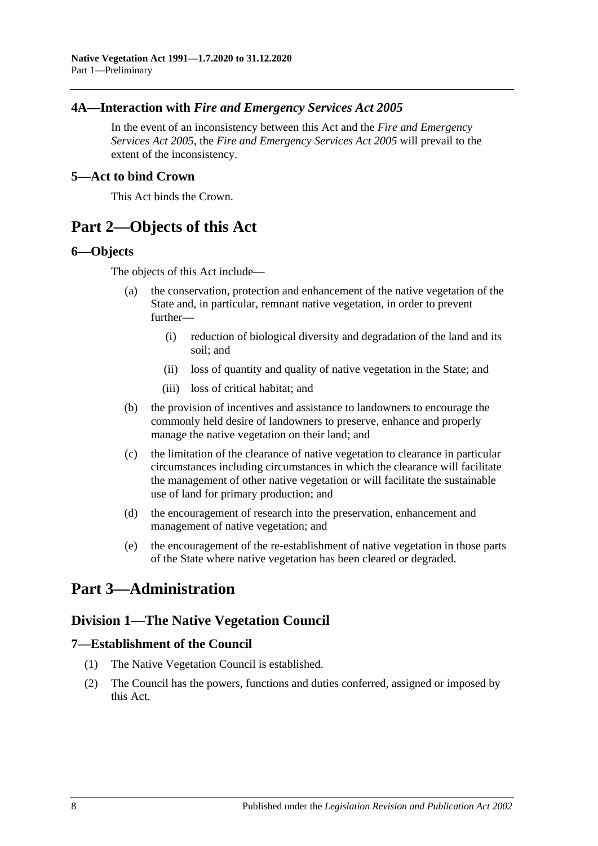## <span id="page-7-0"></span>**4A—Interaction with** *Fire and Emergency Services Act 2005*

In the event of an inconsistency between this Act and the *[Fire and Emergency](http://www.legislation.sa.gov.au/index.aspx?action=legref&type=act&legtitle=Fire%20and%20Emergency%20Services%20Act%202005)  [Services Act](http://www.legislation.sa.gov.au/index.aspx?action=legref&type=act&legtitle=Fire%20and%20Emergency%20Services%20Act%202005) 2005*, the *[Fire and Emergency Services Act](http://www.legislation.sa.gov.au/index.aspx?action=legref&type=act&legtitle=Fire%20and%20Emergency%20Services%20Act%202005) 2005* will prevail to the extent of the inconsistency.

#### <span id="page-7-1"></span>**5—Act to bind Crown**

This Act binds the Crown.

## <span id="page-7-2"></span>**Part 2—Objects of this Act**

#### <span id="page-7-3"></span>**6—Objects**

The objects of this Act include—

- (a) the conservation, protection and enhancement of the native vegetation of the State and, in particular, remnant native vegetation, in order to prevent further—
	- (i) reduction of biological diversity and degradation of the land and its soil; and
	- (ii) loss of quantity and quality of native vegetation in the State; and
	- (iii) loss of critical habitat; and
- (b) the provision of incentives and assistance to landowners to encourage the commonly held desire of landowners to preserve, enhance and properly manage the native vegetation on their land; and
- (c) the limitation of the clearance of native vegetation to clearance in particular circumstances including circumstances in which the clearance will facilitate the management of other native vegetation or will facilitate the sustainable use of land for primary production; and
- (d) the encouragement of research into the preservation, enhancement and management of native vegetation; and
- (e) the encouragement of the re-establishment of native vegetation in those parts of the State where native vegetation has been cleared or degraded.

## <span id="page-7-5"></span><span id="page-7-4"></span>**Part 3—Administration**

## **Division 1—The Native Vegetation Council**

### <span id="page-7-6"></span>**7—Establishment of the Council**

- (1) The Native Vegetation Council is established.
- (2) The Council has the powers, functions and duties conferred, assigned or imposed by this Act.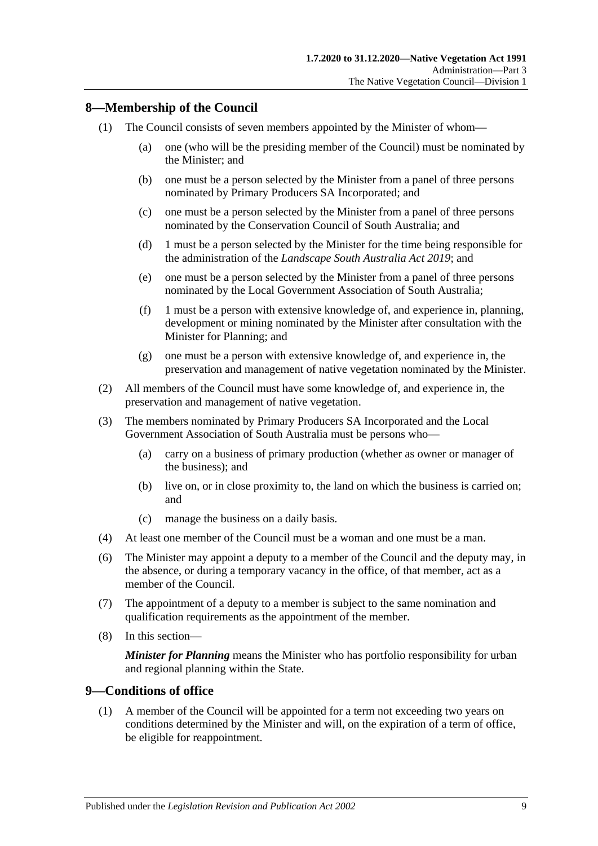## <span id="page-8-0"></span>**8—Membership of the Council**

- (1) The Council consists of seven members appointed by the Minister of whom—
	- (a) one (who will be the presiding member of the Council) must be nominated by the Minister; and
	- (b) one must be a person selected by the Minister from a panel of three persons nominated by Primary Producers SA Incorporated; and
	- (c) one must be a person selected by the Minister from a panel of three persons nominated by the Conservation Council of South Australia; and
	- (d) 1 must be a person selected by the Minister for the time being responsible for the administration of the *[Landscape South Australia Act](http://www.legislation.sa.gov.au/index.aspx?action=legref&type=act&legtitle=Landscape%20South%20Australia%20Act%202019) 2019*; and
	- (e) one must be a person selected by the Minister from a panel of three persons nominated by the Local Government Association of South Australia;
	- (f) 1 must be a person with extensive knowledge of, and experience in, planning, development or mining nominated by the Minister after consultation with the Minister for Planning; and
	- (g) one must be a person with extensive knowledge of, and experience in, the preservation and management of native vegetation nominated by the Minister.
- (2) All members of the Council must have some knowledge of, and experience in, the preservation and management of native vegetation.
- (3) The members nominated by Primary Producers SA Incorporated and the Local Government Association of South Australia must be persons who—
	- (a) carry on a business of primary production (whether as owner or manager of the business); and
	- (b) live on, or in close proximity to, the land on which the business is carried on; and
	- (c) manage the business on a daily basis.
- (4) At least one member of the Council must be a woman and one must be a man.
- (6) The Minister may appoint a deputy to a member of the Council and the deputy may, in the absence, or during a temporary vacancy in the office, of that member, act as a member of the Council.
- (7) The appointment of a deputy to a member is subject to the same nomination and qualification requirements as the appointment of the member.
- (8) In this section—

*Minister for Planning* means the Minister who has portfolio responsibility for urban and regional planning within the State.

#### <span id="page-8-1"></span>**9—Conditions of office**

(1) A member of the Council will be appointed for a term not exceeding two years on conditions determined by the Minister and will, on the expiration of a term of office, be eligible for reappointment.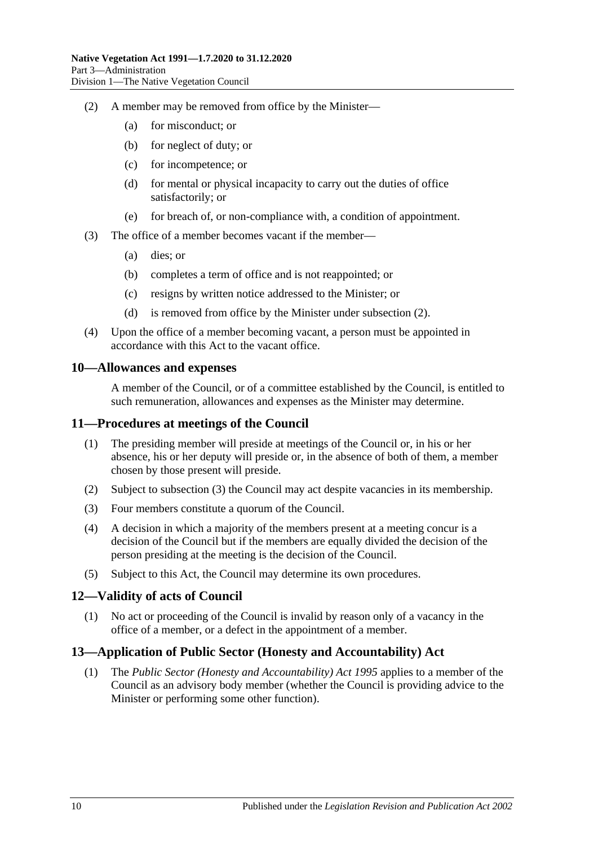- <span id="page-9-4"></span>(2) A member may be removed from office by the Minister—
	- (a) for misconduct; or
	- (b) for neglect of duty; or
	- (c) for incompetence; or
	- (d) for mental or physical incapacity to carry out the duties of office satisfactorily; or
	- (e) for breach of, or non-compliance with, a condition of appointment.
- (3) The office of a member becomes vacant if the member—
	- (a) dies; or
	- (b) completes a term of office and is not reappointed; or
	- (c) resigns by written notice addressed to the Minister; or
	- (d) is removed from office by the Minister under [subsection](#page-9-4) (2).
- (4) Upon the office of a member becoming vacant, a person must be appointed in accordance with this Act to the vacant office.

#### <span id="page-9-0"></span>**10—Allowances and expenses**

A member of the Council, or of a committee established by the Council, is entitled to such remuneration, allowances and expenses as the Minister may determine.

#### <span id="page-9-1"></span>**11—Procedures at meetings of the Council**

- (1) The presiding member will preside at meetings of the Council or, in his or her absence, his or her deputy will preside or, in the absence of both of them, a member chosen by those present will preside.
- (2) Subject to [subsection](#page-9-5) (3) the Council may act despite vacancies in its membership.
- <span id="page-9-5"></span>(3) Four members constitute a quorum of the Council.
- (4) A decision in which a majority of the members present at a meeting concur is a decision of the Council but if the members are equally divided the decision of the person presiding at the meeting is the decision of the Council.
- (5) Subject to this Act, the Council may determine its own procedures.

#### <span id="page-9-2"></span>**12—Validity of acts of Council**

(1) No act or proceeding of the Council is invalid by reason only of a vacancy in the office of a member, or a defect in the appointment of a member.

### <span id="page-9-3"></span>**13—Application of Public Sector (Honesty and Accountability) Act**

(1) The *[Public Sector \(Honesty and Accountability\) Act](http://www.legislation.sa.gov.au/index.aspx?action=legref&type=act&legtitle=Public%20Sector%20(Honesty%20and%20Accountability)%20Act%201995) 1995* applies to a member of the Council as an advisory body member (whether the Council is providing advice to the Minister or performing some other function).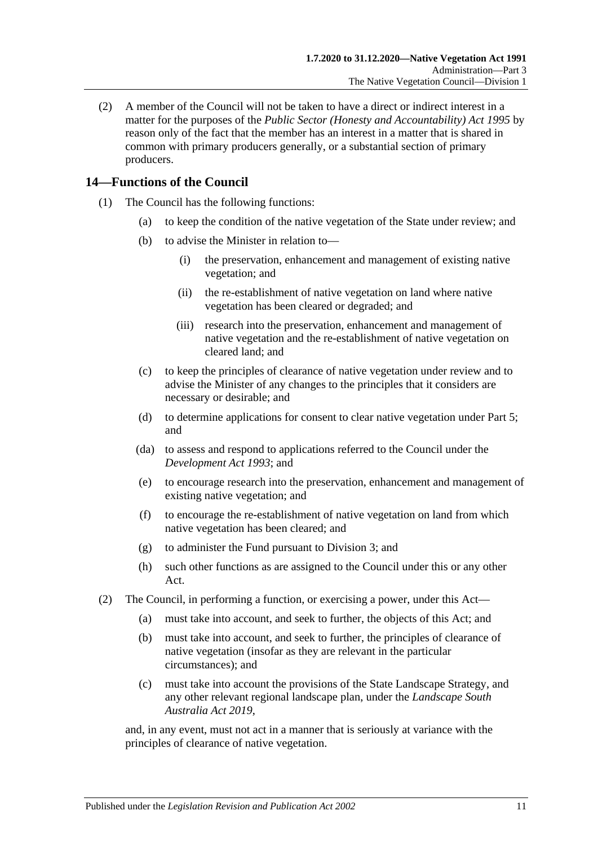(2) A member of the Council will not be taken to have a direct or indirect interest in a matter for the purposes of the *[Public Sector \(Honesty and Accountability\) Act](http://www.legislation.sa.gov.au/index.aspx?action=legref&type=act&legtitle=Public%20Sector%20(Honesty%20and%20Accountability)%20Act%201995) 1995* by reason only of the fact that the member has an interest in a matter that is shared in common with primary producers generally, or a substantial section of primary producers.

## <span id="page-10-0"></span>**14—Functions of the Council**

- (1) The Council has the following functions:
	- (a) to keep the condition of the native vegetation of the State under review; and
	- (b) to advise the Minister in relation to—
		- (i) the preservation, enhancement and management of existing native vegetation; and
		- (ii) the re-establishment of native vegetation on land where native vegetation has been cleared or degraded; and
		- (iii) research into the preservation, enhancement and management of native vegetation and the re-establishment of native vegetation on cleared land; and
	- (c) to keep the principles of clearance of native vegetation under review and to advise the Minister of any changes to the principles that it considers are necessary or desirable; and
	- (d) to determine applications for consent to clear native vegetation under [Part 5;](#page-23-1) and
	- (da) to assess and respond to applications referred to the Council under the *[Development Act](http://www.legislation.sa.gov.au/index.aspx?action=legref&type=act&legtitle=Development%20Act%201993) 1993*; and
	- (e) to encourage research into the preservation, enhancement and management of existing native vegetation; and
	- (f) to encourage the re-establishment of native vegetation on land from which native vegetation has been cleared; and
	- (g) to administer the Fund pursuant to [Division 3;](#page-12-2) and
	- (h) such other functions as are assigned to the Council under this or any other Act.
- (2) The Council, in performing a function, or exercising a power, under this Act—
	- (a) must take into account, and seek to further, the objects of this Act; and
	- (b) must take into account, and seek to further, the principles of clearance of native vegetation (insofar as they are relevant in the particular circumstances); and
	- (c) must take into account the provisions of the State Landscape Strategy, and any other relevant regional landscape plan, under the *[Landscape South](http://www.legislation.sa.gov.au/index.aspx?action=legref&type=act&legtitle=Landscape%20South%20Australia%20Act%202019)  [Australia Act](http://www.legislation.sa.gov.au/index.aspx?action=legref&type=act&legtitle=Landscape%20South%20Australia%20Act%202019) 2019*,

and, in any event, must not act in a manner that is seriously at variance with the principles of clearance of native vegetation.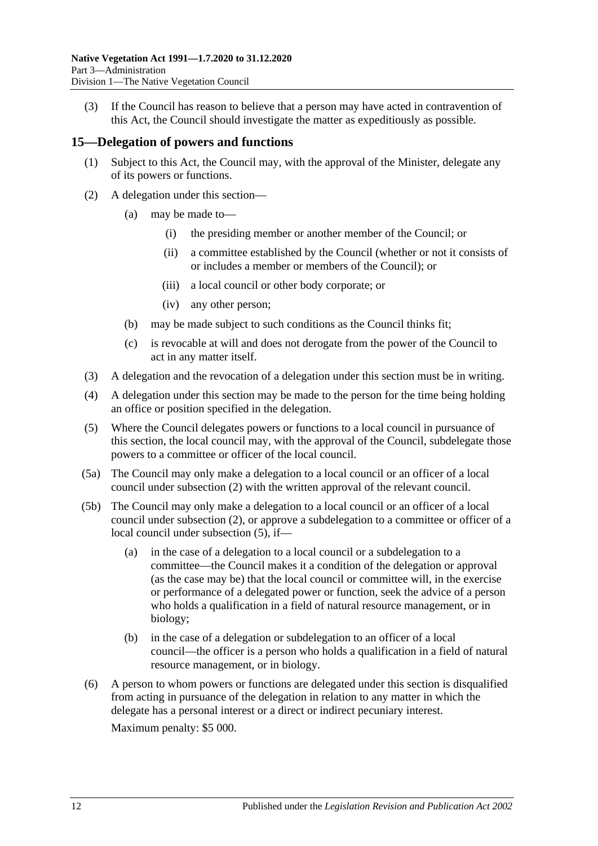(3) If the Council has reason to believe that a person may have acted in contravention of this Act, the Council should investigate the matter as expeditiously as possible.

#### <span id="page-11-0"></span>**15—Delegation of powers and functions**

- (1) Subject to this Act, the Council may, with the approval of the Minister, delegate any of its powers or functions.
- <span id="page-11-1"></span>(2) A delegation under this section—
	- (a) may be made to—
		- (i) the presiding member or another member of the Council; or
		- (ii) a committee established by the Council (whether or not it consists of or includes a member or members of the Council); or
		- (iii) a local council or other body corporate; or
		- (iv) any other person;
	- (b) may be made subject to such conditions as the Council thinks fit;
	- (c) is revocable at will and does not derogate from the power of the Council to act in any matter itself.
- (3) A delegation and the revocation of a delegation under this section must be in writing.
- (4) A delegation under this section may be made to the person for the time being holding an office or position specified in the delegation.
- <span id="page-11-2"></span>(5) Where the Council delegates powers or functions to a local council in pursuance of this section, the local council may, with the approval of the Council, subdelegate those powers to a committee or officer of the local council.
- (5a) The Council may only make a delegation to a local council or an officer of a local council under [subsection](#page-11-1) (2) with the written approval of the relevant council.
- (5b) The Council may only make a delegation to a local council or an officer of a local council under [subsection](#page-11-1) (2), or approve a subdelegation to a committee or officer of a local council under [subsection](#page-11-2) (5), if—
	- (a) in the case of a delegation to a local council or a subdelegation to a committee—the Council makes it a condition of the delegation or approval (as the case may be) that the local council or committee will, in the exercise or performance of a delegated power or function, seek the advice of a person who holds a qualification in a field of natural resource management, or in biology;
	- (b) in the case of a delegation or subdelegation to an officer of a local council—the officer is a person who holds a qualification in a field of natural resource management, or in biology.
- (6) A person to whom powers or functions are delegated under this section is disqualified from acting in pursuance of the delegation in relation to any matter in which the delegate has a personal interest or a direct or indirect pecuniary interest.

Maximum penalty: \$5 000.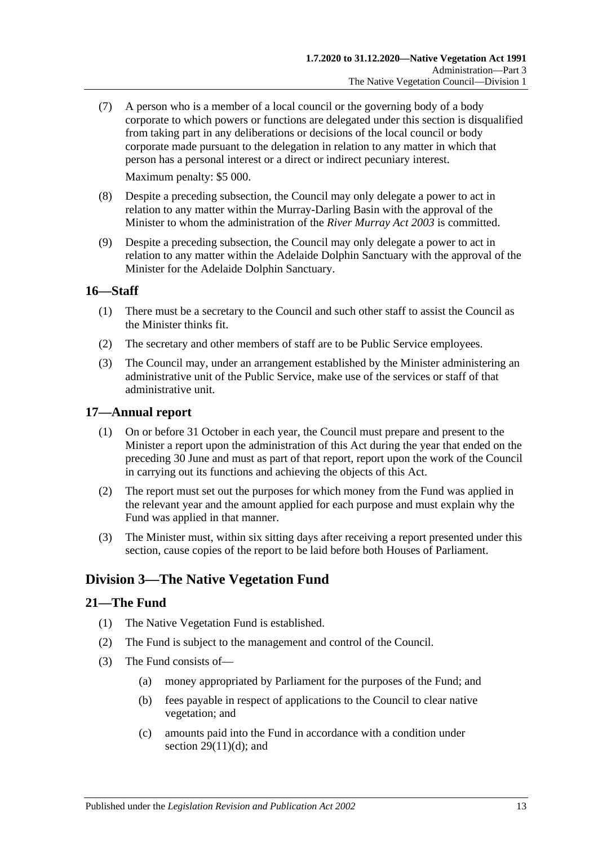(7) A person who is a member of a local council or the governing body of a body corporate to which powers or functions are delegated under this section is disqualified from taking part in any deliberations or decisions of the local council or body corporate made pursuant to the delegation in relation to any matter in which that person has a personal interest or a direct or indirect pecuniary interest.

Maximum penalty: \$5 000.

- (8) Despite a preceding subsection, the Council may only delegate a power to act in relation to any matter within the Murray-Darling Basin with the approval of the Minister to whom the administration of the *[River Murray Act](http://www.legislation.sa.gov.au/index.aspx?action=legref&type=act&legtitle=River%20Murray%20Act%202003) 2003* is committed.
- (9) Despite a preceding subsection, the Council may only delegate a power to act in relation to any matter within the Adelaide Dolphin Sanctuary with the approval of the Minister for the Adelaide Dolphin Sanctuary.

### <span id="page-12-0"></span>**16—Staff**

- (1) There must be a secretary to the Council and such other staff to assist the Council as the Minister thinks fit.
- (2) The secretary and other members of staff are to be Public Service employees.
- (3) The Council may, under an arrangement established by the Minister administering an administrative unit of the Public Service, make use of the services or staff of that administrative unit.

#### <span id="page-12-1"></span>**17—Annual report**

- (1) On or before 31 October in each year, the Council must prepare and present to the Minister a report upon the administration of this Act during the year that ended on the preceding 30 June and must as part of that report, report upon the work of the Council in carrying out its functions and achieving the objects of this Act.
- (2) The report must set out the purposes for which money from the Fund was applied in the relevant year and the amount applied for each purpose and must explain why the Fund was applied in that manner.
- (3) The Minister must, within six sitting days after receiving a report presented under this section, cause copies of the report to be laid before both Houses of Parliament.

## <span id="page-12-2"></span>**Division 3—The Native Vegetation Fund**

#### <span id="page-12-3"></span>**21—The Fund**

- (1) The Native Vegetation Fund is established.
- (2) The Fund is subject to the management and control of the Council.
- <span id="page-12-4"></span>(3) The Fund consists of—
	- (a) money appropriated by Parliament for the purposes of the Fund; and
	- (b) fees payable in respect of applications to the Council to clear native vegetation; and
	- (c) amounts paid into the Fund in accordance with a condition under section  $29(11)(d)$ ; and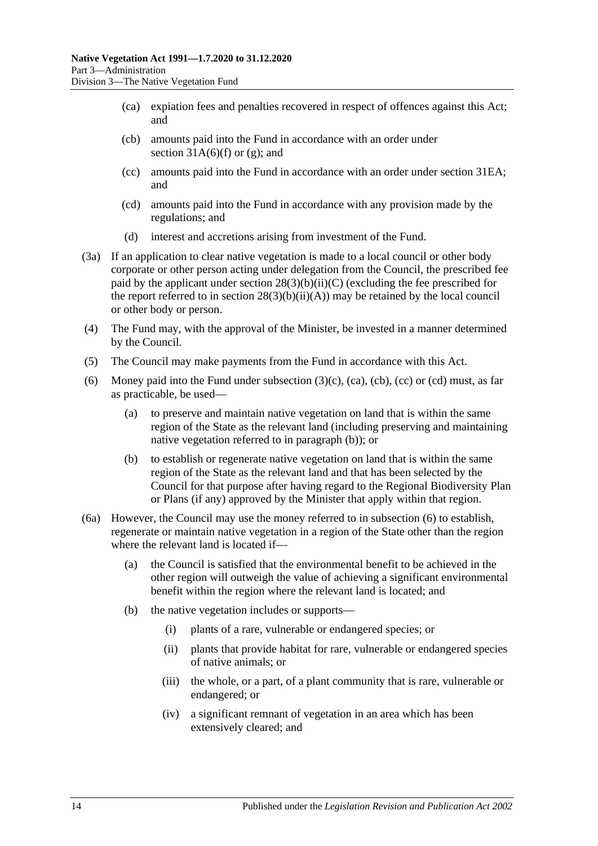- <span id="page-13-0"></span>(ca) expiation fees and penalties recovered in respect of offences against this Act; and
- <span id="page-13-1"></span>(cb) amounts paid into the Fund in accordance with an order under section  $31A(6)$ (f) or [\(g\);](#page-35-1) and
- <span id="page-13-2"></span>(cc) amounts paid into the Fund in accordance with an order under [section](#page-39-0) 31EA; and
- <span id="page-13-3"></span>(cd) amounts paid into the Fund in accordance with any provision made by the regulations; and
- (d) interest and accretions arising from investment of the Fund.
- (3a) If an application to clear native vegetation is made to a local council or other body corporate or other person acting under delegation from the Council, the prescribed fee paid by the applicant under section  $28(3)(b)(ii)(C)$  (excluding the fee prescribed for the report referred to in section  $28(3)(b)(ii)(A))$  may be retained by the local council or other body or person.
- (4) The Fund may, with the approval of the Minister, be invested in a manner determined by the Council.
- (5) The Council may make payments from the Fund in accordance with this Act.
- <span id="page-13-5"></span>(6) Money paid into the Fund under [subsection](#page-12-4)  $(3)(c)$ ,  $(ca)$ ,  $(cc)$  or  $(cd)$  must, as far as practicable, be used—
	- (a) to preserve and maintain native vegetation on land that is within the same region of the State as the relevant land (including preserving and maintaining native vegetation referred to in [paragraph](#page-13-4) (b)); or
	- (b) to establish or regenerate native vegetation on land that is within the same region of the State as the relevant land and that has been selected by the Council for that purpose after having regard to the Regional Biodiversity Plan or Plans (if any) approved by the Minister that apply within that region.
- <span id="page-13-6"></span><span id="page-13-4"></span>(6a) However, the Council may use the money referred to in [subsection](#page-13-5) (6) to establish, regenerate or maintain native vegetation in a region of the State other than the region where the relevant land is located if—
	- (a) the Council is satisfied that the environmental benefit to be achieved in the other region will outweigh the value of achieving a significant environmental benefit within the region where the relevant land is located; and
	- (b) the native vegetation includes or supports—
		- (i) plants of a rare, vulnerable or endangered species; or
		- (ii) plants that provide habitat for rare, vulnerable or endangered species of native animals; or
		- (iii) the whole, or a part, of a plant community that is rare, vulnerable or endangered; or
		- (iv) a significant remnant of vegetation in an area which has been extensively cleared; and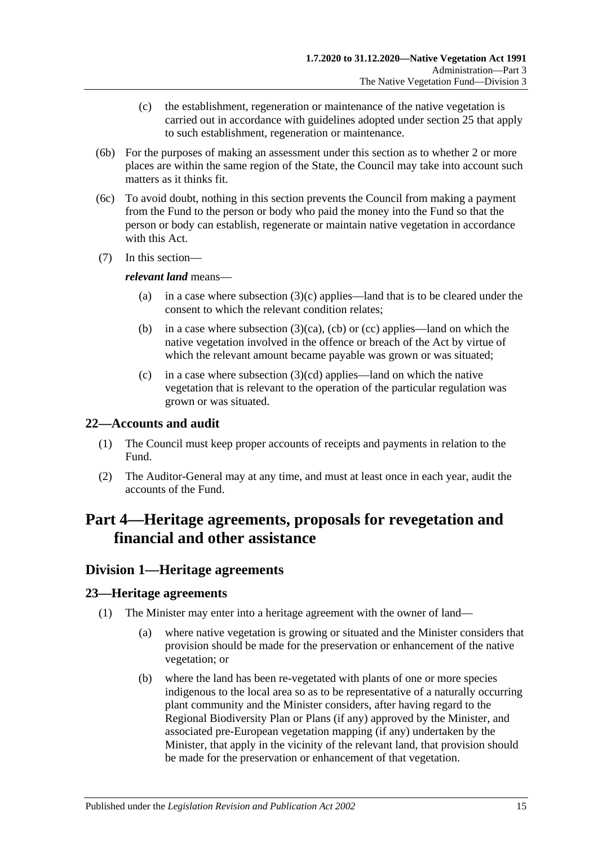- (c) the establishment, regeneration or maintenance of the native vegetation is carried out in accordance with guidelines adopted under [section](#page-18-0) 25 that apply to such establishment, regeneration or maintenance.
- (6b) For the purposes of making an assessment under this section as to whether 2 or more places are within the same region of the State, the Council may take into account such matters as it thinks fit.
- (6c) To avoid doubt, nothing in this section prevents the Council from making a payment from the Fund to the person or body who paid the money into the Fund so that the person or body can establish, regenerate or maintain native vegetation in accordance with this Act.
- (7) In this section—

#### *relevant land* means—

- (a) in a case where [subsection](#page-12-4) (3)(c) applies—land that is to be cleared under the consent to which the relevant condition relates;
- (b) in a case where [subsection](#page-13-0)  $(3)(ca)$ , [\(cb\)](#page-13-1) or [\(cc\)](#page-13-2) applies—land on which the native vegetation involved in the offence or breach of the Act by virtue of which the relevant amount became payable was grown or was situated;
- (c) in a case where [subsection](#page-13-3)  $(3)(cd)$  applies—land on which the native vegetation that is relevant to the operation of the particular regulation was grown or was situated.

### <span id="page-14-0"></span>**22—Accounts and audit**

- (1) The Council must keep proper accounts of receipts and payments in relation to the Fund.
- (2) The Auditor-General may at any time, and must at least once in each year, audit the accounts of the Fund.

## <span id="page-14-1"></span>**Part 4—Heritage agreements, proposals for revegetation and financial and other assistance**

## <span id="page-14-2"></span>**Division 1—Heritage agreements**

### <span id="page-14-3"></span>**23—Heritage agreements**

- (1) The Minister may enter into a heritage agreement with the owner of land—
	- (a) where native vegetation is growing or situated and the Minister considers that provision should be made for the preservation or enhancement of the native vegetation; or
	- (b) where the land has been re-vegetated with plants of one or more species indigenous to the local area so as to be representative of a naturally occurring plant community and the Minister considers, after having regard to the Regional Biodiversity Plan or Plans (if any) approved by the Minister, and associated pre-European vegetation mapping (if any) undertaken by the Minister, that apply in the vicinity of the relevant land, that provision should be made for the preservation or enhancement of that vegetation.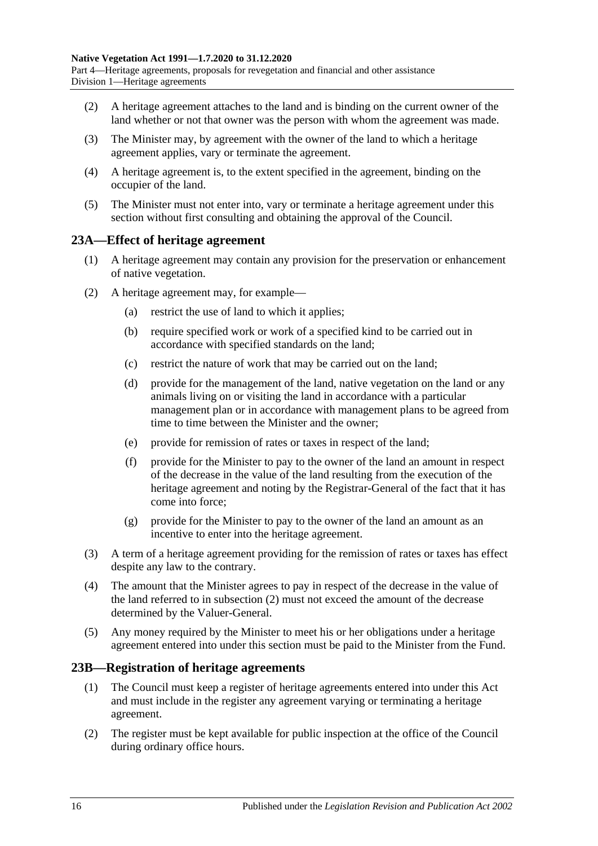Part 4—Heritage agreements, proposals for revegetation and financial and other assistance Division 1—Heritage agreements

- (2) A heritage agreement attaches to the land and is binding on the current owner of the land whether or not that owner was the person with whom the agreement was made.
- (3) The Minister may, by agreement with the owner of the land to which a heritage agreement applies, vary or terminate the agreement.
- (4) A heritage agreement is, to the extent specified in the agreement, binding on the occupier of the land.
- (5) The Minister must not enter into, vary or terminate a heritage agreement under this section without first consulting and obtaining the approval of the Council.

#### <span id="page-15-0"></span>**23A—Effect of heritage agreement**

- (1) A heritage agreement may contain any provision for the preservation or enhancement of native vegetation.
- <span id="page-15-2"></span>(2) A heritage agreement may, for example—
	- (a) restrict the use of land to which it applies;
	- (b) require specified work or work of a specified kind to be carried out in accordance with specified standards on the land;
	- (c) restrict the nature of work that may be carried out on the land;
	- (d) provide for the management of the land, native vegetation on the land or any animals living on or visiting the land in accordance with a particular management plan or in accordance with management plans to be agreed from time to time between the Minister and the owner;
	- (e) provide for remission of rates or taxes in respect of the land;
	- (f) provide for the Minister to pay to the owner of the land an amount in respect of the decrease in the value of the land resulting from the execution of the heritage agreement and noting by the Registrar-General of the fact that it has come into force;
	- (g) provide for the Minister to pay to the owner of the land an amount as an incentive to enter into the heritage agreement.
- (3) A term of a heritage agreement providing for the remission of rates or taxes has effect despite any law to the contrary.
- (4) The amount that the Minister agrees to pay in respect of the decrease in the value of the land referred to in [subsection](#page-15-2) (2) must not exceed the amount of the decrease determined by the Valuer-General.
- (5) Any money required by the Minister to meet his or her obligations under a heritage agreement entered into under this section must be paid to the Minister from the Fund.

#### <span id="page-15-1"></span>**23B—Registration of heritage agreements**

- (1) The Council must keep a register of heritage agreements entered into under this Act and must include in the register any agreement varying or terminating a heritage agreement.
- (2) The register must be kept available for public inspection at the office of the Council during ordinary office hours.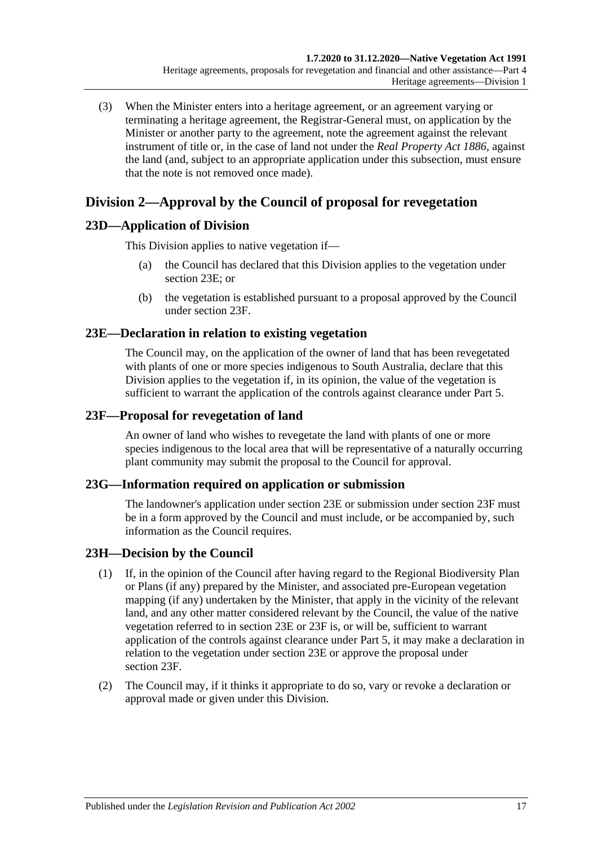(3) When the Minister enters into a heritage agreement, or an agreement varying or terminating a heritage agreement, the Registrar-General must, on application by the Minister or another party to the agreement, note the agreement against the relevant instrument of title or, in the case of land not under the *[Real Property Act](http://www.legislation.sa.gov.au/index.aspx?action=legref&type=act&legtitle=Real%20Property%20Act%201886) 1886*, against the land (and, subject to an appropriate application under this subsection, must ensure that the note is not removed once made).

## <span id="page-16-0"></span>**Division 2—Approval by the Council of proposal for revegetation**

## <span id="page-16-1"></span>**23D—Application of Division**

This Division applies to native vegetation if—

- (a) the Council has declared that this Division applies to the vegetation under [section](#page-16-2) 23E; or
- (b) the vegetation is established pursuant to a proposal approved by the Council under [section](#page-16-3) 23F.

## <span id="page-16-2"></span>**23E—Declaration in relation to existing vegetation**

The Council may, on the application of the owner of land that has been revegetated with plants of one or more species indigenous to South Australia, declare that this Division applies to the vegetation if, in its opinion, the value of the vegetation is sufficient to warrant the application of the controls against clearance under [Part 5.](#page-23-1)

## <span id="page-16-3"></span>**23F—Proposal for revegetation of land**

An owner of land who wishes to revegetate the land with plants of one or more species indigenous to the local area that will be representative of a naturally occurring plant community may submit the proposal to the Council for approval.

### <span id="page-16-4"></span>**23G—Information required on application or submission**

The landowner's application under [section](#page-16-2) 23E or submission under [section](#page-16-3) 23F must be in a form approved by the Council and must include, or be accompanied by, such information as the Council requires.

## <span id="page-16-5"></span>**23H—Decision by the Council**

- (1) If, in the opinion of the Council after having regard to the Regional Biodiversity Plan or Plans (if any) prepared by the Minister, and associated pre-European vegetation mapping (if any) undertaken by the Minister, that apply in the vicinity of the relevant land, and any other matter considered relevant by the Council, the value of the native vegetation referred to in [section](#page-16-2) 23E or [23F](#page-16-3) is, or will be, sufficient to warrant application of the controls against clearance under [Part 5,](#page-23-1) it may make a declaration in relation to the vegetation under [section](#page-16-2) 23E or approve the proposal under [section](#page-16-3) 23F.
- <span id="page-16-6"></span>(2) The Council may, if it thinks it appropriate to do so, vary or revoke a declaration or approval made or given under this Division.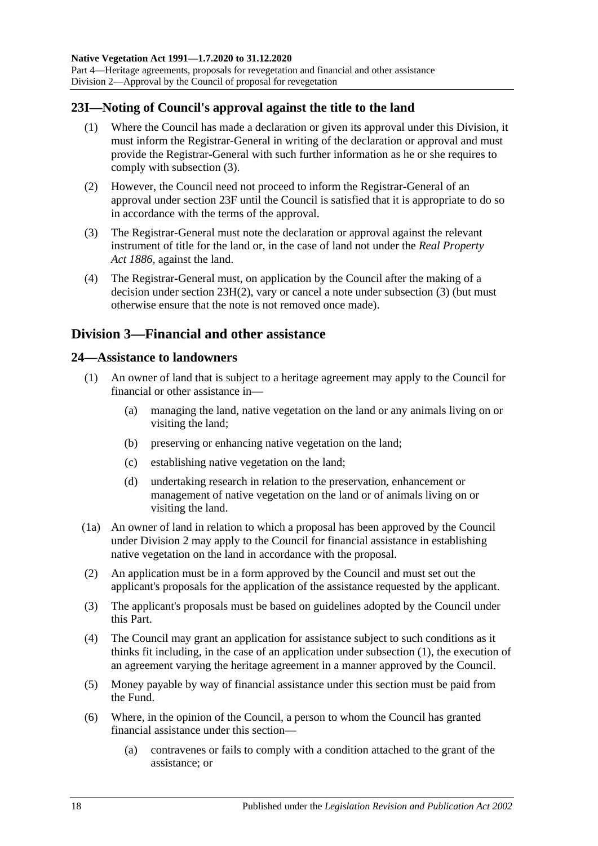Part 4—Heritage agreements, proposals for revegetation and financial and other assistance Division 2—Approval by the Council of proposal for revegetation

## <span id="page-17-0"></span>**23I—Noting of Council's approval against the title to the land**

- (1) Where the Council has made a declaration or given its approval under this Division, it must inform the Registrar-General in writing of the declaration or approval and must provide the Registrar-General with such further information as he or she requires to comply with [subsection](#page-17-3) (3).
- (2) However, the Council need not proceed to inform the Registrar-General of an approval under [section](#page-16-3) 23F until the Council is satisfied that it is appropriate to do so in accordance with the terms of the approval.
- <span id="page-17-3"></span>(3) The Registrar-General must note the declaration or approval against the relevant instrument of title for the land or, in the case of land not under the *[Real Property](http://www.legislation.sa.gov.au/index.aspx?action=legref&type=act&legtitle=Real%20Property%20Act%201886)  Act [1886](http://www.legislation.sa.gov.au/index.aspx?action=legref&type=act&legtitle=Real%20Property%20Act%201886)*, against the land.
- (4) The Registrar-General must, on application by the Council after the making of a decision under section [23H\(2\),](#page-16-6) vary or cancel a note under [subsection](#page-17-3) (3) (but must otherwise ensure that the note is not removed once made).

## <span id="page-17-1"></span>**Division 3—Financial and other assistance**

#### <span id="page-17-4"></span><span id="page-17-2"></span>**24—Assistance to landowners**

- (1) An owner of land that is subject to a heritage agreement may apply to the Council for financial or other assistance in—
	- (a) managing the land, native vegetation on the land or any animals living on or visiting the land;
	- (b) preserving or enhancing native vegetation on the land;
	- (c) establishing native vegetation on the land;
	- (d) undertaking research in relation to the preservation, enhancement or management of native vegetation on the land or of animals living on or visiting the land.
- (1a) An owner of land in relation to which a proposal has been approved by the Council under [Division 2](#page-16-0) may apply to the Council for financial assistance in establishing native vegetation on the land in accordance with the proposal.
- (2) An application must be in a form approved by the Council and must set out the applicant's proposals for the application of the assistance requested by the applicant.
- (3) The applicant's proposals must be based on guidelines adopted by the Council under this Part.
- (4) The Council may grant an application for assistance subject to such conditions as it thinks fit including, in the case of an application under [subsection](#page-17-4) (1), the execution of an agreement varying the heritage agreement in a manner approved by the Council.
- (5) Money payable by way of financial assistance under this section must be paid from the Fund.
- <span id="page-17-5"></span>(6) Where, in the opinion of the Council, a person to whom the Council has granted financial assistance under this section—
	- (a) contravenes or fails to comply with a condition attached to the grant of the assistance; or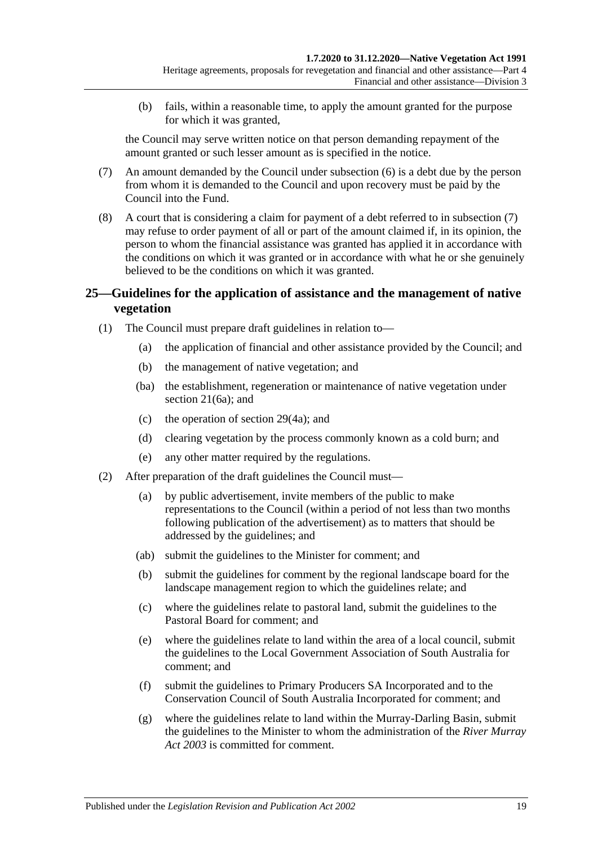(b) fails, within a reasonable time, to apply the amount granted for the purpose for which it was granted,

the Council may serve written notice on that person demanding repayment of the amount granted or such lesser amount as is specified in the notice.

- <span id="page-18-1"></span>(7) An amount demanded by the Council under [subsection](#page-17-5) (6) is a debt due by the person from whom it is demanded to the Council and upon recovery must be paid by the Council into the Fund.
- (8) A court that is considering a claim for payment of a debt referred to in [subsection](#page-18-1) (7) may refuse to order payment of all or part of the amount claimed if, in its opinion, the person to whom the financial assistance was granted has applied it in accordance with the conditions on which it was granted or in accordance with what he or she genuinely believed to be the conditions on which it was granted.

## <span id="page-18-0"></span>**25—Guidelines for the application of assistance and the management of native vegetation**

- (1) The Council must prepare draft guidelines in relation to—
	- (a) the application of financial and other assistance provided by the Council; and
	- (b) the management of native vegetation; and
	- (ba) the establishment, regeneration or maintenance of native vegetation under [section](#page-13-6) 21(6a); and
	- (c) the operation of [section](#page-29-0) 29(4a); and
	- (d) clearing vegetation by the process commonly known as a cold burn; and
	- (e) any other matter required by the regulations.
- <span id="page-18-4"></span><span id="page-18-3"></span><span id="page-18-2"></span>(2) After preparation of the draft guidelines the Council must—
	- (a) by public advertisement, invite members of the public to make representations to the Council (within a period of not less than two months following publication of the advertisement) as to matters that should be addressed by the guidelines; and
	- (ab) submit the guidelines to the Minister for comment; and
	- (b) submit the guidelines for comment by the regional landscape board for the landscape management region to which the guidelines relate; and
	- (c) where the guidelines relate to pastoral land, submit the guidelines to the Pastoral Board for comment; and
	- (e) where the guidelines relate to land within the area of a local council, submit the guidelines to the Local Government Association of South Australia for comment; and
	- (f) submit the guidelines to Primary Producers SA Incorporated and to the Conservation Council of South Australia Incorporated for comment; and
	- (g) where the guidelines relate to land within the Murray-Darling Basin, submit the guidelines to the Minister to whom the administration of the *[River Murray](http://www.legislation.sa.gov.au/index.aspx?action=legref&type=act&legtitle=River%20Murray%20Act%202003)  Act [2003](http://www.legislation.sa.gov.au/index.aspx?action=legref&type=act&legtitle=River%20Murray%20Act%202003)* is committed for comment.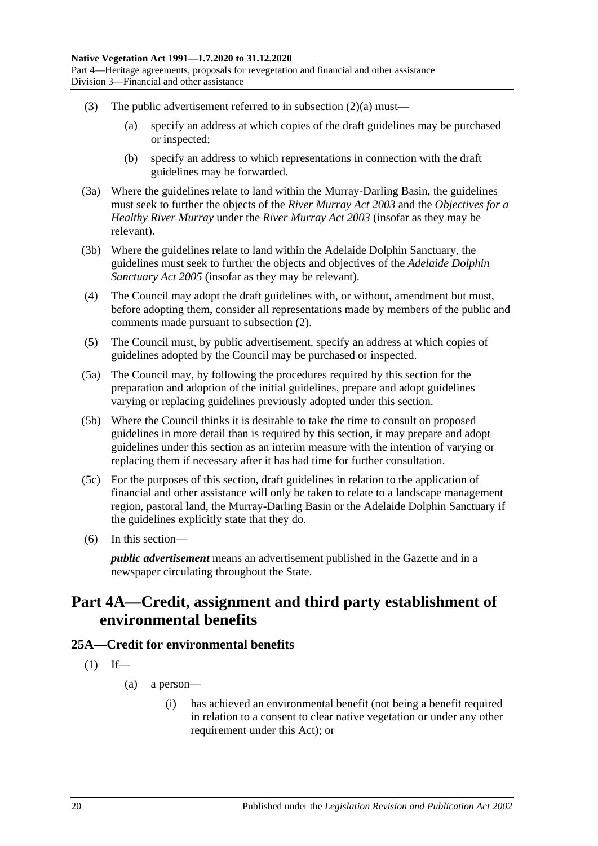- (3) The public advertisement referred to in [subsection](#page-18-2)  $(2)(a)$  must—
	- (a) specify an address at which copies of the draft guidelines may be purchased or inspected;
	- (b) specify an address to which representations in connection with the draft guidelines may be forwarded.
- (3a) Where the guidelines relate to land within the Murray-Darling Basin, the guidelines must seek to further the objects of the *[River Murray Act](http://www.legislation.sa.gov.au/index.aspx?action=legref&type=act&legtitle=River%20Murray%20Act%202003) 2003* and the *Objectives for a Healthy River Murray* under the *[River Murray Act](http://www.legislation.sa.gov.au/index.aspx?action=legref&type=act&legtitle=River%20Murray%20Act%202003) 2003* (insofar as they may be relevant).
- (3b) Where the guidelines relate to land within the Adelaide Dolphin Sanctuary, the guidelines must seek to further the objects and objectives of the *[Adelaide Dolphin](http://www.legislation.sa.gov.au/index.aspx?action=legref&type=act&legtitle=Adelaide%20Dolphin%20Sanctuary%20Act%202005)  [Sanctuary Act](http://www.legislation.sa.gov.au/index.aspx?action=legref&type=act&legtitle=Adelaide%20Dolphin%20Sanctuary%20Act%202005) 2005* (insofar as they may be relevant).
- (4) The Council may adopt the draft guidelines with, or without, amendment but must, before adopting them, consider all representations made by members of the public and comments made pursuant to [subsection](#page-18-3) (2).
- (5) The Council must, by public advertisement, specify an address at which copies of guidelines adopted by the Council may be purchased or inspected.
- (5a) The Council may, by following the procedures required by this section for the preparation and adoption of the initial guidelines, prepare and adopt guidelines varying or replacing guidelines previously adopted under this section.
- (5b) Where the Council thinks it is desirable to take the time to consult on proposed guidelines in more detail than is required by this section, it may prepare and adopt guidelines under this section as an interim measure with the intention of varying or replacing them if necessary after it has had time for further consultation.
- (5c) For the purposes of this section, draft guidelines in relation to the application of financial and other assistance will only be taken to relate to a landscape management region, pastoral land, the Murray-Darling Basin or the Adelaide Dolphin Sanctuary if the guidelines explicitly state that they do.
- (6) In this section—

*public advertisement* means an advertisement published in the Gazette and in a newspaper circulating throughout the State.

## <span id="page-19-0"></span>**Part 4A—Credit, assignment and third party establishment of environmental benefits**

### <span id="page-19-1"></span>**25A—Credit for environmental benefits**

- $(1)$  If—
	- (a) a person—
		- (i) has achieved an environmental benefit (not being a benefit required in relation to a consent to clear native vegetation or under any other requirement under this Act); or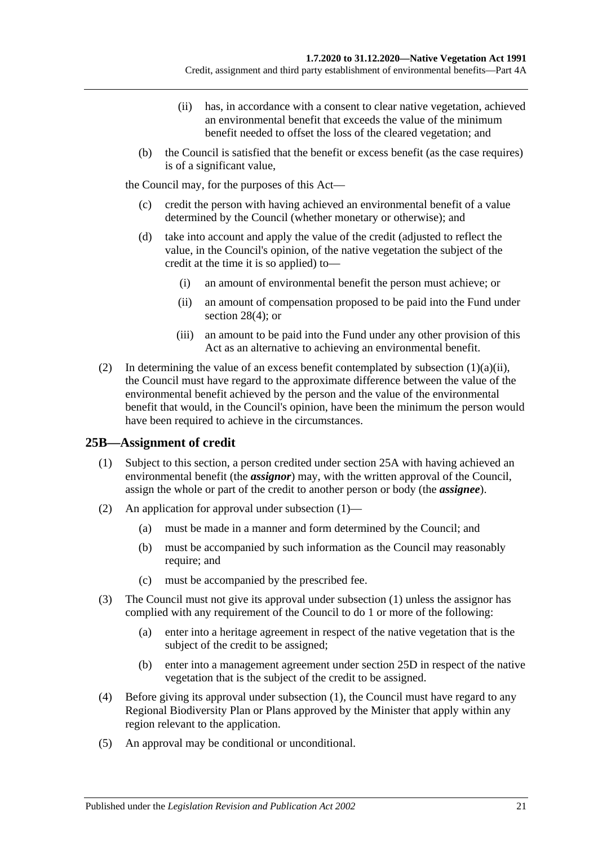- (ii) has, in accordance with a consent to clear native vegetation, achieved an environmental benefit that exceeds the value of the minimum benefit needed to offset the loss of the cleared vegetation; and
- <span id="page-20-1"></span>(b) the Council is satisfied that the benefit or excess benefit (as the case requires) is of a significant value,

the Council may, for the purposes of this Act—

- (c) credit the person with having achieved an environmental benefit of a value determined by the Council (whether monetary or otherwise); and
- <span id="page-20-3"></span>(d) take into account and apply the value of the credit (adjusted to reflect the value, in the Council's opinion, of the native vegetation the subject of the credit at the time it is so applied) to—
	- (i) an amount of environmental benefit the person must achieve; or
	- (ii) an amount of compensation proposed to be paid into the Fund under [section](#page-28-2) 28(4); or
	- (iii) an amount to be paid into the Fund under any other provision of this Act as an alternative to achieving an environmental benefit.
- (2) In determining the value of an excess benefit contemplated by [subsection](#page-20-1)  $(1)(a)(ii)$ , the Council must have regard to the approximate difference between the value of the environmental benefit achieved by the person and the value of the environmental benefit that would, in the Council's opinion, have been the minimum the person would have been required to achieve in the circumstances.

## <span id="page-20-2"></span><span id="page-20-0"></span>**25B—Assignment of credit**

- (1) Subject to this section, a person credited under [section](#page-19-1) 25A with having achieved an environmental benefit (the *assignor*) may, with the written approval of the Council, assign the whole or part of the credit to another person or body (the *assignee*).
- (2) An application for approval under [subsection](#page-20-2) (1)—
	- (a) must be made in a manner and form determined by the Council; and
	- (b) must be accompanied by such information as the Council may reasonably require; and
	- (c) must be accompanied by the prescribed fee.
- (3) The Council must not give its approval under [subsection](#page-20-2) (1) unless the assignor has complied with any requirement of the Council to do 1 or more of the following:
	- (a) enter into a heritage agreement in respect of the native vegetation that is the subject of the credit to be assigned;
	- (b) enter into a management agreement under [section](#page-22-0) 25D in respect of the native vegetation that is the subject of the credit to be assigned.
- (4) Before giving its approval under [subsection](#page-20-2) (1), the Council must have regard to any Regional Biodiversity Plan or Plans approved by the Minister that apply within any region relevant to the application.
- (5) An approval may be conditional or unconditional.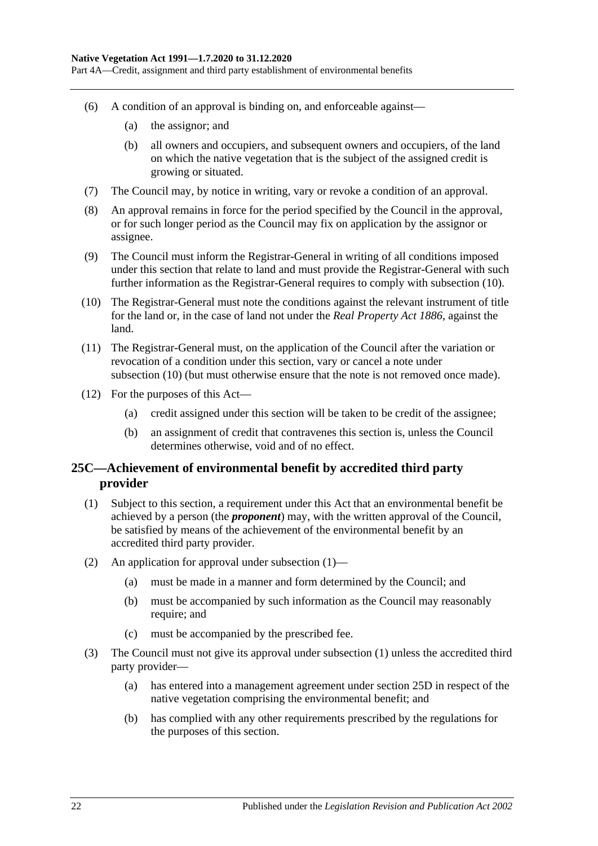Part 4A—Credit, assignment and third party establishment of environmental benefits

- (6) A condition of an approval is binding on, and enforceable against—
	- (a) the assignor; and
	- (b) all owners and occupiers, and subsequent owners and occupiers, of the land on which the native vegetation that is the subject of the assigned credit is growing or situated.
- (7) The Council may, by notice in writing, vary or revoke a condition of an approval.
- (8) An approval remains in force for the period specified by the Council in the approval, or for such longer period as the Council may fix on application by the assignor or assignee.
- (9) The Council must inform the Registrar-General in writing of all conditions imposed under this section that relate to land and must provide the Registrar-General with such further information as the Registrar-General requires to comply with [subsection](#page-21-1) (10).
- <span id="page-21-1"></span>(10) The Registrar-General must note the conditions against the relevant instrument of title for the land or, in the case of land not under the *[Real Property Act](http://www.legislation.sa.gov.au/index.aspx?action=legref&type=act&legtitle=Real%20Property%20Act%201886) 1886*, against the land.
- (11) The Registrar-General must, on the application of the Council after the variation or revocation of a condition under this section, vary or cancel a note under [subsection](#page-21-1) (10) (but must otherwise ensure that the note is not removed once made).
- (12) For the purposes of this Act—
	- (a) credit assigned under this section will be taken to be credit of the assignee;
	- (b) an assignment of credit that contravenes this section is, unless the Council determines otherwise, void and of no effect.

## <span id="page-21-0"></span>**25C—Achievement of environmental benefit by accredited third party provider**

- <span id="page-21-2"></span>(1) Subject to this section, a requirement under this Act that an environmental benefit be achieved by a person (the *proponent*) may, with the written approval of the Council, be satisfied by means of the achievement of the environmental benefit by an accredited third party provider.
- (2) An application for approval under [subsection](#page-21-2) (1)—
	- (a) must be made in a manner and form determined by the Council; and
	- (b) must be accompanied by such information as the Council may reasonably require; and
	- (c) must be accompanied by the prescribed fee.
- (3) The Council must not give its approval under [subsection](#page-21-2) (1) unless the accredited third party provider—
	- (a) has entered into a management agreement under [section](#page-22-0) 25D in respect of the native vegetation comprising the environmental benefit; and
	- (b) has complied with any other requirements prescribed by the regulations for the purposes of this section.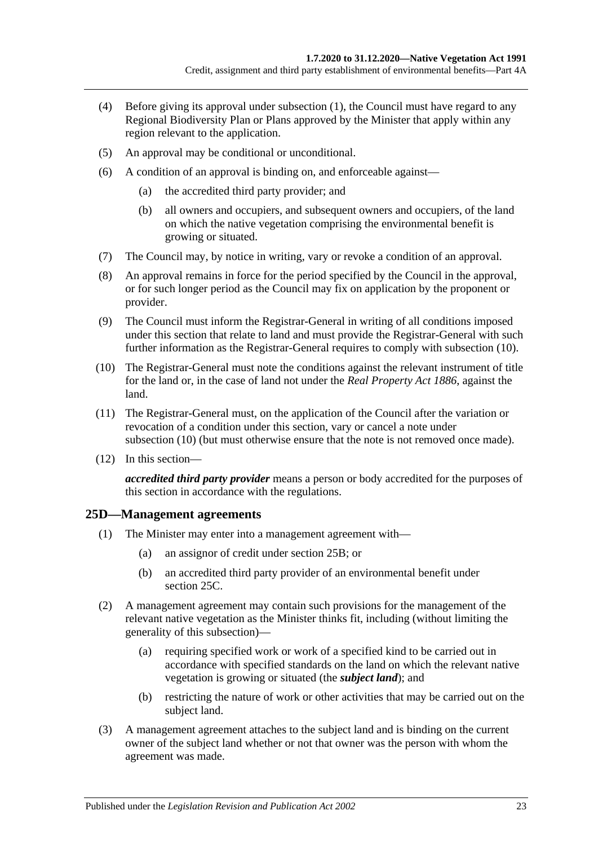- (4) Before giving its approval under [subsection](#page-21-2) (1), the Council must have regard to any Regional Biodiversity Plan or Plans approved by the Minister that apply within any region relevant to the application.
- (5) An approval may be conditional or unconditional.
- (6) A condition of an approval is binding on, and enforceable against—
	- (a) the accredited third party provider; and
	- (b) all owners and occupiers, and subsequent owners and occupiers, of the land on which the native vegetation comprising the environmental benefit is growing or situated.
- (7) The Council may, by notice in writing, vary or revoke a condition of an approval.
- (8) An approval remains in force for the period specified by the Council in the approval, or for such longer period as the Council may fix on application by the proponent or provider.
- (9) The Council must inform the Registrar-General in writing of all conditions imposed under this section that relate to land and must provide the Registrar-General with such further information as the Registrar-General requires to comply with [subsection](#page-22-1) (10).
- <span id="page-22-1"></span>(10) The Registrar-General must note the conditions against the relevant instrument of title for the land or, in the case of land not under the *[Real Property Act](http://www.legislation.sa.gov.au/index.aspx?action=legref&type=act&legtitle=Real%20Property%20Act%201886) 1886*, against the land.
- (11) The Registrar-General must, on the application of the Council after the variation or revocation of a condition under this section, vary or cancel a note under [subsection](#page-22-1) (10) (but must otherwise ensure that the note is not removed once made).
- (12) In this section—

*accredited third party provider* means a person or body accredited for the purposes of this section in accordance with the regulations.

### <span id="page-22-0"></span>**25D—Management agreements**

- (1) The Minister may enter into a management agreement with—
	- (a) an assignor of credit under [section](#page-20-0) 25B; or
	- (b) an accredited third party provider of an environmental benefit under [section](#page-21-0) 25C.
- (2) A management agreement may contain such provisions for the management of the relevant native vegetation as the Minister thinks fit, including (without limiting the generality of this subsection)—
	- (a) requiring specified work or work of a specified kind to be carried out in accordance with specified standards on the land on which the relevant native vegetation is growing or situated (the *subject land*); and
	- (b) restricting the nature of work or other activities that may be carried out on the subject land.
- (3) A management agreement attaches to the subject land and is binding on the current owner of the subject land whether or not that owner was the person with whom the agreement was made.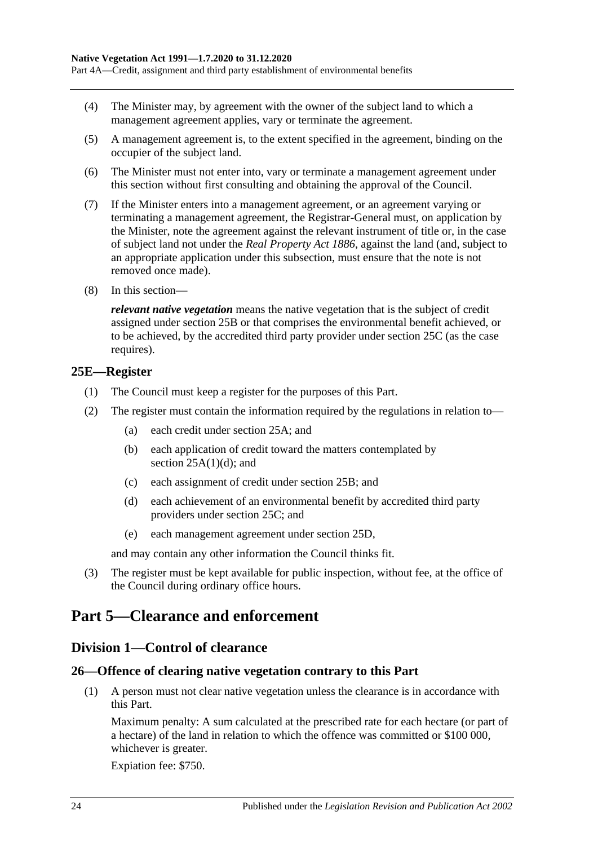Part 4A—Credit, assignment and third party establishment of environmental benefits

- (4) The Minister may, by agreement with the owner of the subject land to which a management agreement applies, vary or terminate the agreement.
- (5) A management agreement is, to the extent specified in the agreement, binding on the occupier of the subject land.
- (6) The Minister must not enter into, vary or terminate a management agreement under this section without first consulting and obtaining the approval of the Council.
- (7) If the Minister enters into a management agreement, or an agreement varying or terminating a management agreement, the Registrar-General must, on application by the Minister, note the agreement against the relevant instrument of title or, in the case of subject land not under the *[Real Property Act](http://www.legislation.sa.gov.au/index.aspx?action=legref&type=act&legtitle=Real%20Property%20Act%201886) 1886*, against the land (and, subject to an appropriate application under this subsection, must ensure that the note is not removed once made).
- (8) In this section—

*relevant native vegetation* means the native vegetation that is the subject of credit assigned under [section](#page-20-0) 25B or that comprises the environmental benefit achieved, or to be achieved, by the accredited third party provider under [section](#page-21-0) 25C (as the case requires).

#### <span id="page-23-0"></span>**25E—Register**

- (1) The Council must keep a register for the purposes of this Part.
- (2) The register must contain the information required by the regulations in relation to—
	- (a) each credit under [section](#page-19-1) 25A; and
	- (b) each application of credit toward the matters contemplated by section  $25A(1)(d)$ ; and
	- (c) each assignment of credit under [section](#page-20-0) 25B; and
	- (d) each achievement of an environmental benefit by accredited third party providers under [section](#page-21-0) 25C; and
	- (e) each management agreement under [section](#page-22-0) 25D,

and may contain any other information the Council thinks fit.

(3) The register must be kept available for public inspection, without fee, at the office of the Council during ordinary office hours.

## <span id="page-23-2"></span><span id="page-23-1"></span>**Part 5—Clearance and enforcement**

### **Division 1—Control of clearance**

## <span id="page-23-4"></span><span id="page-23-3"></span>**26—Offence of clearing native vegetation contrary to this Part**

(1) A person must not clear native vegetation unless the clearance is in accordance with this Part.

Maximum penalty: A sum calculated at the prescribed rate for each hectare (or part of a hectare) of the land in relation to which the offence was committed or \$100 000, whichever is greater.

Expiation fee: \$750.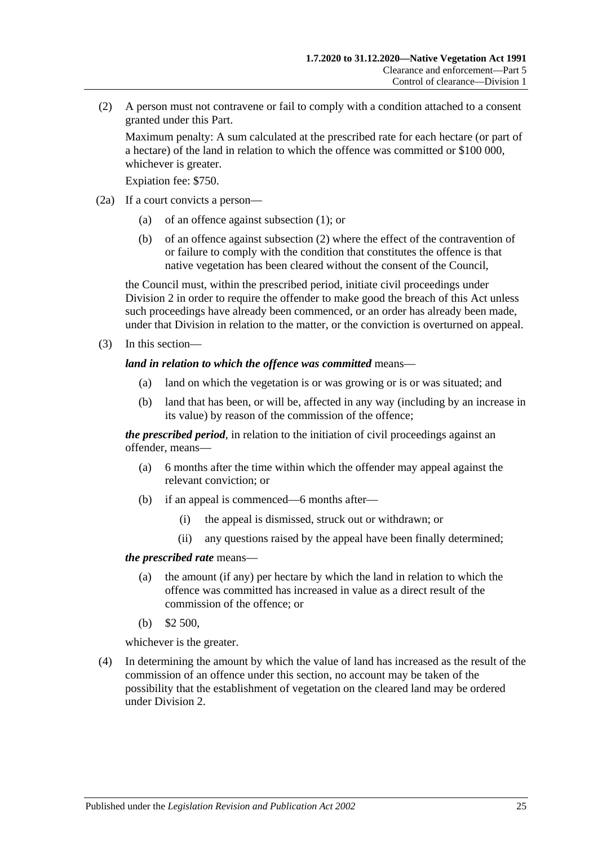<span id="page-24-0"></span>(2) A person must not contravene or fail to comply with a condition attached to a consent granted under this Part.

Maximum penalty: A sum calculated at the prescribed rate for each hectare (or part of a hectare) of the land in relation to which the offence was committed or \$100 000, whichever is greater.

Expiation fee: \$750.

- (2a) If a court convicts a person—
	- (a) of an offence against [subsection](#page-23-4) (1); or
	- (b) of an offence against [subsection](#page-24-0) (2) where the effect of the contravention of or failure to comply with the condition that constitutes the offence is that native vegetation has been cleared without the consent of the Council,

the Council must, within the prescribed period, initiate civil proceedings under [Division 2](#page-34-1) in order to require the offender to make good the breach of this Act unless such proceedings have already been commenced, or an order has already been made, under that Division in relation to the matter, or the conviction is overturned on appeal.

(3) In this section—

#### *land in relation to which the offence was committed* means—

- (a) land on which the vegetation is or was growing or is or was situated; and
- (b) land that has been, or will be, affected in any way (including by an increase in its value) by reason of the commission of the offence;

*the prescribed period*, in relation to the initiation of civil proceedings against an offender, means—

- (a) 6 months after the time within which the offender may appeal against the relevant conviction; or
- (b) if an appeal is commenced—6 months after—
	- (i) the appeal is dismissed, struck out or withdrawn; or
	- (ii) any questions raised by the appeal have been finally determined;

#### *the prescribed rate* means—

- (a) the amount (if any) per hectare by which the land in relation to which the offence was committed has increased in value as a direct result of the commission of the offence; or
- (b) \$2 500,

whichever is the greater.

(4) In determining the amount by which the value of land has increased as the result of the commission of an offence under this section, no account may be taken of the possibility that the establishment of vegetation on the cleared land may be ordered under [Division 2.](#page-34-1)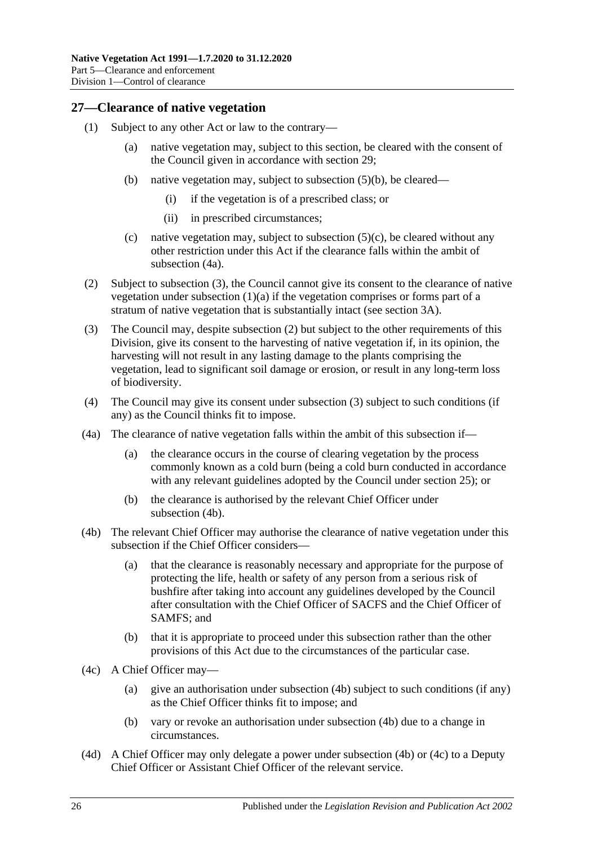## <span id="page-25-0"></span>**27—Clearance of native vegetation**

- <span id="page-25-8"></span><span id="page-25-7"></span><span id="page-25-3"></span>(1) Subject to any other Act or law to the contrary—
	- (a) native vegetation may, subject to this section, be cleared with the consent of the Council given in accordance with [section](#page-28-0) 29;
	- (b) native vegetation may, subject to [subsection](#page-26-1) (5)(b), be cleared—
		- (i) if the vegetation is of a prescribed class; or
		- (ii) in prescribed circumstances;
	- (c) native vegetation may, subject to subsection  $(5)(c)$ , be cleared without any other restriction under this Act if the clearance falls within the ambit of [subsection](#page-25-1) (4a).
- <span id="page-25-9"></span><span id="page-25-4"></span>(2) Subject to [subsection](#page-25-2) (3), the Council cannot give its consent to the clearance of native vegetation under [subsection](#page-25-3)  $(1)(a)$  if the vegetation comprises or forms part of a stratum of native vegetation that is substantially intact (see [section](#page-5-0) 3A).
- <span id="page-25-2"></span>(3) The Council may, despite [subsection](#page-25-4) (2) but subject to the other requirements of this Division, give its consent to the harvesting of native vegetation if, in its opinion, the harvesting will not result in any lasting damage to the plants comprising the vegetation, lead to significant soil damage or erosion, or result in any long-term loss of biodiversity.
- (4) The Council may give its consent under [subsection](#page-25-2) (3) subject to such conditions (if any) as the Council thinks fit to impose.
- <span id="page-25-1"></span>(4a) The clearance of native vegetation falls within the ambit of this subsection if—
	- (a) the clearance occurs in the course of clearing vegetation by the process commonly known as a cold burn (being a cold burn conducted in accordance with any relevant guidelines adopted by the Council under [section](#page-18-0) 25); or
	- (b) the clearance is authorised by the relevant Chief Officer under [subsection](#page-25-5) (4b).
- <span id="page-25-5"></span>(4b) The relevant Chief Officer may authorise the clearance of native vegetation under this subsection if the Chief Officer considers—
	- (a) that the clearance is reasonably necessary and appropriate for the purpose of protecting the life, health or safety of any person from a serious risk of bushfire after taking into account any guidelines developed by the Council after consultation with the Chief Officer of SACFS and the Chief Officer of SAMFS; and
	- (b) that it is appropriate to proceed under this subsection rather than the other provisions of this Act due to the circumstances of the particular case.
- <span id="page-25-6"></span>(4c) A Chief Officer may—
	- (a) give an authorisation under [subsection](#page-25-5) (4b) subject to such conditions (if any) as the Chief Officer thinks fit to impose; and
	- (b) vary or revoke an authorisation under [subsection](#page-25-5) (4b) due to a change in circumstances.
- (4d) A Chief Officer may only delegate a power under [subsection](#page-25-5) (4b) or [\(4c\)](#page-25-6) to a Deputy Chief Officer or Assistant Chief Officer of the relevant service.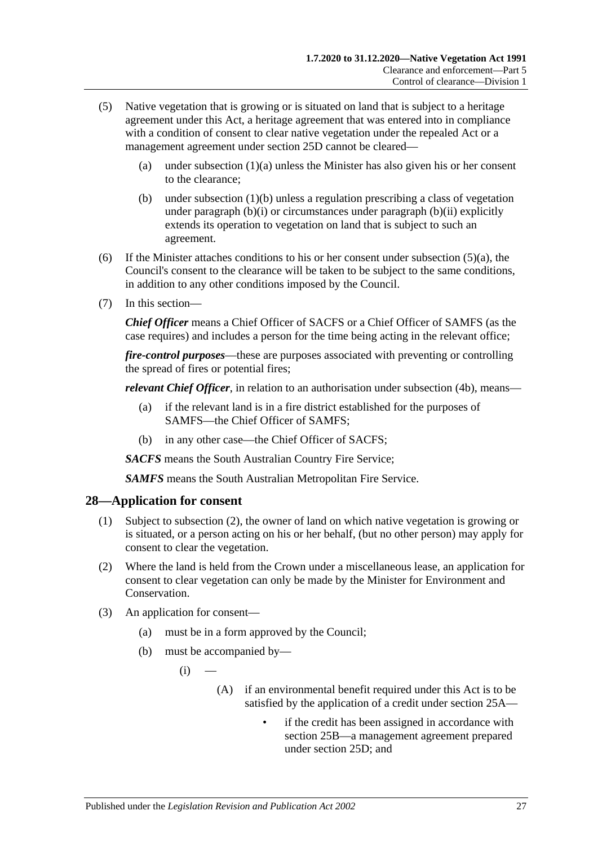- <span id="page-26-2"></span>(5) Native vegetation that is growing or is situated on land that is subject to a heritage agreement under this Act, a heritage agreement that was entered into in compliance with a condition of consent to clear native vegetation under the repealed Act or a management agreement under section 25D cannot be cleared
	- (a) under [subsection](#page-25-3)  $(1)(a)$  unless the Minister has also given his or her consent to the clearance;
	- (b) under [subsection](#page-25-7) (1)(b) unless a regulation prescribing a class of vegetation under [paragraph](#page-25-8) (b)(i) or circumstances under [paragraph](#page-25-9) (b)(ii) explicitly extends its operation to vegetation on land that is subject to such an agreement.
- <span id="page-26-1"></span>(6) If the Minister attaches conditions to his or her consent under [subsection](#page-26-2)  $(5)(a)$ , the Council's consent to the clearance will be taken to be subject to the same conditions, in addition to any other conditions imposed by the Council.
- (7) In this section—

*Chief Officer* means a Chief Officer of SACFS or a Chief Officer of SAMFS (as the case requires) and includes a person for the time being acting in the relevant office;

*fire-control purposes*—these are purposes associated with preventing or controlling the spread of fires or potential fires;

*relevant Chief Officer*, in relation to an authorisation under [subsection](#page-25-5) (4b), means—

- (a) if the relevant land is in a fire district established for the purposes of SAMFS—the Chief Officer of SAMFS;
- (b) in any other case—the Chief Officer of SACFS;

*SACFS* means the South Australian Country Fire Service;

*SAMFS* means the South Australian Metropolitan Fire Service.

#### <span id="page-26-0"></span>**28—Application for consent**

- (1) Subject to [subsection](#page-26-3) (2), the owner of land on which native vegetation is growing or is situated, or a person acting on his or her behalf, (but no other person) may apply for consent to clear the vegetation.
- <span id="page-26-3"></span>(2) Where the land is held from the Crown under a miscellaneous lease, an application for consent to clear vegetation can only be made by the Minister for Environment and Conservation.
- (3) An application for consent—
	- (a) must be in a form approved by the Council;
	- (b) must be accompanied by—
		- $(i)$ 
			- (A) if an environmental benefit required under this Act is to be satisfied by the application of a credit under [section](#page-19-1) 25A
				- if the credit has been assigned in accordance with [section](#page-20-0) 25B—a management agreement prepared under [section](#page-22-0) 25D; and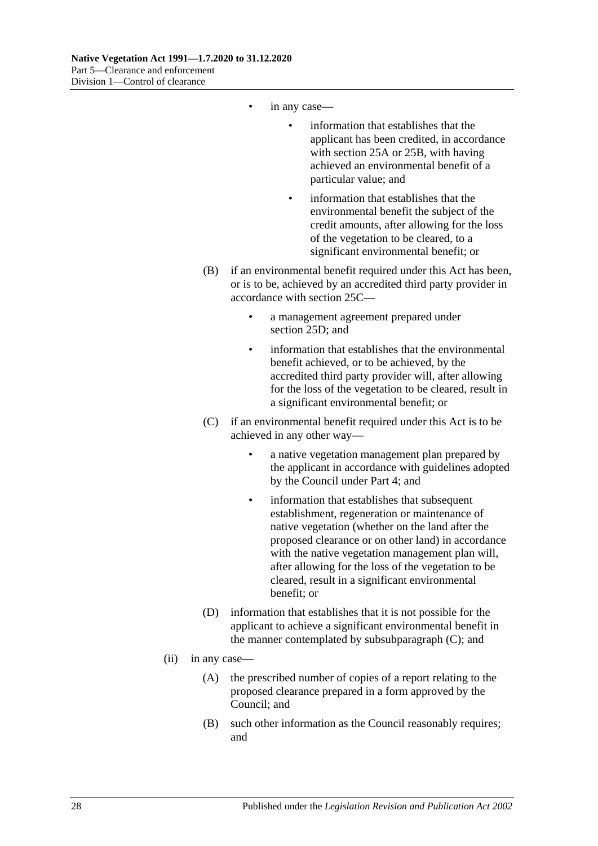- in any case—
	- information that establishes that the applicant has been credited, in accordance with [section](#page-19-1) 25A or [25B,](#page-20-0) with having achieved an environmental benefit of a particular value; and
	- information that establishes that the environmental benefit the subject of the credit amounts, after allowing for the loss of the vegetation to be cleared, to a significant environmental benefit; or
- (B) if an environmental benefit required under this Act has been, or is to be, achieved by an accredited third party provider in accordance with [section](#page-21-0) 25C—
	- a management agreement prepared under [section](#page-22-0) 25D; and
	- information that establishes that the environmental benefit achieved, or to be achieved, by the accredited third party provider will, after allowing for the loss of the vegetation to be cleared, result in a significant environmental benefit; or
- (C) if an environmental benefit required under this Act is to be achieved in any other way
	- a native vegetation management plan prepared by the applicant in accordance with guidelines adopted by the Council under [Part 4;](#page-14-1) and
	- information that establishes that subsequent establishment, regeneration or maintenance of native vegetation (whether on the land after the proposed clearance or on other land) in accordance with the native vegetation management plan will, after allowing for the loss of the vegetation to be cleared, result in a significant environmental benefit; or
- (D) information that establishes that it is not possible for the applicant to achieve a significant environmental benefit in the manner contemplated by subsubparagraph (C); and
- <span id="page-27-1"></span><span id="page-27-0"></span>(ii) in any case—
	- (A) the prescribed number of copies of a report relating to the proposed clearance prepared in a form approved by the Council; and
	- (B) such other information as the Council reasonably requires; and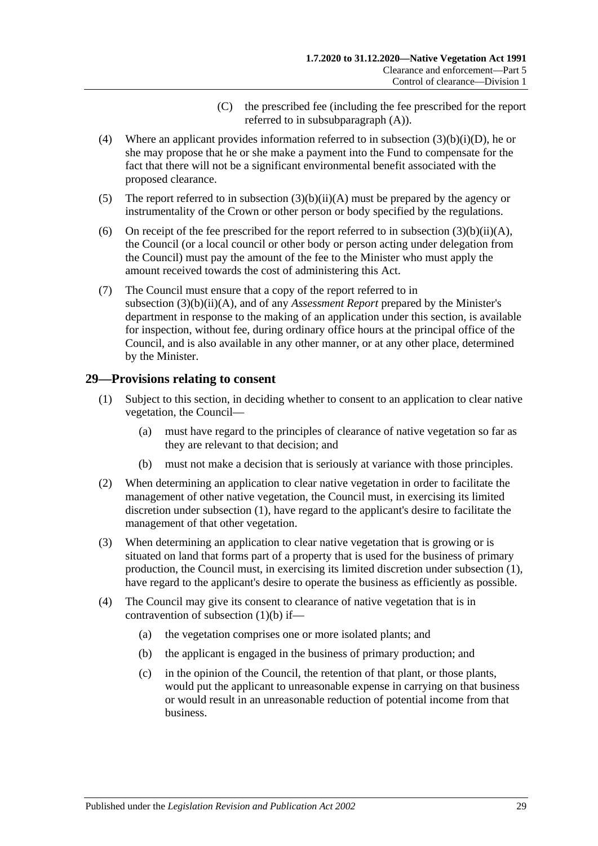- (C) the prescribed fee (including the fee prescribed for the report referred to in subsubparagraph (A)).
- <span id="page-28-2"></span><span id="page-28-1"></span>(4) Where an applicant provides information referred to in subsection [\(3\)\(b\)\(i\)\(D\),](#page-27-1) he or she may propose that he or she make a payment into the Fund to compensate for the fact that there will not be a significant environmental benefit associated with the proposed clearance.
- <span id="page-28-5"></span>(5) The report referred to in subsection  $(3)(b)(ii)(A)$  must be prepared by the agency or instrumentality of the Crown or other person or body specified by the regulations.
- (6) On receipt of the fee prescribed for the report referred to in subsection  $(3)(b)(ii)(A)$ , the Council (or a local council or other body or person acting under delegation from the Council) must pay the amount of the fee to the Minister who must apply the amount received towards the cost of administering this Act.
- (7) The Council must ensure that a copy of the report referred to in subsection [\(3\)\(b\)\(ii\)\(A\),](#page-27-0) and of any *Assessment Report* prepared by the Minister's department in response to the making of an application under this section, is available for inspection, without fee, during ordinary office hours at the principal office of the Council, and is also available in any other manner, or at any other place, determined by the Minister.

### <span id="page-28-3"></span><span id="page-28-0"></span>**29—Provisions relating to consent**

- (1) Subject to this section, in deciding whether to consent to an application to clear native vegetation, the Council—
	- (a) must have regard to the principles of clearance of native vegetation so far as they are relevant to that decision; and
	- (b) must not make a decision that is seriously at variance with those principles.
- <span id="page-28-4"></span>(2) When determining an application to clear native vegetation in order to facilitate the management of other native vegetation, the Council must, in exercising its limited discretion under [subsection](#page-28-3) (1), have regard to the applicant's desire to facilitate the management of that other vegetation.
- (3) When determining an application to clear native vegetation that is growing or is situated on land that forms part of a property that is used for the business of primary production, the Council must, in exercising its limited discretion under [subsection](#page-28-3) (1), have regard to the applicant's desire to operate the business as efficiently as possible.
- (4) The Council may give its consent to clearance of native vegetation that is in contravention of [subsection](#page-28-4) (1)(b) if—
	- (a) the vegetation comprises one or more isolated plants; and
	- (b) the applicant is engaged in the business of primary production; and
	- (c) in the opinion of the Council, the retention of that plant, or those plants, would put the applicant to unreasonable expense in carrying on that business or would result in an unreasonable reduction of potential income from that business.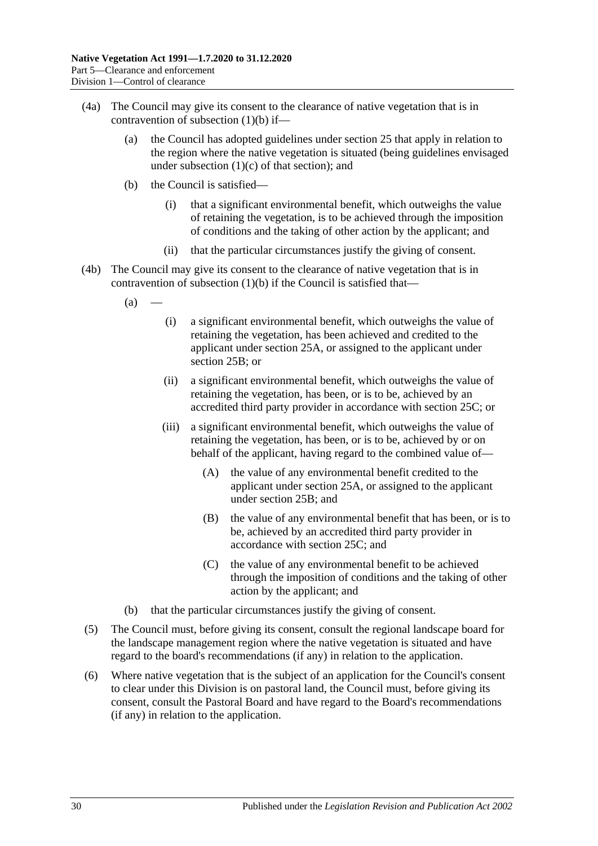- <span id="page-29-0"></span>(4a) The Council may give its consent to the clearance of native vegetation that is in contravention of [subsection](#page-28-4) (1)(b) if—
	- (a) the Council has adopted guidelines under [section](#page-18-0) 25 that apply in relation to the region where the native vegetation is situated (being guidelines envisaged under [subsection](#page-18-4)  $(1)(c)$  of that section); and
	- (b) the Council is satisfied—
		- (i) that a significant environmental benefit, which outweighs the value of retaining the vegetation, is to be achieved through the imposition of conditions and the taking of other action by the applicant; and
		- (ii) that the particular circumstances justify the giving of consent.
- <span id="page-29-4"></span><span id="page-29-3"></span><span id="page-29-2"></span>(4b) The Council may give its consent to the clearance of native vegetation that is in contravention of [subsection](#page-28-4)  $(1)(b)$  if the Council is satisfied that—
	- $(a)$ 
		- (i) a significant environmental benefit, which outweighs the value of retaining the vegetation, has been achieved and credited to the applicant under [section](#page-19-1) 25A, or assigned to the applicant under [section](#page-20-0) 25B; or
		- (ii) a significant environmental benefit, which outweighs the value of retaining the vegetation, has been, or is to be, achieved by an accredited third party provider in accordance with [section](#page-21-0) 25C; or
		- (iii) a significant environmental benefit, which outweighs the value of retaining the vegetation, has been, or is to be, achieved by or on behalf of the applicant, having regard to the combined value of—
			- (A) the value of any environmental benefit credited to the applicant under [section](#page-19-1) 25A, or assigned to the applicant under [section](#page-20-0) 25B; and
			- (B) the value of any environmental benefit that has been, or is to be, achieved by an accredited third party provider in accordance with [section](#page-21-0) 25C; and
			- (C) the value of any environmental benefit to be achieved through the imposition of conditions and the taking of other action by the applicant; and
	- (b) that the particular circumstances justify the giving of consent.
- (5) The Council must, before giving its consent, consult the regional landscape board for the landscape management region where the native vegetation is situated and have regard to the board's recommendations (if any) in relation to the application.
- <span id="page-29-1"></span>(6) Where native vegetation that is the subject of an application for the Council's consent to clear under this Division is on pastoral land, the Council must, before giving its consent, consult the Pastoral Board and have regard to the Board's recommendations (if any) in relation to the application.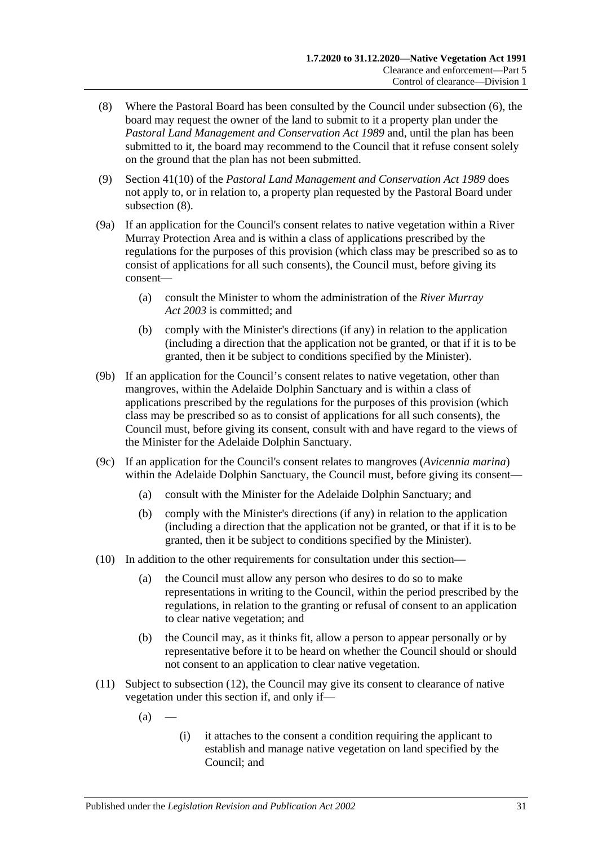- <span id="page-30-0"></span>(8) Where the Pastoral Board has been consulted by the Council under [subsection](#page-29-1) (6), the board may request the owner of the land to submit to it a property plan under the *[Pastoral Land Management and Conservation Act](http://www.legislation.sa.gov.au/index.aspx?action=legref&type=act&legtitle=Pastoral%20Land%20Management%20and%20Conservation%20Act%201989) 1989* and, until the plan has been submitted to it, the board may recommend to the Council that it refuse consent solely on the ground that the plan has not been submitted.
- (9) Section 41(10) of the *[Pastoral Land Management and Conservation Act](http://www.legislation.sa.gov.au/index.aspx?action=legref&type=act&legtitle=Pastoral%20Land%20Management%20and%20Conservation%20Act%201989) 1989* does not apply to, or in relation to, a property plan requested by the Pastoral Board under [subsection](#page-30-0) (8).
- (9a) If an application for the Council's consent relates to native vegetation within a River Murray Protection Area and is within a class of applications prescribed by the regulations for the purposes of this provision (which class may be prescribed so as to consist of applications for all such consents), the Council must, before giving its consent—
	- (a) consult the Minister to whom the administration of the *[River Murray](http://www.legislation.sa.gov.au/index.aspx?action=legref&type=act&legtitle=River%20Murray%20Act%202003)  Act [2003](http://www.legislation.sa.gov.au/index.aspx?action=legref&type=act&legtitle=River%20Murray%20Act%202003)* is committed; and
	- (b) comply with the Minister's directions (if any) in relation to the application (including a direction that the application not be granted, or that if it is to be granted, then it be subject to conditions specified by the Minister).
- (9b) If an application for the Council's consent relates to native vegetation, other than mangroves, within the Adelaide Dolphin Sanctuary and is within a class of applications prescribed by the regulations for the purposes of this provision (which class may be prescribed so as to consist of applications for all such consents), the Council must, before giving its consent, consult with and have regard to the views of the Minister for the Adelaide Dolphin Sanctuary.
- (9c) If an application for the Council's consent relates to mangroves (*Avicennia marina*) within the Adelaide Dolphin Sanctuary, the Council must, before giving its consent—
	- (a) consult with the Minister for the Adelaide Dolphin Sanctuary; and
	- (b) comply with the Minister's directions (if any) in relation to the application (including a direction that the application not be granted, or that if it is to be granted, then it be subject to conditions specified by the Minister).
- (10) In addition to the other requirements for consultation under this section—
	- (a) the Council must allow any person who desires to do so to make representations in writing to the Council, within the period prescribed by the regulations, in relation to the granting or refusal of consent to an application to clear native vegetation; and
	- (b) the Council may, as it thinks fit, allow a person to appear personally or by representative before it to be heard on whether the Council should or should not consent to an application to clear native vegetation.
- <span id="page-30-1"></span>(11) Subject to [subsection](#page-31-1) (12), the Council may give its consent to clearance of native vegetation under this section if, and only if—
	- $(a)$
- (i) it attaches to the consent a condition requiring the applicant to establish and manage native vegetation on land specified by the Council; and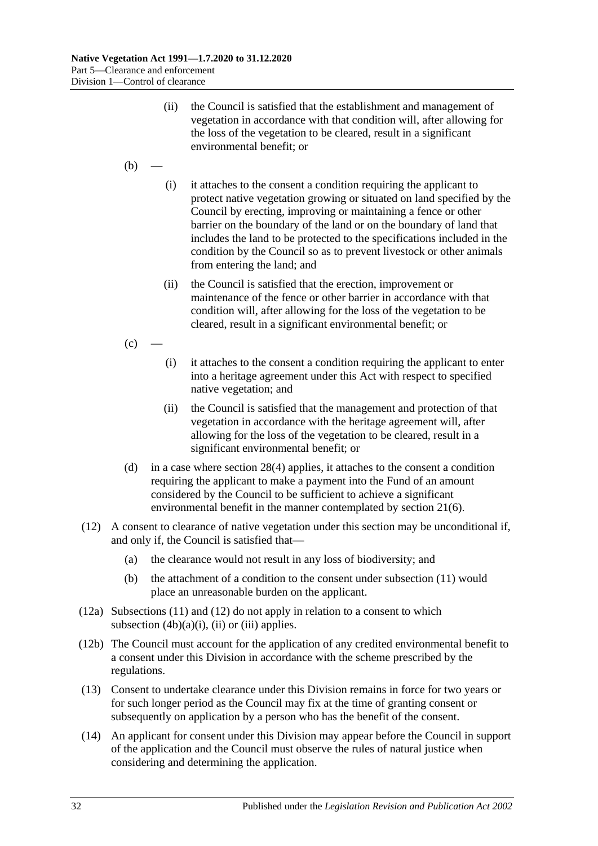- (ii) the Council is satisfied that the establishment and management of vegetation in accordance with that condition will, after allowing for the loss of the vegetation to be cleared, result in a significant environmental benefit; or
- $(b)$
- (i) it attaches to the consent a condition requiring the applicant to protect native vegetation growing or situated on land specified by the Council by erecting, improving or maintaining a fence or other barrier on the boundary of the land or on the boundary of land that includes the land to be protected to the specifications included in the condition by the Council so as to prevent livestock or other animals from entering the land; and
- (ii) the Council is satisfied that the erection, improvement or maintenance of the fence or other barrier in accordance with that condition will, after allowing for the loss of the vegetation to be cleared, result in a significant environmental benefit; or
- $(c)$ 
	- (i) it attaches to the consent a condition requiring the applicant to enter into a heritage agreement under this Act with respect to specified native vegetation; and
	- (ii) the Council is satisfied that the management and protection of that vegetation in accordance with the heritage agreement will, after allowing for the loss of the vegetation to be cleared, result in a significant environmental benefit; or
- <span id="page-31-0"></span>(d) in a case where [section](#page-28-2) 28(4) applies, it attaches to the consent a condition requiring the applicant to make a payment into the Fund of an amount considered by the Council to be sufficient to achieve a significant environmental benefit in the manner contemplated by [section](#page-13-5) 21(6).
- <span id="page-31-1"></span>(12) A consent to clearance of native vegetation under this section may be unconditional if, and only if, the Council is satisfied that—
	- (a) the clearance would not result in any loss of biodiversity; and
	- (b) the attachment of a condition to the consent under [subsection](#page-30-1) (11) would place an unreasonable burden on the applicant.
- (12a) [Subsections](#page-30-1) (11) and [\(12\)](#page-31-1) do not apply in relation to a consent to which [subsection](#page-29-2)  $(4b)(a)(i)$ ,  $(ii)$  or  $(iii)$  applies.
- (12b) The Council must account for the application of any credited environmental benefit to a consent under this Division in accordance with the scheme prescribed by the regulations.
- (13) Consent to undertake clearance under this Division remains in force for two years or for such longer period as the Council may fix at the time of granting consent or subsequently on application by a person who has the benefit of the consent.
- (14) An applicant for consent under this Division may appear before the Council in support of the application and the Council must observe the rules of natural justice when considering and determining the application.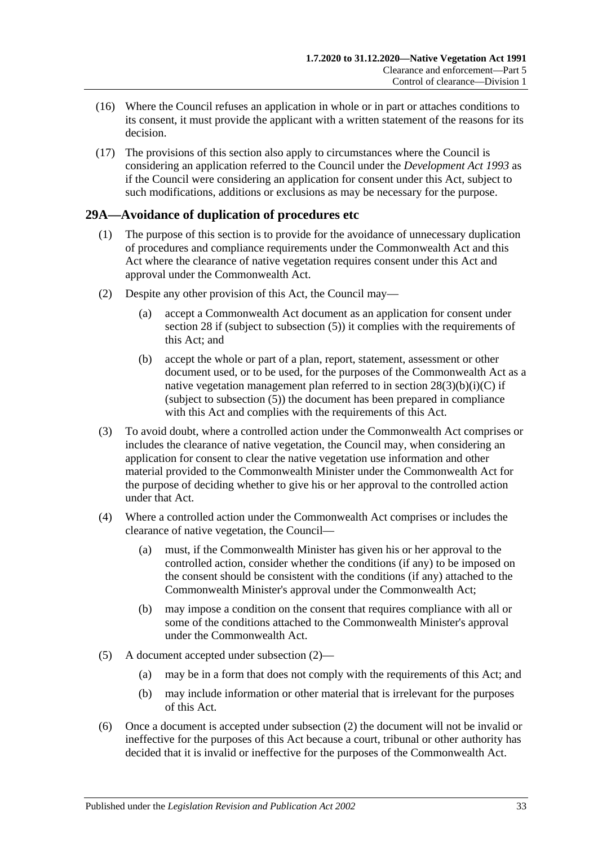- (16) Where the Council refuses an application in whole or in part or attaches conditions to its consent, it must provide the applicant with a written statement of the reasons for its decision.
- (17) The provisions of this section also apply to circumstances where the Council is considering an application referred to the Council under the *[Development Act](http://www.legislation.sa.gov.au/index.aspx?action=legref&type=act&legtitle=Development%20Act%201993) 1993* as if the Council were considering an application for consent under this Act, subject to such modifications, additions or exclusions as may be necessary for the purpose.

## <span id="page-32-0"></span>**29A—Avoidance of duplication of procedures etc**

- (1) The purpose of this section is to provide for the avoidance of unnecessary duplication of procedures and compliance requirements under the Commonwealth Act and this Act where the clearance of native vegetation requires consent under this Act and approval under the Commonwealth Act.
- <span id="page-32-1"></span>(2) Despite any other provision of this Act, the Council may—
	- (a) accept a Commonwealth Act document as an application for consent under [section](#page-26-0) 28 if (subject to [subsection](#page-28-5) (5)) it complies with the requirements of this Act; and
	- (b) accept the whole or part of a plan, report, statement, assessment or other document used, or to be used, for the purposes of the Commonwealth Act as a native vegetation management plan referred to in section  $28(3)(b)(i)(C)$  if (subject to [subsection](#page-28-5) (5)) the document has been prepared in compliance with this Act and complies with the requirements of this Act.
- (3) To avoid doubt, where a controlled action under the Commonwealth Act comprises or includes the clearance of native vegetation, the Council may, when considering an application for consent to clear the native vegetation use information and other material provided to the Commonwealth Minister under the Commonwealth Act for the purpose of deciding whether to give his or her approval to the controlled action under that Act.
- (4) Where a controlled action under the Commonwealth Act comprises or includes the clearance of native vegetation, the Council—
	- (a) must, if the Commonwealth Minister has given his or her approval to the controlled action, consider whether the conditions (if any) to be imposed on the consent should be consistent with the conditions (if any) attached to the Commonwealth Minister's approval under the Commonwealth Act;
	- (b) may impose a condition on the consent that requires compliance with all or some of the conditions attached to the Commonwealth Minister's approval under the Commonwealth Act.
- (5) A document accepted under [subsection](#page-32-1) (2)—
	- (a) may be in a form that does not comply with the requirements of this Act; and
	- (b) may include information or other material that is irrelevant for the purposes of this Act.
- (6) Once a document is accepted under [subsection](#page-32-1) (2) the document will not be invalid or ineffective for the purposes of this Act because a court, tribunal or other authority has decided that it is invalid or ineffective for the purposes of the Commonwealth Act.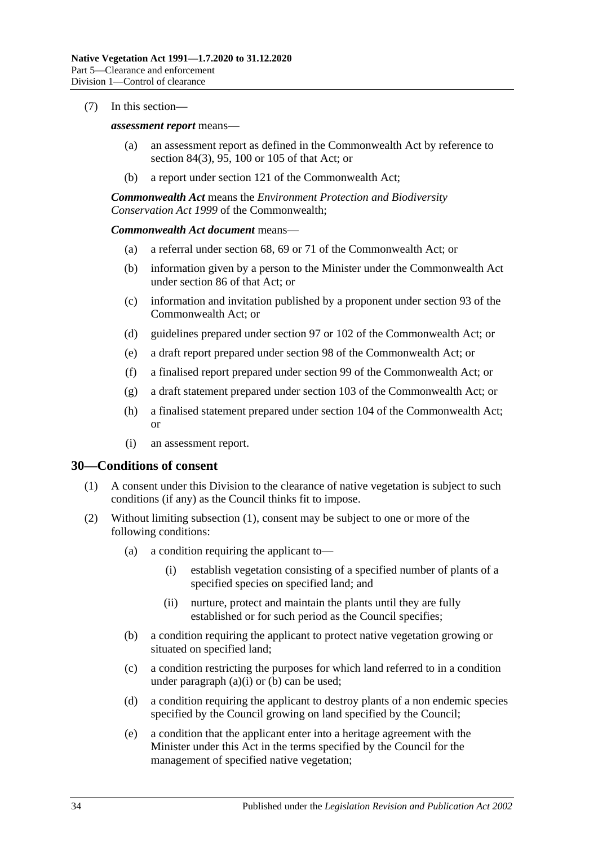#### (7) In this section—

#### *assessment report* means—

- (a) an assessment report as defined in the Commonwealth Act by reference to section 84(3), 95, 100 or 105 of that Act; or
- (b) a report under section 121 of the Commonwealth Act;

*Commonwealth Act* means the *Environment Protection and Biodiversity Conservation Act 1999* of the Commonwealth;

#### *Commonwealth Act document* means—

- (a) a referral under section 68, 69 or 71 of the Commonwealth Act; or
- (b) information given by a person to the Minister under the Commonwealth Act under section 86 of that Act; or
- (c) information and invitation published by a proponent under section 93 of the Commonwealth Act; or
- (d) guidelines prepared under section 97 or 102 of the Commonwealth Act; or
- (e) a draft report prepared under section 98 of the Commonwealth Act; or
- (f) a finalised report prepared under section 99 of the Commonwealth Act; or
- (g) a draft statement prepared under section 103 of the Commonwealth Act; or
- (h) a finalised statement prepared under section 104 of the Commonwealth Act; or
- (i) an assessment report.

#### <span id="page-33-1"></span><span id="page-33-0"></span>**30—Conditions of consent**

- (1) A consent under this Division to the clearance of native vegetation is subject to such conditions (if any) as the Council thinks fit to impose.
- <span id="page-33-5"></span><span id="page-33-4"></span><span id="page-33-3"></span><span id="page-33-2"></span>(2) Without limiting [subsection](#page-33-1) (1), consent may be subject to one or more of the following conditions:
	- (a) a condition requiring the applicant to—
		- (i) establish vegetation consisting of a specified number of plants of a specified species on specified land; and
		- (ii) nurture, protect and maintain the plants until they are fully established or for such period as the Council specifies;
	- (b) a condition requiring the applicant to protect native vegetation growing or situated on specified land;
	- (c) a condition restricting the purposes for which land referred to in a condition under [paragraph](#page-33-2)  $(a)(i)$  or  $(b)$  can be used;
	- (d) a condition requiring the applicant to destroy plants of a non endemic species specified by the Council growing on land specified by the Council;
	- (e) a condition that the applicant enter into a heritage agreement with the Minister under this Act in the terms specified by the Council for the management of specified native vegetation;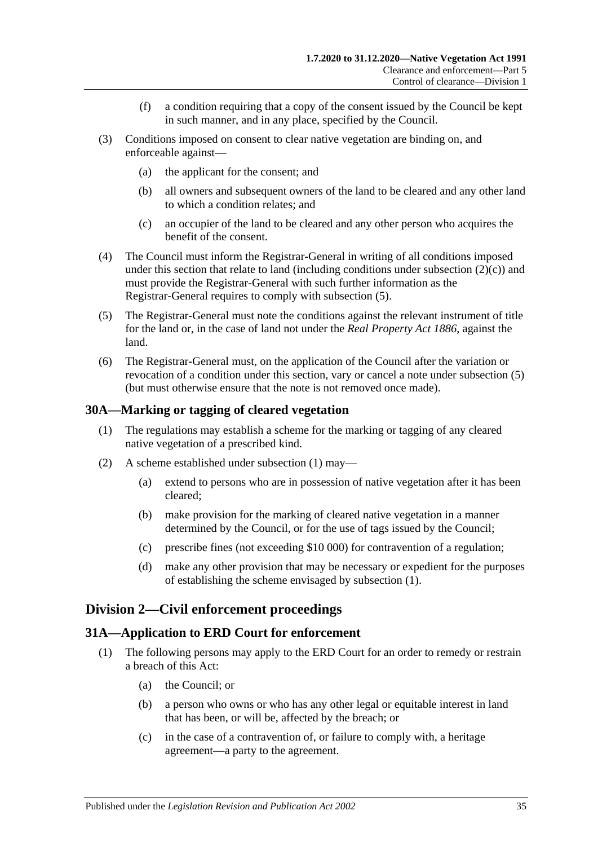- (f) a condition requiring that a copy of the consent issued by the Council be kept in such manner, and in any place, specified by the Council.
- (3) Conditions imposed on consent to clear native vegetation are binding on, and enforceable against—
	- (a) the applicant for the consent; and
	- (b) all owners and subsequent owners of the land to be cleared and any other land to which a condition relates; and
	- (c) an occupier of the land to be cleared and any other person who acquires the benefit of the consent.
- (4) The Council must inform the Registrar-General in writing of all conditions imposed under this section that relate to land (including conditions under [subsection](#page-33-4)  $(2)(c)$ ) and must provide the Registrar-General with such further information as the Registrar-General requires to comply with [subsection](#page-34-3) (5).
- <span id="page-34-3"></span>(5) The Registrar-General must note the conditions against the relevant instrument of title for the land or, in the case of land not under the *[Real Property Act](http://www.legislation.sa.gov.au/index.aspx?action=legref&type=act&legtitle=Real%20Property%20Act%201886) 1886*, against the land.
- (6) The Registrar-General must, on the application of the Council after the variation or revocation of a condition under this section, vary or cancel a note under [subsection](#page-34-3) (5) (but must otherwise ensure that the note is not removed once made).

#### <span id="page-34-4"></span><span id="page-34-0"></span>**30A—Marking or tagging of cleared vegetation**

- (1) The regulations may establish a scheme for the marking or tagging of any cleared native vegetation of a prescribed kind.
- (2) A scheme established under [subsection](#page-34-4) (1) may—
	- (a) extend to persons who are in possession of native vegetation after it has been cleared;
	- (b) make provision for the marking of cleared native vegetation in a manner determined by the Council, or for the use of tags issued by the Council;
	- (c) prescribe fines (not exceeding \$10 000) for contravention of a regulation;
	- (d) make any other provision that may be necessary or expedient for the purposes of establishing the scheme envisaged by [subsection](#page-34-4) (1).

### <span id="page-34-1"></span>**Division 2—Civil enforcement proceedings**

#### <span id="page-34-2"></span>**31A—Application to ERD Court for enforcement**

- (1) The following persons may apply to the ERD Court for an order to remedy or restrain a breach of this Act:
	- (a) the Council; or
	- (b) a person who owns or who has any other legal or equitable interest in land that has been, or will be, affected by the breach; or
	- (c) in the case of a contravention of, or failure to comply with, a heritage agreement—a party to the agreement.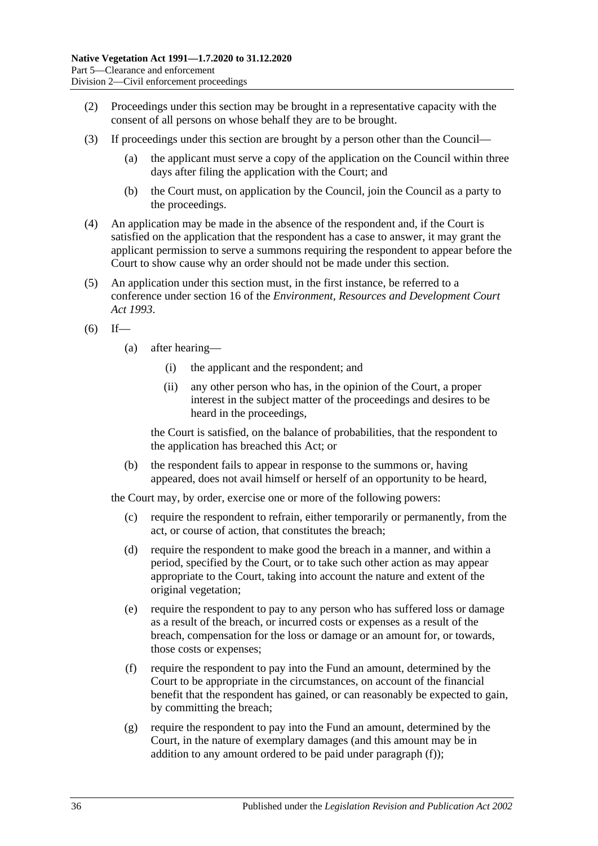- (2) Proceedings under this section may be brought in a representative capacity with the consent of all persons on whose behalf they are to be brought.
- (3) If proceedings under this section are brought by a person other than the Council—
	- (a) the applicant must serve a copy of the application on the Council within three days after filing the application with the Court; and
	- (b) the Court must, on application by the Council, join the Council as a party to the proceedings.
- (4) An application may be made in the absence of the respondent and, if the Court is satisfied on the application that the respondent has a case to answer, it may grant the applicant permission to serve a summons requiring the respondent to appear before the Court to show cause why an order should not be made under this section.
- <span id="page-35-3"></span>(5) An application under this section must, in the first instance, be referred to a conference under section 16 of the *[Environment, Resources and Development Court](http://www.legislation.sa.gov.au/index.aspx?action=legref&type=act&legtitle=Environment%20Resources%20and%20Development%20Court%20Act%201993)  Act [1993](http://www.legislation.sa.gov.au/index.aspx?action=legref&type=act&legtitle=Environment%20Resources%20and%20Development%20Court%20Act%201993)*.
- $(6)$  If—
	- (a) after hearing—
		- (i) the applicant and the respondent; and
		- (ii) any other person who has, in the opinion of the Court, a proper interest in the subject matter of the proceedings and desires to be heard in the proceedings,

the Court is satisfied, on the balance of probabilities, that the respondent to the application has breached this Act; or

(b) the respondent fails to appear in response to the summons or, having appeared, does not avail himself or herself of an opportunity to be heard,

the Court may, by order, exercise one or more of the following powers:

- (c) require the respondent to refrain, either temporarily or permanently, from the act, or course of action, that constitutes the breach;
- <span id="page-35-2"></span>(d) require the respondent to make good the breach in a manner, and within a period, specified by the Court, or to take such other action as may appear appropriate to the Court, taking into account the nature and extent of the original vegetation;
- (e) require the respondent to pay to any person who has suffered loss or damage as a result of the breach, or incurred costs or expenses as a result of the breach, compensation for the loss or damage or an amount for, or towards, those costs or expenses;
- <span id="page-35-0"></span>(f) require the respondent to pay into the Fund an amount, determined by the Court to be appropriate in the circumstances, on account of the financial benefit that the respondent has gained, or can reasonably be expected to gain, by committing the breach;
- <span id="page-35-1"></span>(g) require the respondent to pay into the Fund an amount, determined by the Court, in the nature of exemplary damages (and this amount may be in addition to any amount ordered to be paid under [paragraph](#page-35-0) (f));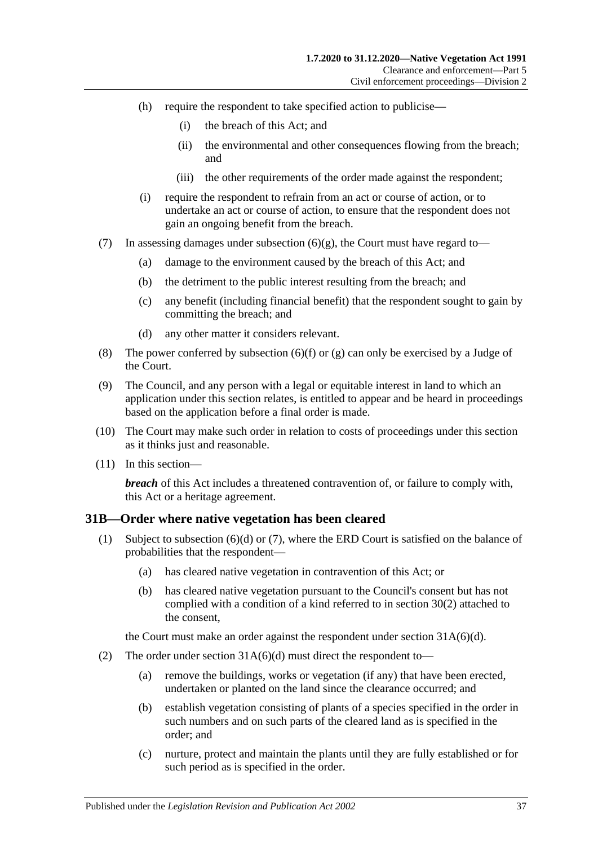- (h) require the respondent to take specified action to publicise—
	- (i) the breach of this Act; and
	- (ii) the environmental and other consequences flowing from the breach; and
	- (iii) the other requirements of the order made against the respondent;
- (i) require the respondent to refrain from an act or course of action, or to undertake an act or course of action, to ensure that the respondent does not gain an ongoing benefit from the breach.
- (7) In assessing damages under [subsection](#page-35-1)  $(6)(g)$ , the Court must have regard to-
	- (a) damage to the environment caused by the breach of this Act; and
	- (b) the detriment to the public interest resulting from the breach; and
	- (c) any benefit (including financial benefit) that the respondent sought to gain by committing the breach; and
	- (d) any other matter it considers relevant.
- (8) The power conferred by [subsection](#page-35-0) (6)(f) or [\(g\)](#page-35-1) can only be exercised by a Judge of the Court.
- (9) The Council, and any person with a legal or equitable interest in land to which an application under this section relates, is entitled to appear and be heard in proceedings based on the application before a final order is made.
- (10) The Court may make such order in relation to costs of proceedings under this section as it thinks just and reasonable.
- (11) In this section—

*breach* of this Act includes a threatened contravention of, or failure to comply with, this Act or a heritage agreement.

### <span id="page-36-1"></span><span id="page-36-0"></span>**31B—Order where native vegetation has been cleared**

- (1) Subject to [subsection](#page-37-0) (6)(d) or [\(7\),](#page-37-1) where the ERD Court is satisfied on the balance of probabilities that the respondent—
	- (a) has cleared native vegetation in contravention of this Act; or
	- (b) has cleared native vegetation pursuant to the Council's consent but has not complied with a condition of a kind referred to in [section](#page-33-5) 30(2) attached to the consent,

the Court must make an order against the respondent under section [31A\(6\)\(d\).](#page-35-2)

- (2) The order under section  $31A(6)(d)$  must direct the respondent to-
	- (a) remove the buildings, works or vegetation (if any) that have been erected, undertaken or planted on the land since the clearance occurred; and
	- (b) establish vegetation consisting of plants of a species specified in the order in such numbers and on such parts of the cleared land as is specified in the order; and
	- (c) nurture, protect and maintain the plants until they are fully established or for such period as is specified in the order.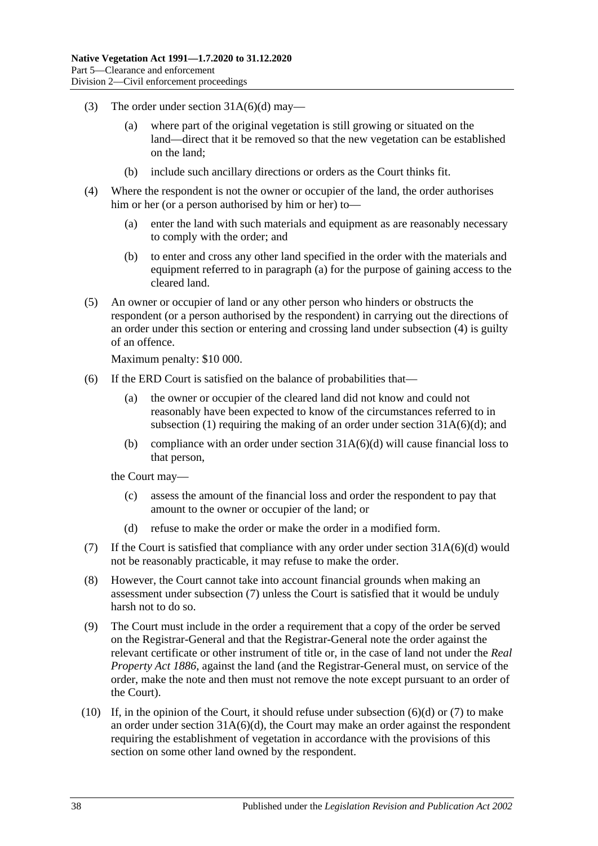- (3) The order under section  $31A(6)(d)$  may—
	- (a) where part of the original vegetation is still growing or situated on the land—direct that it be removed so that the new vegetation can be established on the land;
	- (b) include such ancillary directions or orders as the Court thinks fit.
- <span id="page-37-3"></span><span id="page-37-2"></span>(4) Where the respondent is not the owner or occupier of the land, the order authorises him or her (or a person authorised by him or her) to—
	- (a) enter the land with such materials and equipment as are reasonably necessary to comply with the order; and
	- (b) to enter and cross any other land specified in the order with the materials and equipment referred to in [paragraph](#page-37-2) (a) for the purpose of gaining access to the cleared land.
- <span id="page-37-4"></span>(5) An owner or occupier of land or any other person who hinders or obstructs the respondent (or a person authorised by the respondent) in carrying out the directions of an order under this section or entering and crossing land under [subsection](#page-37-3) (4) is guilty of an offence.

Maximum penalty: \$10 000.

- (6) If the ERD Court is satisfied on the balance of probabilities that—
	- (a) the owner or occupier of the cleared land did not know and could not reasonably have been expected to know of the circumstances referred to in [subsection](#page-36-1) (1) requiring the making of an order under section  $31A(6)(d)$ ; and
	- (b) compliance with an order under section  $31A(6)(d)$  will cause financial loss to that person,

the Court may—

- (c) assess the amount of the financial loss and order the respondent to pay that amount to the owner or occupier of the land; or
- (d) refuse to make the order or make the order in a modified form.
- <span id="page-37-1"></span><span id="page-37-0"></span>(7) If the Court is satisfied that compliance with any order under section  $31A(6)(d)$  would not be reasonably practicable, it may refuse to make the order.
- (8) However, the Court cannot take into account financial grounds when making an assessment under [subsection](#page-37-1) (7) unless the Court is satisfied that it would be unduly harsh not to do so.
- (9) The Court must include in the order a requirement that a copy of the order be served on the Registrar-General and that the Registrar-General note the order against the relevant certificate or other instrument of title or, in the case of land not under the *[Real](http://www.legislation.sa.gov.au/index.aspx?action=legref&type=act&legtitle=Real%20Property%20Act%201886)  [Property Act](http://www.legislation.sa.gov.au/index.aspx?action=legref&type=act&legtitle=Real%20Property%20Act%201886) 1886*, against the land (and the Registrar-General must, on service of the order, make the note and then must not remove the note except pursuant to an order of the Court).
- (10) If, in the opinion of the Court, it should refuse under [subsection](#page-37-0) (6)(d) or [\(7\)](#page-37-1) to make an order under section  $31A(6)(d)$ , the Court may make an order against the respondent requiring the establishment of vegetation in accordance with the provisions of this section on some other land owned by the respondent.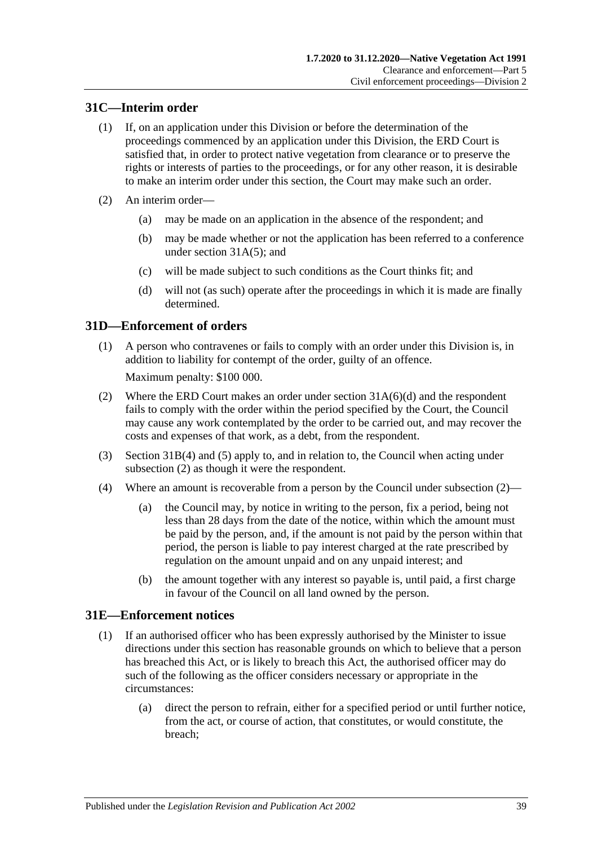## <span id="page-38-0"></span>**31C—Interim order**

- (1) If, on an application under this Division or before the determination of the proceedings commenced by an application under this Division, the ERD Court is satisfied that, in order to protect native vegetation from clearance or to preserve the rights or interests of parties to the proceedings, or for any other reason, it is desirable to make an interim order under this section, the Court may make such an order.
- (2) An interim order—
	- (a) may be made on an application in the absence of the respondent; and
	- (b) may be made whether or not the application has been referred to a conference under section [31A\(5\);](#page-35-3) and
	- (c) will be made subject to such conditions as the Court thinks fit; and
	- (d) will not (as such) operate after the proceedings in which it is made are finally determined.

### <span id="page-38-1"></span>**31D—Enforcement of orders**

(1) A person who contravenes or fails to comply with an order under this Division is, in addition to liability for contempt of the order, guilty of an offence.

Maximum penalty: \$100 000.

- <span id="page-38-3"></span>(2) Where the ERD Court makes an order under section [31A\(6\)\(d\)](#page-35-2) and the respondent fails to comply with the order within the period specified by the Court, the Council may cause any work contemplated by the order to be carried out, and may recover the costs and expenses of that work, as a debt, from the respondent.
- (3) [Section](#page-37-3) 31B(4) and [\(5\)](#page-37-4) apply to, and in relation to, the Council when acting under [subsection](#page-38-3) (2) as though it were the respondent.
- <span id="page-38-5"></span>(4) Where an amount is recoverable from a person by the Council under [subsection](#page-38-3) (2)—
	- (a) the Council may, by notice in writing to the person, fix a period, being not less than 28 days from the date of the notice, within which the amount must be paid by the person, and, if the amount is not paid by the person within that period, the person is liable to pay interest charged at the rate prescribed by regulation on the amount unpaid and on any unpaid interest; and
	- (b) the amount together with any interest so payable is, until paid, a first charge in favour of the Council on all land owned by the person.

### <span id="page-38-4"></span><span id="page-38-2"></span>**31E—Enforcement notices**

- (1) If an authorised officer who has been expressly authorised by the Minister to issue directions under this section has reasonable grounds on which to believe that a person has breached this Act, or is likely to breach this Act, the authorised officer may do such of the following as the officer considers necessary or appropriate in the circumstances:
	- (a) direct the person to refrain, either for a specified period or until further notice, from the act, or course of action, that constitutes, or would constitute, the breach;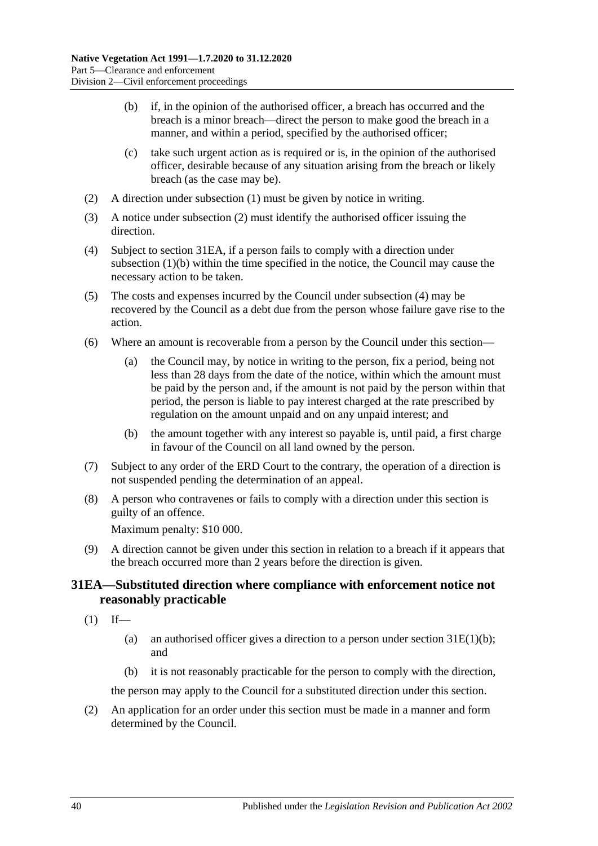- <span id="page-39-2"></span>(b) if, in the opinion of the authorised officer, a breach has occurred and the breach is a minor breach—direct the person to make good the breach in a manner, and within a period, specified by the authorised officer;
- (c) take such urgent action as is required or is, in the opinion of the authorised officer, desirable because of any situation arising from the breach or likely breach (as the case may be).
- <span id="page-39-1"></span>(2) A direction under [subsection](#page-38-4) (1) must be given by notice in writing.
- (3) A notice under [subsection](#page-39-1) (2) must identify the authorised officer issuing the direction.
- <span id="page-39-3"></span>(4) Subject to [section](#page-39-0) 31EA, if a person fails to comply with a direction under [subsection](#page-39-2) (1)(b) within the time specified in the notice, the Council may cause the necessary action to be taken.
- (5) The costs and expenses incurred by the Council under [subsection](#page-39-3) (4) may be recovered by the Council as a debt due from the person whose failure gave rise to the action.
- <span id="page-39-5"></span>(6) Where an amount is recoverable from a person by the Council under this section—
	- (a) the Council may, by notice in writing to the person, fix a period, being not less than 28 days from the date of the notice, within which the amount must be paid by the person and, if the amount is not paid by the person within that period, the person is liable to pay interest charged at the rate prescribed by regulation on the amount unpaid and on any unpaid interest; and
	- (b) the amount together with any interest so payable is, until paid, a first charge in favour of the Council on all land owned by the person.
- (7) Subject to any order of the ERD Court to the contrary, the operation of a direction is not suspended pending the determination of an appeal.
- (8) A person who contravenes or fails to comply with a direction under this section is guilty of an offence.

Maximum penalty: \$10 000.

<span id="page-39-4"></span>(9) A direction cannot be given under this section in relation to a breach if it appears that the breach occurred more than 2 years before the direction is given.

## <span id="page-39-0"></span>**31EA—Substituted direction where compliance with enforcement notice not reasonably practicable**

- $(1)$  If—
	- (a) an authorised officer gives a direction to a person under section  $31E(1)(b)$ ; and
	- (b) it is not reasonably practicable for the person to comply with the direction,

the person may apply to the Council for a substituted direction under this section.

(2) An application for an order under this section must be made in a manner and form determined by the Council.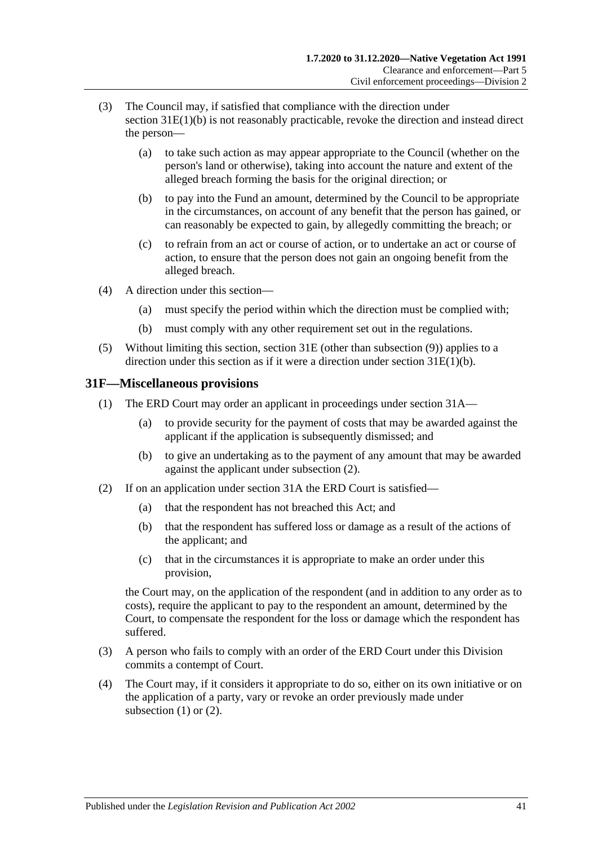- (3) The Council may, if satisfied that compliance with the direction under section [31E\(1\)\(b\)](#page-39-2) is not reasonably practicable, revoke the direction and instead direct the person—
	- (a) to take such action as may appear appropriate to the Council (whether on the person's land or otherwise), taking into account the nature and extent of the alleged breach forming the basis for the original direction; or
	- (b) to pay into the Fund an amount, determined by the Council to be appropriate in the circumstances, on account of any benefit that the person has gained, or can reasonably be expected to gain, by allegedly committing the breach; or
	- (c) to refrain from an act or course of action, or to undertake an act or course of action, to ensure that the person does not gain an ongoing benefit from the alleged breach.
- (4) A direction under this section—
	- (a) must specify the period within which the direction must be complied with;
	- (b) must comply with any other requirement set out in the regulations.
- (5) Without limiting this section, [section](#page-38-2) 31E (other than [subsection](#page-39-4) (9)) applies to a direction under this section as if it were a direction under section [31E\(1\)\(b\).](#page-39-2)

### <span id="page-40-2"></span><span id="page-40-0"></span>**31F—Miscellaneous provisions**

- (1) The ERD Court may order an applicant in proceedings under [section](#page-34-2) 31A—
	- (a) to provide security for the payment of costs that may be awarded against the applicant if the application is subsequently dismissed; and
	- (b) to give an undertaking as to the payment of any amount that may be awarded against the applicant under [subsection](#page-40-1) (2).
- <span id="page-40-1"></span>(2) If on an application under [section](#page-34-2) 31A the ERD Court is satisfied—
	- (a) that the respondent has not breached this Act; and
	- (b) that the respondent has suffered loss or damage as a result of the actions of the applicant; and
	- (c) that in the circumstances it is appropriate to make an order under this provision,

the Court may, on the application of the respondent (and in addition to any order as to costs), require the applicant to pay to the respondent an amount, determined by the Court, to compensate the respondent for the loss or damage which the respondent has suffered.

- (3) A person who fails to comply with an order of the ERD Court under this Division commits a contempt of Court.
- (4) The Court may, if it considers it appropriate to do so, either on its own initiative or on the application of a party, vary or revoke an order previously made under [subsection](#page-40-2)  $(1)$  or  $(2)$ .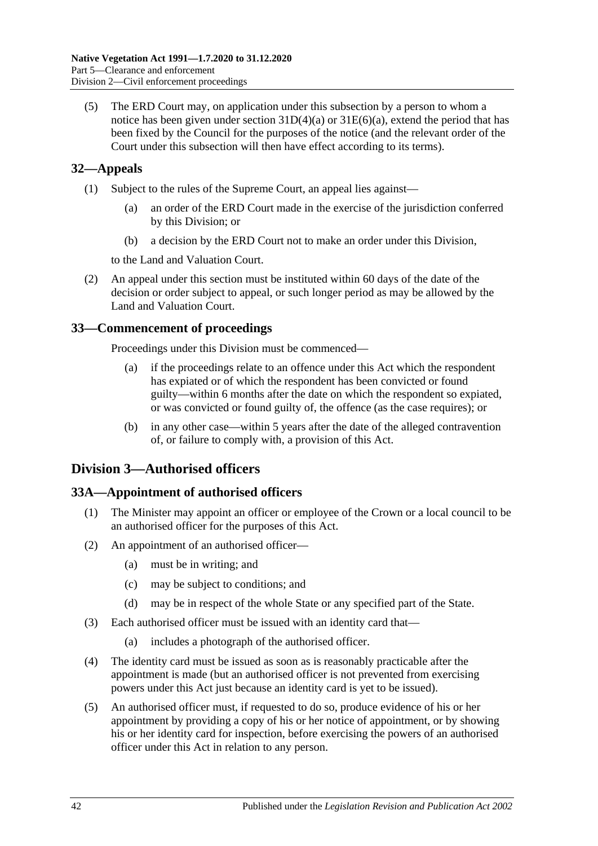(5) The ERD Court may, on application under this subsection by a person to whom a notice has been given under section  $31D(4)(a)$  or  $31E(6)(a)$ , extend the period that has been fixed by the Council for the purposes of the notice (and the relevant order of the Court under this subsection will then have effect according to its terms).

## <span id="page-41-0"></span>**32—Appeals**

- (1) Subject to the rules of the Supreme Court, an appeal lies against—
	- (a) an order of the ERD Court made in the exercise of the jurisdiction conferred by this Division; or
	- (b) a decision by the ERD Court not to make an order under this Division,

to the Land and Valuation Court.

(2) An appeal under this section must be instituted within 60 days of the date of the decision or order subject to appeal, or such longer period as may be allowed by the Land and Valuation Court.

## <span id="page-41-1"></span>**33—Commencement of proceedings**

Proceedings under this Division must be commenced—

- (a) if the proceedings relate to an offence under this Act which the respondent has expiated or of which the respondent has been convicted or found guilty—within 6 months after the date on which the respondent so expiated, or was convicted or found guilty of, the offence (as the case requires); or
- (b) in any other case—within 5 years after the date of the alleged contravention of, or failure to comply with, a provision of this Act.

## <span id="page-41-2"></span>**Division 3—Authorised officers**

### <span id="page-41-3"></span>**33A—Appointment of authorised officers**

- (1) The Minister may appoint an officer or employee of the Crown or a local council to be an authorised officer for the purposes of this Act.
- (2) An appointment of an authorised officer—
	- (a) must be in writing; and
	- (c) may be subject to conditions; and
	- (d) may be in respect of the whole State or any specified part of the State.
- (3) Each authorised officer must be issued with an identity card that—
	- (a) includes a photograph of the authorised officer.
- (4) The identity card must be issued as soon as is reasonably practicable after the appointment is made (but an authorised officer is not prevented from exercising powers under this Act just because an identity card is yet to be issued).
- (5) An authorised officer must, if requested to do so, produce evidence of his or her appointment by providing a copy of his or her notice of appointment, or by showing his or her identity card for inspection, before exercising the powers of an authorised officer under this Act in relation to any person.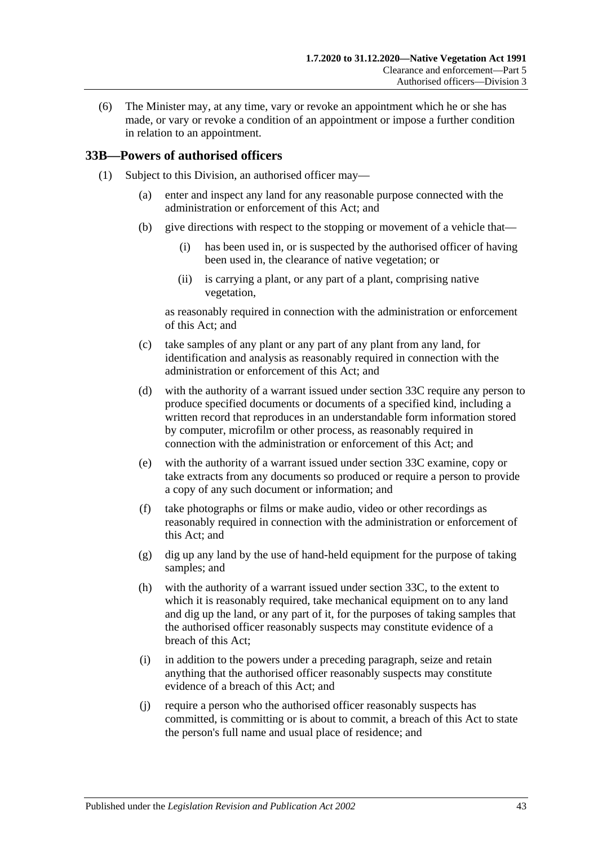(6) The Minister may, at any time, vary or revoke an appointment which he or she has made, or vary or revoke a condition of an appointment or impose a further condition in relation to an appointment.

### <span id="page-42-2"></span><span id="page-42-0"></span>**33B—Powers of authorised officers**

- <span id="page-42-1"></span>(1) Subject to this Division, an authorised officer may—
	- (a) enter and inspect any land for any reasonable purpose connected with the administration or enforcement of this Act; and
	- (b) give directions with respect to the stopping or movement of a vehicle that—
		- (i) has been used in, or is suspected by the authorised officer of having been used in, the clearance of native vegetation; or
		- (ii) is carrying a plant, or any part of a plant, comprising native vegetation,

as reasonably required in connection with the administration or enforcement of this Act; and

- (c) take samples of any plant or any part of any plant from any land, for identification and analysis as reasonably required in connection with the administration or enforcement of this Act; and
- <span id="page-42-3"></span>(d) with the authority of a warrant issued under [section](#page-44-0) 33C require any person to produce specified documents or documents of a specified kind, including a written record that reproduces in an understandable form information stored by computer, microfilm or other process, as reasonably required in connection with the administration or enforcement of this Act; and
- <span id="page-42-4"></span>(e) with the authority of a warrant issued under [section](#page-44-0) 33C examine, copy or take extracts from any documents so produced or require a person to provide a copy of any such document or information; and
- (f) take photographs or films or make audio, video or other recordings as reasonably required in connection with the administration or enforcement of this Act; and
- (g) dig up any land by the use of hand-held equipment for the purpose of taking samples; and
- <span id="page-42-5"></span>(h) with the authority of a warrant issued under [section](#page-44-0) 33C, to the extent to which it is reasonably required, take mechanical equipment on to any land and dig up the land, or any part of it, for the purposes of taking samples that the authorised officer reasonably suspects may constitute evidence of a breach of this Act;
- (i) in addition to the powers under a preceding paragraph, seize and retain anything that the authorised officer reasonably suspects may constitute evidence of a breach of this Act; and
- (j) require a person who the authorised officer reasonably suspects has committed, is committing or is about to commit, a breach of this Act to state the person's full name and usual place of residence; and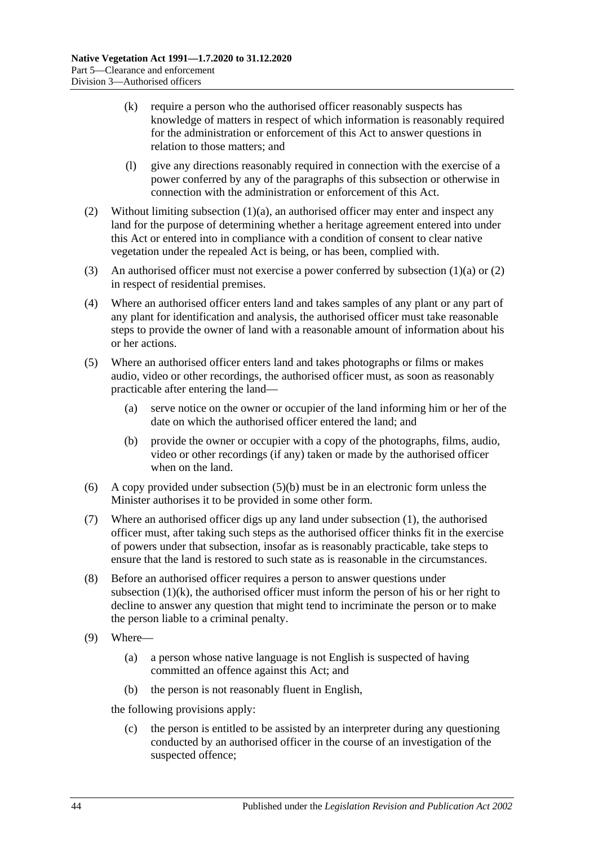- <span id="page-43-2"></span>(k) require a person who the authorised officer reasonably suspects has knowledge of matters in respect of which information is reasonably required for the administration or enforcement of this Act to answer questions in relation to those matters; and
- (l) give any directions reasonably required in connection with the exercise of a power conferred by any of the paragraphs of this subsection or otherwise in connection with the administration or enforcement of this Act.
- <span id="page-43-0"></span>(2) Without limiting [subsection](#page-42-1) (1)(a), an authorised officer may enter and inspect any land for the purpose of determining whether a heritage agreement entered into under this Act or entered into in compliance with a condition of consent to clear native vegetation under the repealed Act is being, or has been, complied with.
- (3) An authorised officer must not exercise a power conferred by [subsection](#page-42-1)  $(1)(a)$  or  $(2)$ in respect of residential premises.
- (4) Where an authorised officer enters land and takes samples of any plant or any part of any plant for identification and analysis, the authorised officer must take reasonable steps to provide the owner of land with a reasonable amount of information about his or her actions.
- (5) Where an authorised officer enters land and takes photographs or films or makes audio, video or other recordings, the authorised officer must, as soon as reasonably practicable after entering the land—
	- (a) serve notice on the owner or occupier of the land informing him or her of the date on which the authorised officer entered the land; and
	- (b) provide the owner or occupier with a copy of the photographs, films, audio, video or other recordings (if any) taken or made by the authorised officer when on the land.
- <span id="page-43-1"></span>(6) A copy provided under [subsection](#page-43-1) (5)(b) must be in an electronic form unless the Minister authorises it to be provided in some other form.
- (7) Where an authorised officer digs up any land under [subsection](#page-42-2) (1), the authorised officer must, after taking such steps as the authorised officer thinks fit in the exercise of powers under that subsection, insofar as is reasonably practicable, take steps to ensure that the land is restored to such state as is reasonable in the circumstances.
- (8) Before an authorised officer requires a person to answer questions under [subsection](#page-43-2)  $(1)(k)$ , the authorised officer must inform the person of his or her right to decline to answer any question that might tend to incriminate the person or to make the person liable to a criminal penalty.
- (9) Where—
	- (a) a person whose native language is not English is suspected of having committed an offence against this Act; and
	- (b) the person is not reasonably fluent in English,

the following provisions apply:

(c) the person is entitled to be assisted by an interpreter during any questioning conducted by an authorised officer in the course of an investigation of the suspected offence;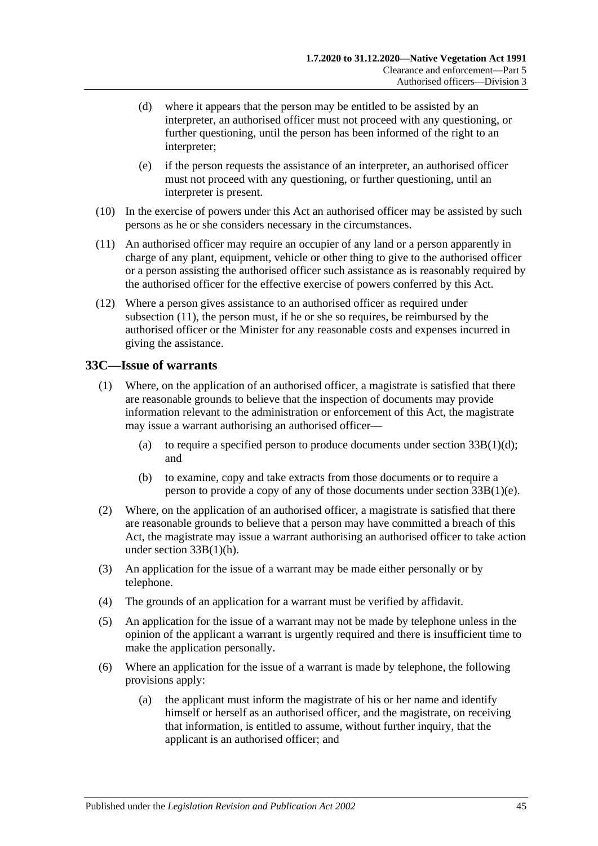- (d) where it appears that the person may be entitled to be assisted by an interpreter, an authorised officer must not proceed with any questioning, or further questioning, until the person has been informed of the right to an interpreter;
- (e) if the person requests the assistance of an interpreter, an authorised officer must not proceed with any questioning, or further questioning, until an interpreter is present.
- (10) In the exercise of powers under this Act an authorised officer may be assisted by such persons as he or she considers necessary in the circumstances.
- <span id="page-44-1"></span>(11) An authorised officer may require an occupier of any land or a person apparently in charge of any plant, equipment, vehicle or other thing to give to the authorised officer or a person assisting the authorised officer such assistance as is reasonably required by the authorised officer for the effective exercise of powers conferred by this Act.
- (12) Where a person gives assistance to an authorised officer as required under [subsection](#page-44-1) (11), the person must, if he or she so requires, be reimbursed by the authorised officer or the Minister for any reasonable costs and expenses incurred in giving the assistance.

### <span id="page-44-0"></span>**33C—Issue of warrants**

- (1) Where, on the application of an authorised officer, a magistrate is satisfied that there are reasonable grounds to believe that the inspection of documents may provide information relevant to the administration or enforcement of this Act, the magistrate may issue a warrant authorising an authorised officer—
	- (a) to require a specified person to produce documents under section  $33B(1)(d)$ ; and
	- (b) to examine, copy and take extracts from those documents or to require a person to provide a copy of any of those documents under section [33B\(1\)\(e\).](#page-42-4)
- (2) Where, on the application of an authorised officer, a magistrate is satisfied that there are reasonable grounds to believe that a person may have committed a breach of this Act, the magistrate may issue a warrant authorising an authorised officer to take action under section [33B\(1\)\(h\).](#page-42-5)
- (3) An application for the issue of a warrant may be made either personally or by telephone.
- (4) The grounds of an application for a warrant must be verified by affidavit.
- (5) An application for the issue of a warrant may not be made by telephone unless in the opinion of the applicant a warrant is urgently required and there is insufficient time to make the application personally.
- (6) Where an application for the issue of a warrant is made by telephone, the following provisions apply:
	- (a) the applicant must inform the magistrate of his or her name and identify himself or herself as an authorised officer, and the magistrate, on receiving that information, is entitled to assume, without further inquiry, that the applicant is an authorised officer; and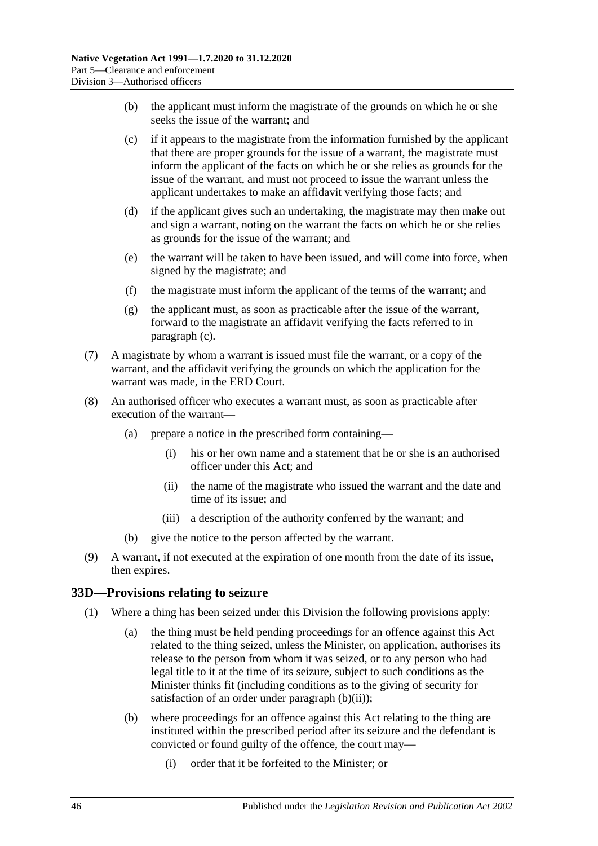- (b) the applicant must inform the magistrate of the grounds on which he or she seeks the issue of the warrant; and
- <span id="page-45-1"></span>(c) if it appears to the magistrate from the information furnished by the applicant that there are proper grounds for the issue of a warrant, the magistrate must inform the applicant of the facts on which he or she relies as grounds for the issue of the warrant, and must not proceed to issue the warrant unless the applicant undertakes to make an affidavit verifying those facts; and
- (d) if the applicant gives such an undertaking, the magistrate may then make out and sign a warrant, noting on the warrant the facts on which he or she relies as grounds for the issue of the warrant; and
- (e) the warrant will be taken to have been issued, and will come into force, when signed by the magistrate; and
- (f) the magistrate must inform the applicant of the terms of the warrant; and
- (g) the applicant must, as soon as practicable after the issue of the warrant, forward to the magistrate an affidavit verifying the facts referred to in [paragraph](#page-45-1) (c).
- (7) A magistrate by whom a warrant is issued must file the warrant, or a copy of the warrant, and the affidavit verifying the grounds on which the application for the warrant was made, in the ERD Court.
- (8) An authorised officer who executes a warrant must, as soon as practicable after execution of the warrant—
	- (a) prepare a notice in the prescribed form containing—
		- (i) his or her own name and a statement that he or she is an authorised officer under this Act; and
		- (ii) the name of the magistrate who issued the warrant and the date and time of its issue; and
		- (iii) a description of the authority conferred by the warrant; and
	- (b) give the notice to the person affected by the warrant.
- (9) A warrant, if not executed at the expiration of one month from the date of its issue, then expires.

#### <span id="page-45-4"></span><span id="page-45-0"></span>**33D—Provisions relating to seizure**

- <span id="page-45-3"></span><span id="page-45-2"></span>(1) Where a thing has been seized under this Division the following provisions apply:
	- (a) the thing must be held pending proceedings for an offence against this Act related to the thing seized, unless the Minister, on application, authorises its release to the person from whom it was seized, or to any person who had legal title to it at the time of its seizure, subject to such conditions as the Minister thinks fit (including conditions as to the giving of security for satisfaction of an order under [paragraph](#page-46-1)  $(b)(ii)$ ;
	- (b) where proceedings for an offence against this Act relating to the thing are instituted within the prescribed period after its seizure and the defendant is convicted or found guilty of the offence, the court may—
		- (i) order that it be forfeited to the Minister; or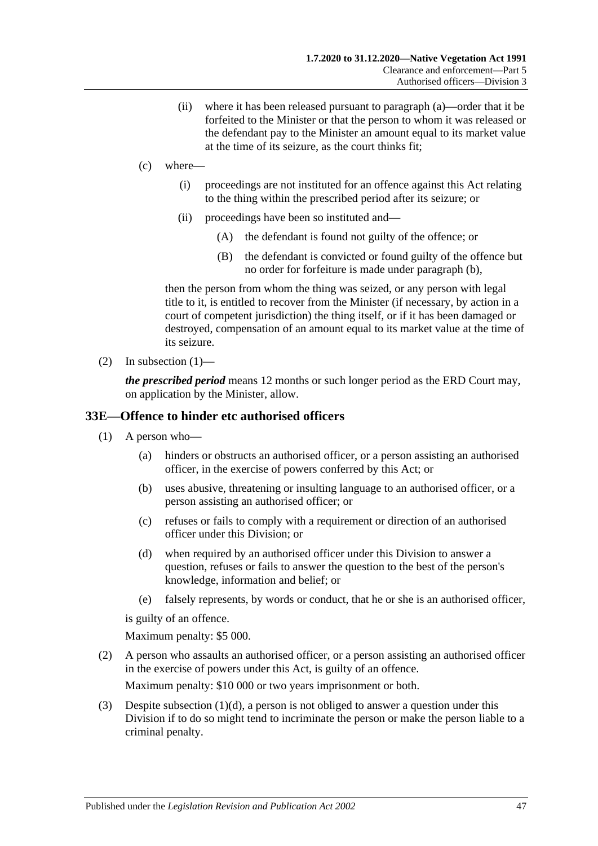- (ii) where it has been released pursuant to [paragraph](#page-45-2) (a)—order that it be forfeited to the Minister or that the person to whom it was released or the defendant pay to the Minister an amount equal to its market value at the time of its seizure, as the court thinks fit;
- <span id="page-46-1"></span>(c) where—
	- (i) proceedings are not instituted for an offence against this Act relating to the thing within the prescribed period after its seizure; or
	- (ii) proceedings have been so instituted and—
		- (A) the defendant is found not guilty of the offence; or
		- (B) the defendant is convicted or found guilty of the offence but no order for forfeiture is made under [paragraph](#page-45-3) (b),

then the person from whom the thing was seized, or any person with legal title to it, is entitled to recover from the Minister (if necessary, by action in a court of competent jurisdiction) the thing itself, or if it has been damaged or destroyed, compensation of an amount equal to its market value at the time of its seizure.

(2) In [subsection](#page-45-4)  $(1)$ —

*the prescribed period* means 12 months or such longer period as the ERD Court may, on application by the Minister, allow.

#### <span id="page-46-0"></span>**33E—Offence to hinder etc authorised officers**

- (1) A person who—
	- (a) hinders or obstructs an authorised officer, or a person assisting an authorised officer, in the exercise of powers conferred by this Act; or
	- (b) uses abusive, threatening or insulting language to an authorised officer, or a person assisting an authorised officer; or
	- (c) refuses or fails to comply with a requirement or direction of an authorised officer under this Division; or
	- (d) when required by an authorised officer under this Division to answer a question, refuses or fails to answer the question to the best of the person's knowledge, information and belief; or
	- (e) falsely represents, by words or conduct, that he or she is an authorised officer,

<span id="page-46-2"></span>is guilty of an offence.

Maximum penalty: \$5 000.

(2) A person who assaults an authorised officer, or a person assisting an authorised officer in the exercise of powers under this Act, is guilty of an offence.

Maximum penalty: \$10 000 or two years imprisonment or both.

(3) Despite [subsection](#page-46-2) (1)(d), a person is not obliged to answer a question under this Division if to do so might tend to incriminate the person or make the person liable to a criminal penalty.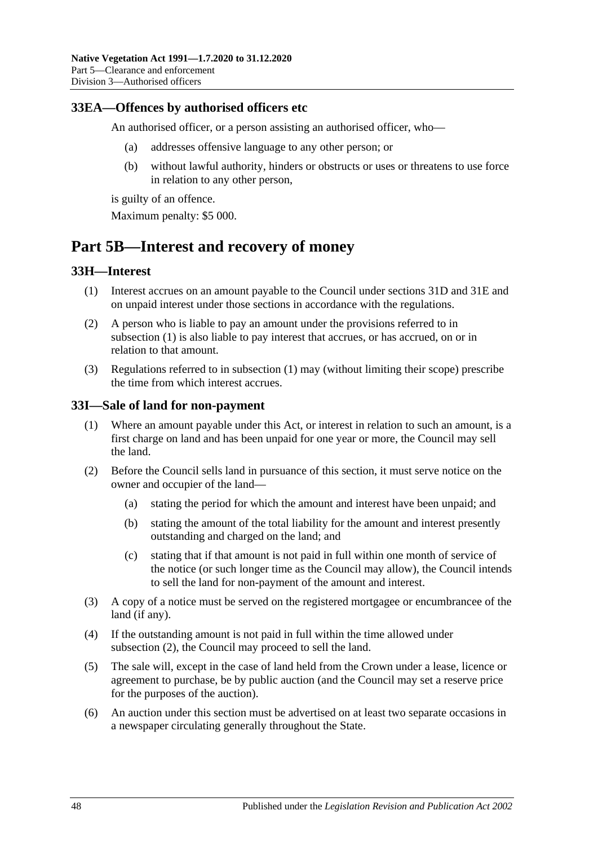### <span id="page-47-0"></span>**33EA—Offences by authorised officers etc**

An authorised officer, or a person assisting an authorised officer, who—

- (a) addresses offensive language to any other person; or
- (b) without lawful authority, hinders or obstructs or uses or threatens to use force in relation to any other person,

is guilty of an offence.

Maximum penalty: \$5 000.

## <span id="page-47-1"></span>**Part 5B—Interest and recovery of money**

### <span id="page-47-4"></span><span id="page-47-2"></span>**33H—Interest**

- (1) Interest accrues on an amount payable to the Council under [sections](#page-38-1) 31D and [31E](#page-38-2) and on unpaid interest under those sections in accordance with the regulations.
- (2) A person who is liable to pay an amount under the provisions referred to in [subsection](#page-47-4) (1) is also liable to pay interest that accrues, or has accrued, on or in relation to that amount.
- (3) Regulations referred to in [subsection](#page-47-4) (1) may (without limiting their scope) prescribe the time from which interest accrues.

#### <span id="page-47-3"></span>**33I—Sale of land for non-payment**

- (1) Where an amount payable under this Act, or interest in relation to such an amount, is a first charge on land and has been unpaid for one year or more, the Council may sell the land.
- <span id="page-47-5"></span>(2) Before the Council sells land in pursuance of this section, it must serve notice on the owner and occupier of the land—
	- (a) stating the period for which the amount and interest have been unpaid; and
	- (b) stating the amount of the total liability for the amount and interest presently outstanding and charged on the land; and
	- (c) stating that if that amount is not paid in full within one month of service of the notice (or such longer time as the Council may allow), the Council intends to sell the land for non-payment of the amount and interest.
- (3) A copy of a notice must be served on the registered mortgagee or encumbrancee of the land (if any).
- (4) If the outstanding amount is not paid in full within the time allowed under [subsection](#page-47-5) (2), the Council may proceed to sell the land.
- (5) The sale will, except in the case of land held from the Crown under a lease, licence or agreement to purchase, be by public auction (and the Council may set a reserve price for the purposes of the auction).
- (6) An auction under this section must be advertised on at least two separate occasions in a newspaper circulating generally throughout the State.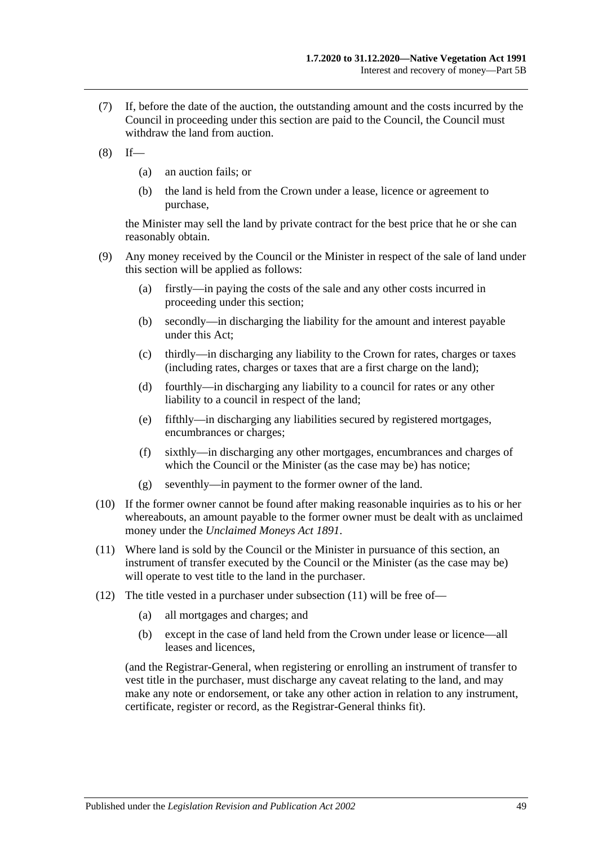- (7) If, before the date of the auction, the outstanding amount and the costs incurred by the Council in proceeding under this section are paid to the Council, the Council must withdraw the land from auction.
- $(8)$  If—
	- (a) an auction fails; or
	- (b) the land is held from the Crown under a lease, licence or agreement to purchase,

the Minister may sell the land by private contract for the best price that he or she can reasonably obtain.

- (9) Any money received by the Council or the Minister in respect of the sale of land under this section will be applied as follows:
	- (a) firstly—in paying the costs of the sale and any other costs incurred in proceeding under this section;
	- (b) secondly—in discharging the liability for the amount and interest payable under this Act;
	- (c) thirdly—in discharging any liability to the Crown for rates, charges or taxes (including rates, charges or taxes that are a first charge on the land);
	- (d) fourthly—in discharging any liability to a council for rates or any other liability to a council in respect of the land;
	- (e) fifthly—in discharging any liabilities secured by registered mortgages, encumbrances or charges;
	- (f) sixthly—in discharging any other mortgages, encumbrances and charges of which the Council or the Minister (as the case may be) has notice;
	- (g) seventhly—in payment to the former owner of the land.
- (10) If the former owner cannot be found after making reasonable inquiries as to his or her whereabouts, an amount payable to the former owner must be dealt with as unclaimed money under the *[Unclaimed Moneys Act](http://www.legislation.sa.gov.au/index.aspx?action=legref&type=act&legtitle=Unclaimed%20Moneys%20Act%201891) 1891*.
- <span id="page-48-0"></span>(11) Where land is sold by the Council or the Minister in pursuance of this section, an instrument of transfer executed by the Council or the Minister (as the case may be) will operate to vest title to the land in the purchaser.
- (12) The title vested in a purchaser under [subsection](#page-48-0) (11) will be free of—
	- (a) all mortgages and charges; and
	- (b) except in the case of land held from the Crown under lease or licence—all leases and licences,

(and the Registrar-General, when registering or enrolling an instrument of transfer to vest title in the purchaser, must discharge any caveat relating to the land, and may make any note or endorsement, or take any other action in relation to any instrument, certificate, register or record, as the Registrar-General thinks fit).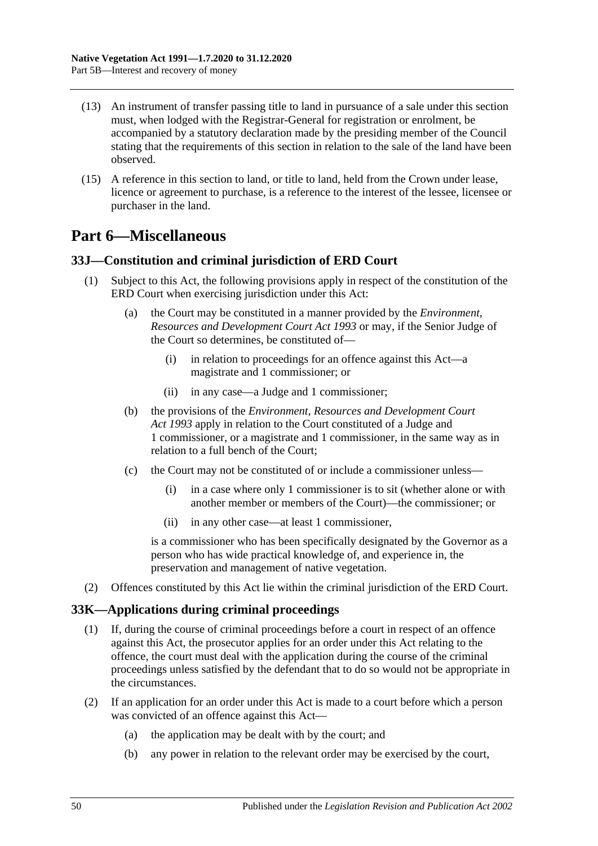- (13) An instrument of transfer passing title to land in pursuance of a sale under this section must, when lodged with the Registrar-General for registration or enrolment, be accompanied by a statutory declaration made by the presiding member of the Council stating that the requirements of this section in relation to the sale of the land have been observed.
- (15) A reference in this section to land, or title to land, held from the Crown under lease, licence or agreement to purchase, is a reference to the interest of the lessee, licensee or purchaser in the land.

## <span id="page-49-0"></span>**Part 6—Miscellaneous**

### <span id="page-49-1"></span>**33J—Constitution and criminal jurisdiction of ERD Court**

- (1) Subject to this Act, the following provisions apply in respect of the constitution of the ERD Court when exercising jurisdiction under this Act:
	- (a) the Court may be constituted in a manner provided by the *[Environment,](http://www.legislation.sa.gov.au/index.aspx?action=legref&type=act&legtitle=Environment%20Resources%20and%20Development%20Court%20Act%201993)  [Resources and Development Court Act](http://www.legislation.sa.gov.au/index.aspx?action=legref&type=act&legtitle=Environment%20Resources%20and%20Development%20Court%20Act%201993) 1993* or may, if the Senior Judge of the Court so determines, be constituted of—
		- (i) in relation to proceedings for an offence against this Act—a magistrate and 1 commissioner; or
		- (ii) in any case—a Judge and 1 commissioner;
	- (b) the provisions of the *[Environment, Resources and Development Court](http://www.legislation.sa.gov.au/index.aspx?action=legref&type=act&legtitle=Environment%20Resources%20and%20Development%20Court%20Act%201993)  Act [1993](http://www.legislation.sa.gov.au/index.aspx?action=legref&type=act&legtitle=Environment%20Resources%20and%20Development%20Court%20Act%201993)* apply in relation to the Court constituted of a Judge and 1 commissioner, or a magistrate and 1 commissioner, in the same way as in relation to a full bench of the Court;
	- (c) the Court may not be constituted of or include a commissioner unless—
		- (i) in a case where only 1 commissioner is to sit (whether alone or with another member or members of the Court)—the commissioner; or
		- (ii) in any other case—at least 1 commissioner,

is a commissioner who has been specifically designated by the Governor as a person who has wide practical knowledge of, and experience in, the preservation and management of native vegetation.

(2) Offences constituted by this Act lie within the criminal jurisdiction of the ERD Court.

### <span id="page-49-2"></span>**33K—Applications during criminal proceedings**

- (1) If, during the course of criminal proceedings before a court in respect of an offence against this Act, the prosecutor applies for an order under this Act relating to the offence, the court must deal with the application during the course of the criminal proceedings unless satisfied by the defendant that to do so would not be appropriate in the circumstances.
- (2) If an application for an order under this Act is made to a court before which a person was convicted of an offence against this Act—
	- (a) the application may be dealt with by the court; and
	- (b) any power in relation to the relevant order may be exercised by the court,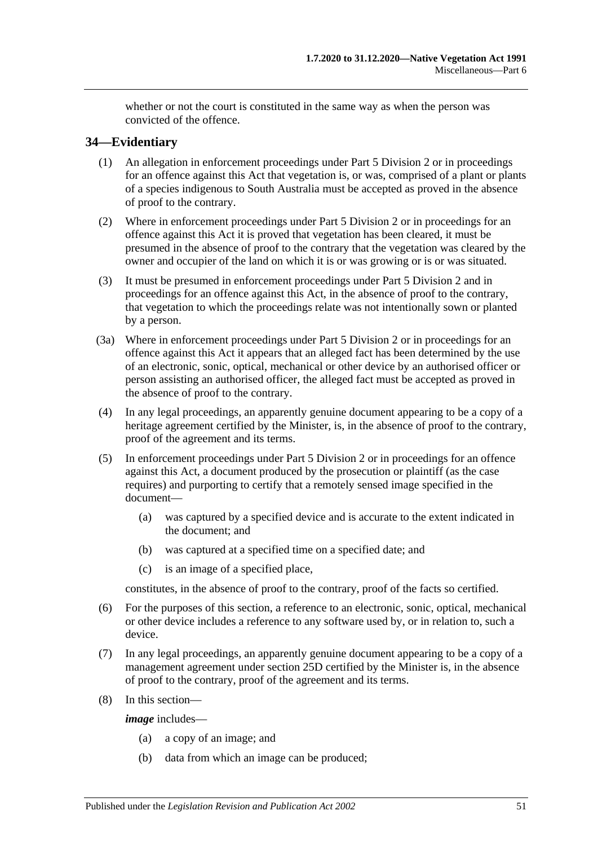whether or not the court is constituted in the same way as when the person was convicted of the offence.

## <span id="page-50-0"></span>**34—Evidentiary**

- (1) An allegation in enforcement proceedings under [Part 5 Division 2](#page-34-1) or in proceedings for an offence against this Act that vegetation is, or was, comprised of a plant or plants of a species indigenous to South Australia must be accepted as proved in the absence of proof to the contrary.
- (2) Where in enforcement proceedings under [Part 5 Division 2](#page-34-1) or in proceedings for an offence against this Act it is proved that vegetation has been cleared, it must be presumed in the absence of proof to the contrary that the vegetation was cleared by the owner and occupier of the land on which it is or was growing or is or was situated.
- (3) It must be presumed in enforcement proceedings under [Part 5 Division 2](#page-34-1) and in proceedings for an offence against this Act, in the absence of proof to the contrary, that vegetation to which the proceedings relate was not intentionally sown or planted by a person.
- (3a) Where in enforcement proceedings under [Part 5 Division 2](#page-34-1) or in proceedings for an offence against this Act it appears that an alleged fact has been determined by the use of an electronic, sonic, optical, mechanical or other device by an authorised officer or person assisting an authorised officer, the alleged fact must be accepted as proved in the absence of proof to the contrary.
- (4) In any legal proceedings, an apparently genuine document appearing to be a copy of a heritage agreement certified by the Minister, is, in the absence of proof to the contrary, proof of the agreement and its terms.
- (5) In enforcement proceedings under [Part 5 Division 2](#page-34-1) or in proceedings for an offence against this Act, a document produced by the prosecution or plaintiff (as the case requires) and purporting to certify that a remotely sensed image specified in the document—
	- (a) was captured by a specified device and is accurate to the extent indicated in the document; and
	- (b) was captured at a specified time on a specified date; and
	- (c) is an image of a specified place,

constitutes, in the absence of proof to the contrary, proof of the facts so certified.

- (6) For the purposes of this section, a reference to an electronic, sonic, optical, mechanical or other device includes a reference to any software used by, or in relation to, such a device.
- (7) In any legal proceedings, an apparently genuine document appearing to be a copy of a management agreement under section 25D certified by the Minister is, in the absence of proof to the contrary, proof of the agreement and its terms.
- (8) In this section—

*image* includes—

- (a) a copy of an image; and
- (b) data from which an image can be produced;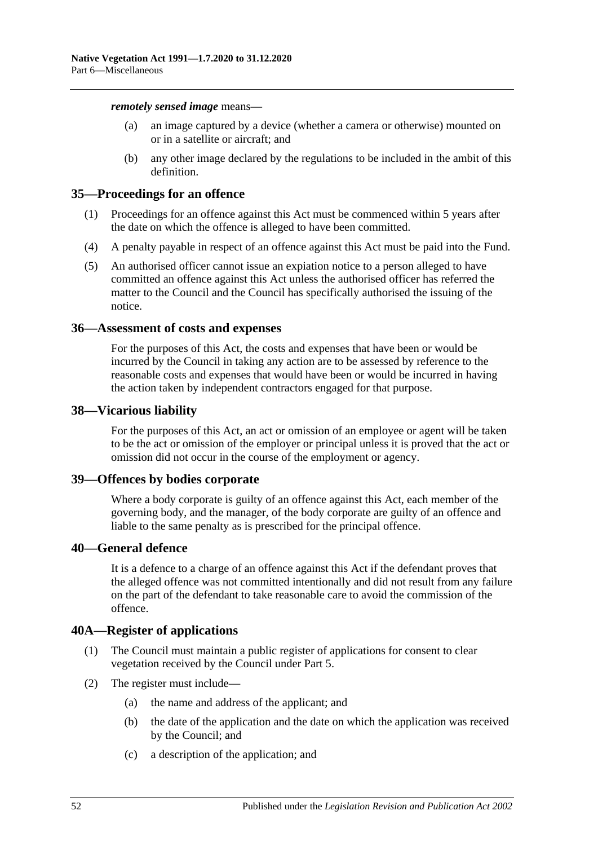*remotely sensed image* means—

- (a) an image captured by a device (whether a camera or otherwise) mounted on or in a satellite or aircraft; and
- (b) any other image declared by the regulations to be included in the ambit of this definition.

#### <span id="page-51-0"></span>**35—Proceedings for an offence**

- (1) Proceedings for an offence against this Act must be commenced within 5 years after the date on which the offence is alleged to have been committed.
- (4) A penalty payable in respect of an offence against this Act must be paid into the Fund.
- (5) An authorised officer cannot issue an expiation notice to a person alleged to have committed an offence against this Act unless the authorised officer has referred the matter to the Council and the Council has specifically authorised the issuing of the notice.

#### <span id="page-51-1"></span>**36—Assessment of costs and expenses**

For the purposes of this Act, the costs and expenses that have been or would be incurred by the Council in taking any action are to be assessed by reference to the reasonable costs and expenses that would have been or would be incurred in having the action taken by independent contractors engaged for that purpose.

#### <span id="page-51-2"></span>**38—Vicarious liability**

For the purposes of this Act, an act or omission of an employee or agent will be taken to be the act or omission of the employer or principal unless it is proved that the act or omission did not occur in the course of the employment or agency.

#### <span id="page-51-3"></span>**39—Offences by bodies corporate**

Where a body corporate is guilty of an offence against this Act, each member of the governing body, and the manager, of the body corporate are guilty of an offence and liable to the same penalty as is prescribed for the principal offence.

### <span id="page-51-4"></span>**40—General defence**

It is a defence to a charge of an offence against this Act if the defendant proves that the alleged offence was not committed intentionally and did not result from any failure on the part of the defendant to take reasonable care to avoid the commission of the offence.

### <span id="page-51-5"></span>**40A—Register of applications**

- (1) The Council must maintain a public register of applications for consent to clear vegetation received by the Council under [Part 5.](#page-23-1)
- (2) The register must include—
	- (a) the name and address of the applicant; and
	- (b) the date of the application and the date on which the application was received by the Council; and
	- (c) a description of the application; and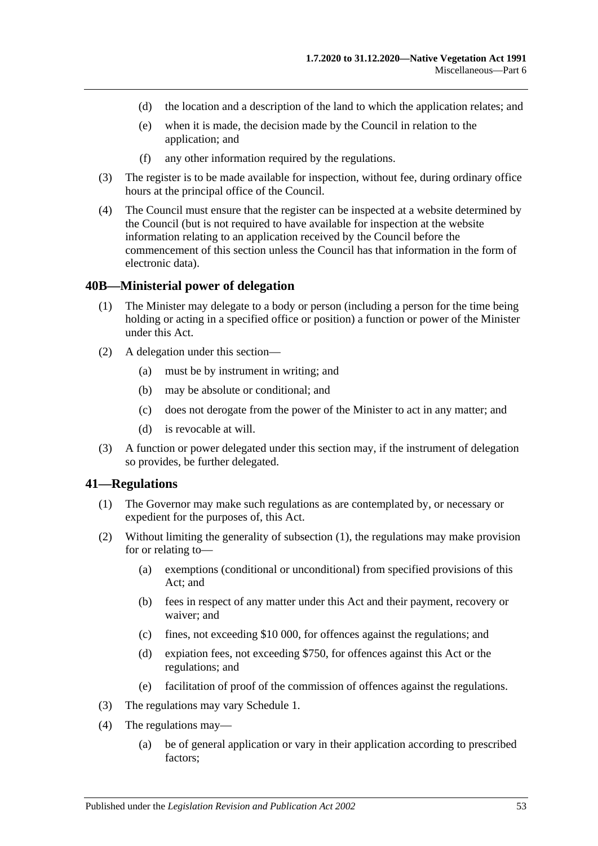- (d) the location and a description of the land to which the application relates; and
- (e) when it is made, the decision made by the Council in relation to the application; and
- (f) any other information required by the regulations.
- (3) The register is to be made available for inspection, without fee, during ordinary office hours at the principal office of the Council.
- (4) The Council must ensure that the register can be inspected at a website determined by the Council (but is not required to have available for inspection at the website information relating to an application received by the Council before the commencement of this section unless the Council has that information in the form of electronic data).

#### <span id="page-52-0"></span>**40B—Ministerial power of delegation**

- (1) The Minister may delegate to a body or person (including a person for the time being holding or acting in a specified office or position) a function or power of the Minister under this Act.
- (2) A delegation under this section—
	- (a) must be by instrument in writing; and
	- (b) may be absolute or conditional; and
	- (c) does not derogate from the power of the Minister to act in any matter; and
	- (d) is revocable at will.
- (3) A function or power delegated under this section may, if the instrument of delegation so provides, be further delegated.

#### <span id="page-52-2"></span><span id="page-52-1"></span>**41—Regulations**

- (1) The Governor may make such regulations as are contemplated by, or necessary or expedient for the purposes of, this Act.
- (2) Without limiting the generality of [subsection](#page-52-2) (1), the regulations may make provision for or relating to—
	- (a) exemptions (conditional or unconditional) from specified provisions of this Act; and
	- (b) fees in respect of any matter under this Act and their payment, recovery or waiver; and
	- (c) fines, not exceeding \$10 000, for offences against the regulations; and
	- (d) expiation fees, not exceeding \$750, for offences against this Act or the regulations; and
	- (e) facilitation of proof of the commission of offences against the regulations.
- (3) The regulations may vary [Schedule 1.](#page-53-0)
- (4) The regulations may—
	- (a) be of general application or vary in their application according to prescribed factors;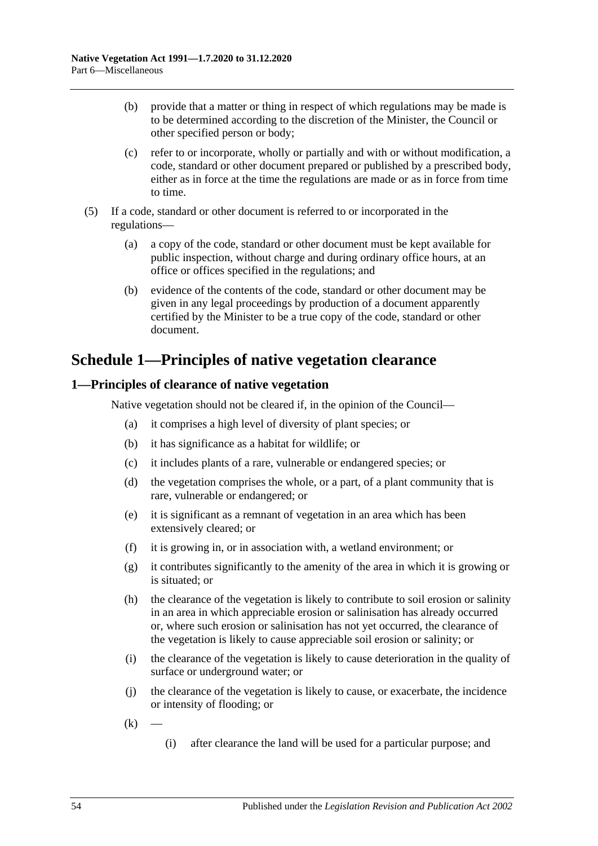- (b) provide that a matter or thing in respect of which regulations may be made is to be determined according to the discretion of the Minister, the Council or other specified person or body;
- (c) refer to or incorporate, wholly or partially and with or without modification, a code, standard or other document prepared or published by a prescribed body, either as in force at the time the regulations are made or as in force from time to time.
- (5) If a code, standard or other document is referred to or incorporated in the regulations—
	- (a) a copy of the code, standard or other document must be kept available for public inspection, without charge and during ordinary office hours, at an office or offices specified in the regulations; and
	- (b) evidence of the contents of the code, standard or other document may be given in any legal proceedings by production of a document apparently certified by the Minister to be a true copy of the code, standard or other document.

## <span id="page-53-0"></span>**Schedule 1—Principles of native vegetation clearance**

## <span id="page-53-1"></span>**1—Principles of clearance of native vegetation**

Native vegetation should not be cleared if, in the opinion of the Council—

- (a) it comprises a high level of diversity of plant species; or
- (b) it has significance as a habitat for wildlife; or
- (c) it includes plants of a rare, vulnerable or endangered species; or
- (d) the vegetation comprises the whole, or a part, of a plant community that is rare, vulnerable or endangered; or
- (e) it is significant as a remnant of vegetation in an area which has been extensively cleared; or
- (f) it is growing in, or in association with, a wetland environment; or
- (g) it contributes significantly to the amenity of the area in which it is growing or is situated; or
- (h) the clearance of the vegetation is likely to contribute to soil erosion or salinity in an area in which appreciable erosion or salinisation has already occurred or, where such erosion or salinisation has not yet occurred, the clearance of the vegetation is likely to cause appreciable soil erosion or salinity; or
- (i) the clearance of the vegetation is likely to cause deterioration in the quality of surface or underground water; or
- (j) the clearance of the vegetation is likely to cause, or exacerbate, the incidence or intensity of flooding; or
- $(k)$ 
	- (i) after clearance the land will be used for a particular purpose; and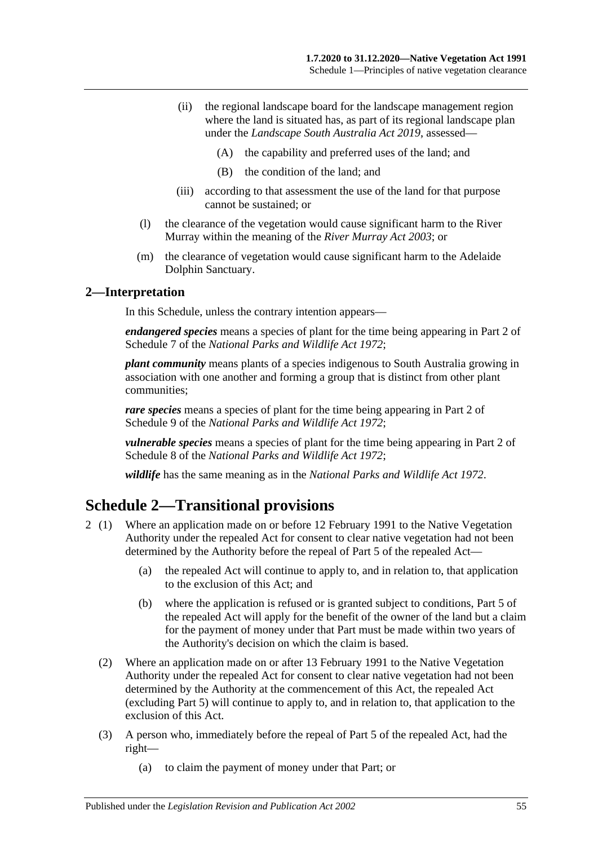- (ii) the regional landscape board for the landscape management region where the land is situated has, as part of its regional landscape plan under the *[Landscape South Australia Act](http://www.legislation.sa.gov.au/index.aspx?action=legref&type=act&legtitle=Landscape%20South%20Australia%20Act%202019) 2019*, assessed—
	- (A) the capability and preferred uses of the land; and
	- (B) the condition of the land; and
- (iii) according to that assessment the use of the land for that purpose cannot be sustained; or
- (l) the clearance of the vegetation would cause significant harm to the River Murray within the meaning of the *[River Murray Act](http://www.legislation.sa.gov.au/index.aspx?action=legref&type=act&legtitle=River%20Murray%20Act%202003) 2003*; or
- (m) the clearance of vegetation would cause significant harm to the Adelaide Dolphin Sanctuary.

#### <span id="page-54-0"></span>**2—Interpretation**

In this Schedule, unless the contrary intention appears—

*endangered species* means a species of plant for the time being appearing in Part 2 of Schedule 7 of the *[National Parks and Wildlife Act](http://www.legislation.sa.gov.au/index.aspx?action=legref&type=act&legtitle=National%20Parks%20and%20Wildlife%20Act%201972) 1972*;

*plant community* means plants of a species indigenous to South Australia growing in association with one another and forming a group that is distinct from other plant communities;

*rare species* means a species of plant for the time being appearing in Part 2 of Schedule 9 of the *[National Parks and Wildlife Act](http://www.legislation.sa.gov.au/index.aspx?action=legref&type=act&legtitle=National%20Parks%20and%20Wildlife%20Act%201972) 1972*;

*vulnerable species* means a species of plant for the time being appearing in Part 2 of Schedule 8 of the *[National Parks and Wildlife Act](http://www.legislation.sa.gov.au/index.aspx?action=legref&type=act&legtitle=National%20Parks%20and%20Wildlife%20Act%201972) 1972*;

*wildlife* has the same meaning as in the *[National Parks and Wildlife Act](http://www.legislation.sa.gov.au/index.aspx?action=legref&type=act&legtitle=National%20Parks%20and%20Wildlife%20Act%201972) 1972*.

## <span id="page-54-1"></span>**Schedule 2—Transitional provisions**

- 2 (1) Where an application made on or before 12 February 1991 to the Native Vegetation Authority under the repealed Act for consent to clear native vegetation had not been determined by the Authority before the repeal of Part 5 of the repealed Act—
	- (a) the repealed Act will continue to apply to, and in relation to, that application to the exclusion of this Act; and
	- (b) where the application is refused or is granted subject to conditions, Part 5 of the repealed Act will apply for the benefit of the owner of the land but a claim for the payment of money under that Part must be made within two years of the Authority's decision on which the claim is based.
	- (2) Where an application made on or after 13 February 1991 to the Native Vegetation Authority under the repealed Act for consent to clear native vegetation had not been determined by the Authority at the commencement of this Act, the repealed Act (excluding Part 5) will continue to apply to, and in relation to, that application to the exclusion of this Act.
	- (3) A person who, immediately before the repeal of Part 5 of the repealed Act, had the right—
		- (a) to claim the payment of money under that Part; or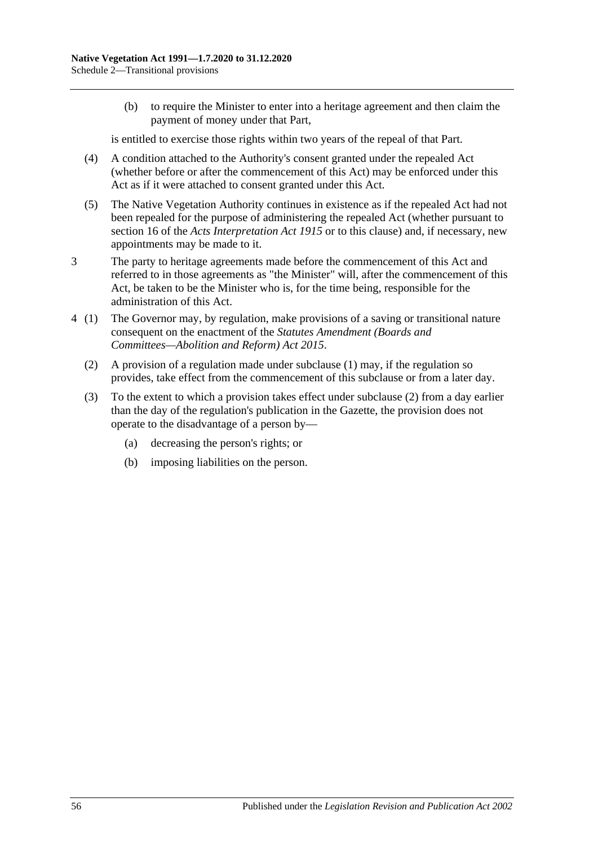(b) to require the Minister to enter into a heritage agreement and then claim the payment of money under that Part,

is entitled to exercise those rights within two years of the repeal of that Part.

- (4) A condition attached to the Authority's consent granted under the repealed Act (whether before or after the commencement of this Act) may be enforced under this Act as if it were attached to consent granted under this Act.
- (5) The Native Vegetation Authority continues in existence as if the repealed Act had not been repealed for the purpose of administering the repealed Act (whether pursuant to section 16 of the *[Acts Interpretation Act](http://www.legislation.sa.gov.au/index.aspx?action=legref&type=act&legtitle=Acts%20Interpretation%20Act%201915) 1915* or to this clause) and, if necessary, new appointments may be made to it.
- 3 The party to heritage agreements made before the commencement of this Act and referred to in those agreements as "the Minister" will, after the commencement of this Act, be taken to be the Minister who is, for the time being, responsible for the administration of this Act.
- <span id="page-55-0"></span>4 (1) The Governor may, by regulation, make provisions of a saving or transitional nature consequent on the enactment of the *[Statutes Amendment \(Boards and](http://www.legislation.sa.gov.au/index.aspx?action=legref&type=act&legtitle=Statutes%20Amendment%20(Boards%20and%20Committees%E2%80%94Abolition%20and%20Reform)%20Act%202015)  [Committees—Abolition and Reform\) Act](http://www.legislation.sa.gov.au/index.aspx?action=legref&type=act&legtitle=Statutes%20Amendment%20(Boards%20and%20Committees%E2%80%94Abolition%20and%20Reform)%20Act%202015) 2015*.
	- (2) A provision of a regulation made under subclause (1) may, if the regulation so provides, take effect from the commencement of this subclause or from a later day.
	- (3) To the extent to which a provision takes effect under [subclause](#page-55-0) (2) from a day earlier than the day of the regulation's publication in the Gazette, the provision does not operate to the disadvantage of a person by—
		- (a) decreasing the person's rights; or
		- (b) imposing liabilities on the person.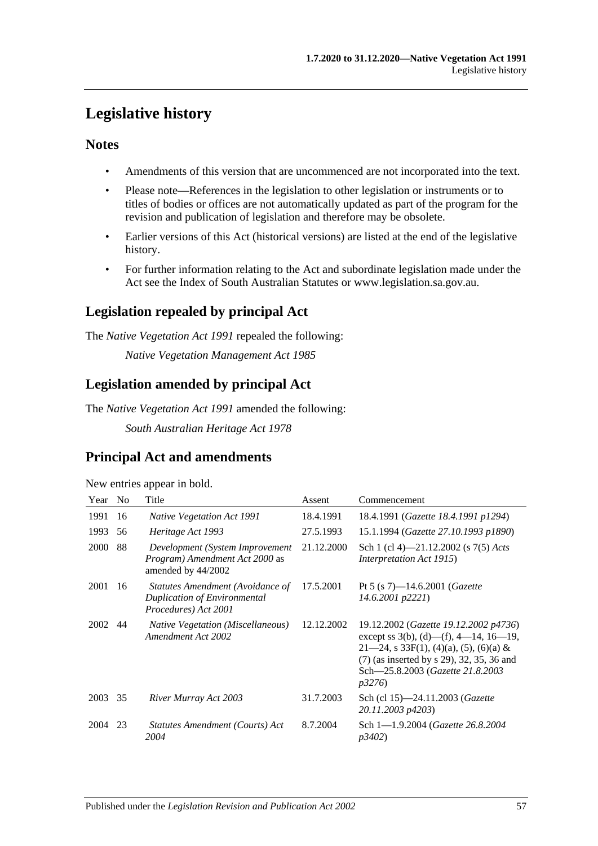## <span id="page-56-0"></span>**Legislative history**

## **Notes**

- Amendments of this version that are uncommenced are not incorporated into the text.
- Please note—References in the legislation to other legislation or instruments or to titles of bodies or offices are not automatically updated as part of the program for the revision and publication of legislation and therefore may be obsolete.
- Earlier versions of this Act (historical versions) are listed at the end of the legislative history.
- For further information relating to the Act and subordinate legislation made under the Act see the Index of South Australian Statutes or www.legislation.sa.gov.au.

## **Legislation repealed by principal Act**

The *Native Vegetation Act 1991* repealed the following:

*Native Vegetation Management Act 1985*

## **Legislation amended by principal Act**

The *Native Vegetation Act 1991* amended the following:

*South Australian Heritage Act 1978*

## **Principal Act and amendments**

New entries appear in bold.

| Year | N <sub>0</sub> | Title                                                                                           | Assent     | Commencement                                                                                                                                                                                                                      |
|------|----------------|-------------------------------------------------------------------------------------------------|------------|-----------------------------------------------------------------------------------------------------------------------------------------------------------------------------------------------------------------------------------|
| 1991 | 16             | <i>Native Vegetation Act 1991</i>                                                               | 18.4.1991  | 18.4.1991 ( <i>Gazette 18.4.1991 p1294</i> )                                                                                                                                                                                      |
| 1993 | 56             | Heritage Act 1993                                                                               | 27.5.1993  | 15.1.1994 (Gazette 27.10.1993 p1890)                                                                                                                                                                                              |
| 2000 | 88             | Development (System Improvement)<br>Program) Amendment Act 2000 as<br>amended by 44/2002        | 21.12.2000 | Sch 1 (cl 4)—21.12.2002 (s $7(5)$ Acts<br><i>Interpretation Act 1915</i> )                                                                                                                                                        |
| 2001 | 16             | Statutes Amendment (Avoidance of<br><b>Duplication of Environmental</b><br>Procedures) Act 2001 | 17.5.2001  | Pt 5 (s 7)—14.6.2001 ( <i>Gazette</i><br>$14.6.2001$ $p2221$                                                                                                                                                                      |
| 2002 | 44             | <b>Native Vegetation (Miscellaneous)</b><br>Amendment Act 2002                                  | 12.12.2002 | 19.12.2002 (Gazette 19.12.2002 p4736)<br>except ss $3(b)$ , (d)—(f), 4—14, 16—19,<br>$21-24$ , s 33F(1), (4)(a), (5), (6)(a) &<br>(7) (as inserted by s 29), 32, 35, 36 and<br>Sch-25.8.2003 (Gazette 21.8.2003<br><i>p</i> 3276) |
| 2003 | 35             | River Murray Act 2003                                                                           | 31.7.2003  | Sch (cl 15)-24.11.2003 (Gazette<br>20.11.2003 p4203)                                                                                                                                                                              |
| 2004 | 23             | Statutes Amendment (Courts) Act<br>2004                                                         | 8.7.2004   | Sch 1-1.9.2004 (Gazette 26.8.2004)<br>p3402)                                                                                                                                                                                      |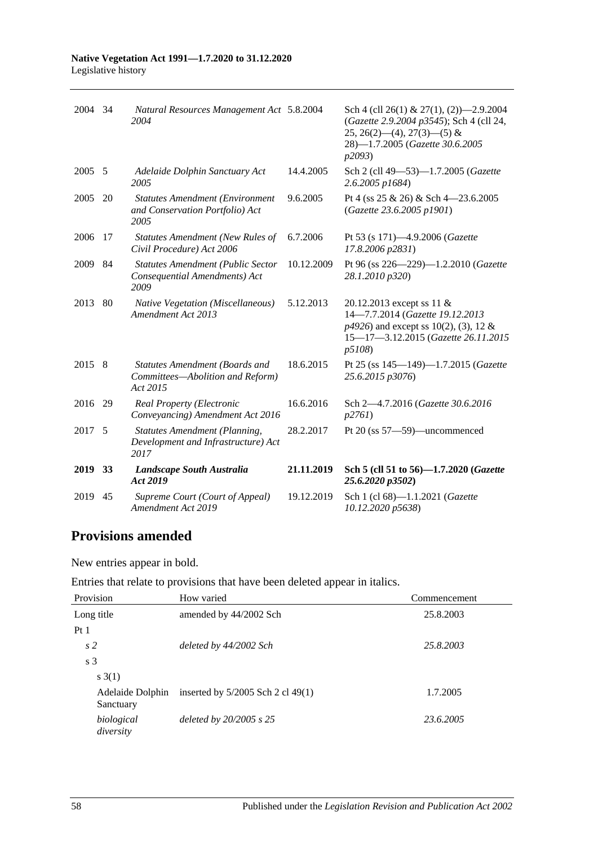#### **Native Vegetation Act 1991—1.7.2020 to 31.12.2020** Legislative history

| 2004    | 34 | Natural Resources Management Act 5.8.2004<br>2004                                     |            | Sch 4 (cll 26(1) & 27(1), (2) $-2.9.2004$<br>(Gazette 2.9.2004 p3545); Sch 4 (cll 24,<br>$25, 26(2)$ (4), $27(3)$ (5) &<br>28)-1.7.2005 (Gazette 30.6.2005<br>p2093) |
|---------|----|---------------------------------------------------------------------------------------|------------|----------------------------------------------------------------------------------------------------------------------------------------------------------------------|
| 2005    | 5  | Adelaide Dolphin Sanctuary Act<br>2005                                                | 14.4.2005  | Sch 2 (cll 49-53)-1.7.2005 (Gazette<br>2.6.2005 p1684)                                                                                                               |
| 2005    | 20 | <b>Statutes Amendment (Environment</b><br>and Conservation Portfolio) Act<br>2005     | 9.6.2005   | Pt 4 (ss $25 \& 26$ ) & Sch 4-23.6.2005<br>(Gazette 23.6.2005 p1901)                                                                                                 |
| 2006    | 17 | <b>Statutes Amendment (New Rules of</b><br>Civil Procedure) Act 2006                  | 6.7.2006   | Pt 53 (s 171)-4.9.2006 (Gazette<br>17.8.2006 p2831)                                                                                                                  |
| 2009    | 84 | <b>Statutes Amendment (Public Sector</b><br>Consequential Amendments) Act<br>2009     | 10.12.2009 | Pt 96 (ss 226-229)-1.2.2010 (Gazette<br>28.1.2010 p320)                                                                                                              |
| 2013    | 80 | Native Vegetation (Miscellaneous)<br>Amendment Act 2013                               | 5.12.2013  | 20.12.2013 except ss 11 &<br>14-7.7.2014 (Gazette 19.12.2013<br>$p4926$ ) and except ss 10(2), (3), 12 &<br>15-17-3.12.2015 (Gazette 26.11.2015<br>p5108             |
| 2015    | 8  | <b>Statutes Amendment (Boards and</b><br>Committees-Abolition and Reform)<br>Act 2015 | 18.6.2015  | Pt 25 (ss 145-149)-1.7.2015 (Gazette<br>25.6.2015 p3076)                                                                                                             |
| 2016    | 29 | Real Property (Electronic<br>Conveyancing) Amendment Act 2016                         | 16.6.2016  | Sch 2-4.7.2016 (Gazette 30.6.2016<br>p2761                                                                                                                           |
| 2017 5  |    | <b>Statutes Amendment (Planning,</b><br>Development and Infrastructure) Act<br>2017   | 28.2.2017  | Pt $20$ (ss $57 - 59$ )—uncommenced                                                                                                                                  |
| 2019 33 |    | Landscape South Australia<br>Act 2019                                                 | 21.11.2019 | Sch 5 (cll 51 to 56)-1.7.2020 (Gazette<br>25.6.2020 p3502)                                                                                                           |
| 2019    | 45 | Supreme Court (Court of Appeal)<br>Amendment Act 2019                                 | 19.12.2019 | Sch 1 (cl 68)-1.1.2021 (Gazette<br>10.12.2020 p5638)                                                                                                                 |

## **Provisions amended**

New entries appear in bold.

Entries that relate to provisions that have been deleted appear in italics.

| Provision                     | How varied                          | Commencement |
|-------------------------------|-------------------------------------|--------------|
| Long title                    | amended by 44/2002 Sch              | 25.8.2003    |
| Pt <sub>1</sub>               |                                     |              |
| s <sub>2</sub>                | deleted by 44/2002 Sch              | 25.8.2003    |
| s <sub>3</sub>                |                                     |              |
| s(3(1))                       |                                     |              |
| Adelaide Dolphin<br>Sanctuary | inserted by $5/2005$ Sch 2 cl 49(1) | 1.7.2005     |
| biological<br>diversity       | deleted by $20/2005$ s $25$         | 23.6.2005    |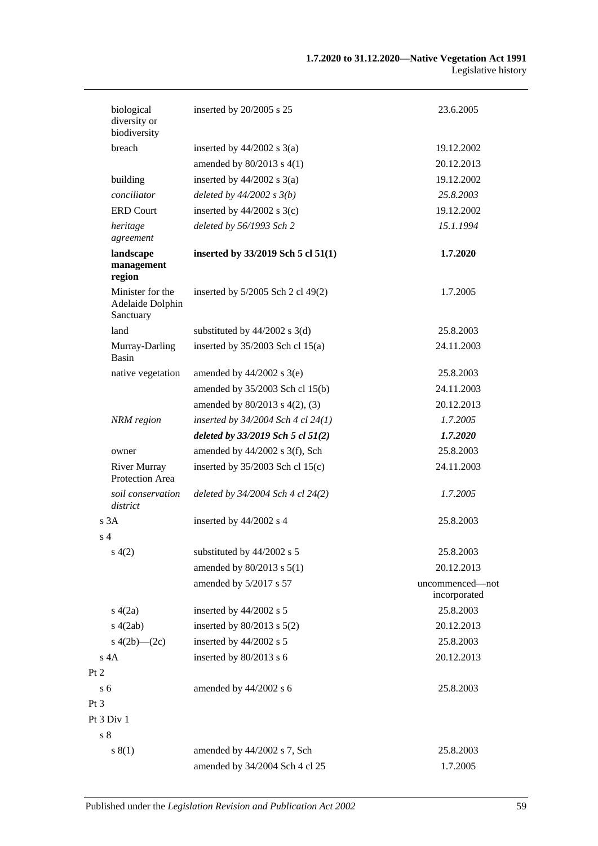| biological<br>diversity or<br>biodiversity        | inserted by 20/2005 s 25              | 23.6.2005                       |
|---------------------------------------------------|---------------------------------------|---------------------------------|
| <b>breach</b>                                     | inserted by $44/2002$ s $3(a)$        | 19.12.2002                      |
|                                                   | amended by $80/2013$ s $4(1)$         | 20.12.2013                      |
| building                                          | inserted by $44/2002$ s $3(a)$        | 19.12.2002                      |
| conciliator                                       | deleted by $44/2002 s 3(b)$           | 25.8.2003                       |
| <b>ERD</b> Court                                  | inserted by $44/2002$ s 3(c)          | 19.12.2002                      |
| heritage<br>agreement                             | deleted by 56/1993 Sch 2              | 15.1.1994                       |
| landscape<br>management<br>region                 | inserted by 33/2019 Sch 5 cl 51(1)    | 1.7.2020                        |
| Minister for the<br>Adelaide Dolphin<br>Sanctuary | inserted by $5/2005$ Sch 2 cl 49(2)   | 1.7.2005                        |
| land                                              | substituted by $44/2002$ s 3(d)       | 25.8.2003                       |
| Murray-Darling<br>Basin                           | inserted by $35/2003$ Sch cl 15(a)    | 24.11.2003                      |
| native vegetation                                 | amended by $44/2002$ s 3(e)           | 25.8.2003                       |
|                                                   | amended by 35/2003 Sch cl 15(b)       | 24.11.2003                      |
|                                                   | amended by $80/2013$ s $4(2)$ , (3)   | 20.12.2013                      |
| NRM region                                        | inserted by $34/2004$ Sch 4 cl 24(1)  | 1.7.2005                        |
|                                                   | deleted by $33/2019$ Sch 5 cl $51(2)$ | 1.7.2020                        |
| owner                                             | amended by $44/2002$ s 3(f), Sch      | 25.8.2003                       |
| <b>River Murray</b><br>Protection Area            | inserted by $35/2003$ Sch cl 15(c)    | 24.11.2003                      |
| soil conservation<br>district                     | deleted by 34/2004 Sch 4 cl 24(2)     | 1.7.2005                        |
| s 3A                                              | inserted by 44/2002 s 4               | 25.8.2003                       |
| s <sub>4</sub>                                    |                                       |                                 |
| s(4(2)                                            | substituted by 44/2002 s 5            | 25.8.2003                       |
|                                                   | amended by 80/2013 s 5(1)             | 20.12.2013                      |
|                                                   | amended by 5/2017 s 57                | uncommenced—not<br>incorporated |
| s(4(2a))                                          | inserted by 44/2002 s 5               | 25.8.2003                       |
| s(4(2ab)                                          | inserted by $80/2013$ s $5(2)$        | 20.12.2013                      |
| s $4(2b)$ — $(2c)$                                | inserted by 44/2002 s 5               | 25.8.2003                       |
| s 4A                                              | inserted by 80/2013 s 6               | 20.12.2013                      |
| Pt 2                                              |                                       |                                 |
| s <sub>6</sub>                                    | amended by 44/2002 s 6                | 25.8.2003                       |
| $Pt\,3$                                           |                                       |                                 |
| Pt 3 Div 1                                        |                                       |                                 |
| s <sub>8</sub>                                    |                                       |                                 |
| s(1)                                              | amended by 44/2002 s 7, Sch           | 25.8.2003                       |
|                                                   | amended by 34/2004 Sch 4 cl 25        | 1.7.2005                        |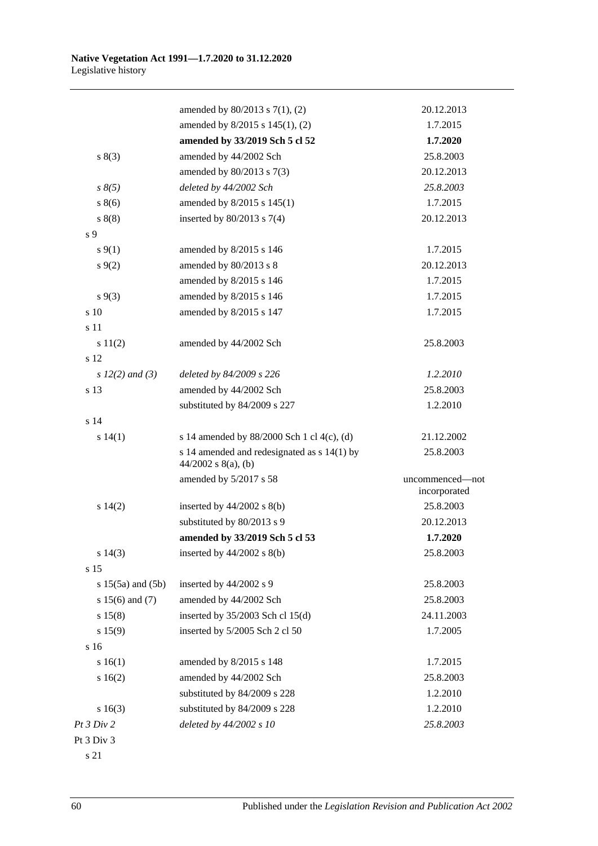|                       | amended by $80/2013$ s $7(1)$ , (2)                                  | 20.12.2013                      |
|-----------------------|----------------------------------------------------------------------|---------------------------------|
|                       | amended by 8/2015 s 145(1), (2)                                      | 1.7.2015                        |
|                       | amended by 33/2019 Sch 5 cl 52                                       | 1.7.2020                        |
| s(3)                  | amended by 44/2002 Sch                                               | 25.8.2003                       |
|                       | amended by 80/2013 s 7(3)                                            | 20.12.2013                      |
| $s \, 8(5)$           | deleted by 44/2002 Sch                                               | 25.8.2003                       |
| s(6)                  | amended by 8/2015 s 145(1)                                           | 1.7.2015                        |
| s(8)                  | inserted by $80/2013$ s $7(4)$                                       | 20.12.2013                      |
| s <sub>9</sub>        |                                                                      |                                 |
| $s \, 9(1)$           | amended by 8/2015 s 146                                              | 1.7.2015                        |
| $s \, 9(2)$           | amended by 80/2013 s 8                                               | 20.12.2013                      |
|                       | amended by 8/2015 s 146                                              | 1.7.2015                        |
| $s \, 9(3)$           | amended by 8/2015 s 146                                              | 1.7.2015                        |
| s 10                  | amended by 8/2015 s 147                                              | 1.7.2015                        |
| s 11                  |                                                                      |                                 |
| s 11(2)               | amended by 44/2002 Sch                                               | 25.8.2003                       |
| s 12                  |                                                                      |                                 |
| s $12(2)$ and (3)     | deleted by 84/2009 s 226                                             | 1.2.2010                        |
| s 13                  | amended by 44/2002 Sch                                               | 25.8.2003                       |
|                       | substituted by 84/2009 s 227                                         | 1.2.2010                        |
| s 14                  |                                                                      |                                 |
| s 14(1)               | s 14 amended by 88/2000 Sch 1 cl 4(c), (d)                           | 21.12.2002                      |
|                       | s 14 amended and redesignated as s 14(1) by<br>$44/2002$ s 8(a), (b) | 25.8.2003                       |
|                       | amended by 5/2017 s 58                                               | uncommenced-not<br>incorporated |
| s 14(2)               | inserted by $44/2002$ s $8(b)$                                       | 25.8.2003                       |
|                       | substituted by 80/2013 s 9                                           | 20.12.2013                      |
|                       | amended by 33/2019 Sch 5 cl 53                                       | 1.7.2020                        |
| s 14(3)               | inserted by $44/2002$ s $8(b)$                                       | 25.8.2003                       |
| s 15                  |                                                                      |                                 |
| s $15(5a)$ and $(5b)$ | inserted by 44/2002 s 9                                              | 25.8.2003                       |
| s $15(6)$ and $(7)$   | amended by 44/2002 Sch                                               | 25.8.2003                       |
| s 15(8)               | inserted by 35/2003 Sch cl 15(d)                                     | 24.11.2003                      |
| s 15(9)               | inserted by 5/2005 Sch 2 cl 50                                       | 1.7.2005                        |
| s 16                  |                                                                      |                                 |
| s 16(1)               | amended by 8/2015 s 148                                              | 1.7.2015                        |
| s 16(2)               | amended by 44/2002 Sch                                               | 25.8.2003                       |
|                       | substituted by 84/2009 s 228                                         | 1.2.2010                        |
| s16(3)                | substituted by 84/2009 s 228                                         | 1.2.2010                        |
| Pt 3 Div 2            | deleted by 44/2002 s 10                                              | 25.8.2003                       |
| Pt 3 Div 3            |                                                                      |                                 |

s 21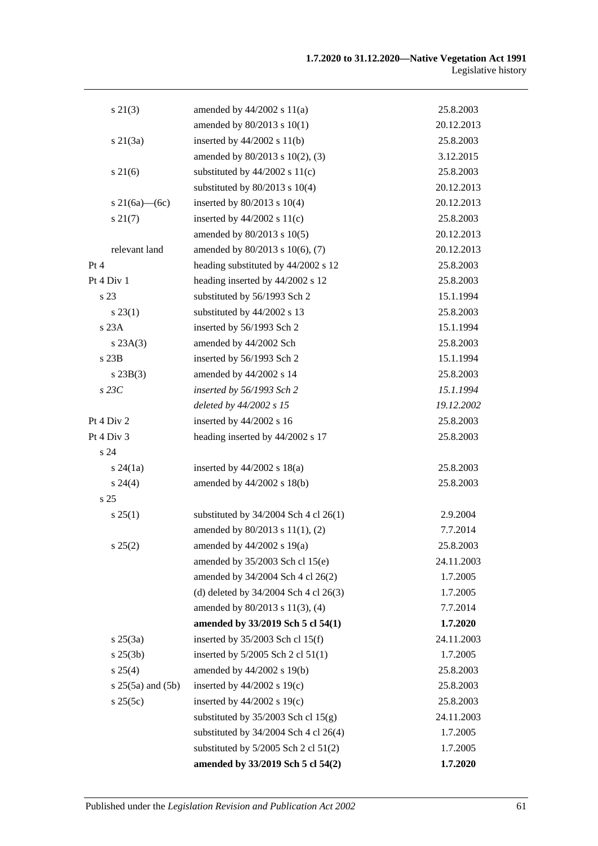| $s\ 21(3)$          | amended by $44/2002$ s $11(a)$            | 25.8.2003  |
|---------------------|-------------------------------------------|------------|
|                     | amended by 80/2013 s 10(1)                | 20.12.2013 |
| $s\ 21(3a)$         | inserted by $44/2002$ s $11(b)$           | 25.8.2003  |
|                     | amended by 80/2013 s 10(2), (3)           | 3.12.2015  |
| $s \, 21(6)$        | substituted by $44/2002$ s $11(c)$        | 25.8.2003  |
|                     | substituted by $80/2013$ s $10(4)$        | 20.12.2013 |
| s 21(6a)—(6c)       | inserted by 80/2013 s 10(4)               | 20.12.2013 |
| s 21(7)             | inserted by $44/2002$ s $11(c)$           | 25.8.2003  |
|                     | amended by 80/2013 s 10(5)                | 20.12.2013 |
| relevant land       | amended by 80/2013 s 10(6), (7)           | 20.12.2013 |
| Pt 4                | heading substituted by 44/2002 s 12       | 25.8.2003  |
| Pt 4 Div 1          | heading inserted by 44/2002 s 12          | 25.8.2003  |
| s 23                | substituted by 56/1993 Sch 2              | 15.1.1994  |
| $s\,23(1)$          | substituted by 44/2002 s 13               | 25.8.2003  |
| s23A                | inserted by 56/1993 Sch 2                 | 15.1.1994  |
| s 23A(3)            | amended by 44/2002 Sch                    | 25.8.2003  |
| s 23B               | inserted by 56/1993 Sch 2                 | 15.1.1994  |
| $s$ 23B(3)          | amended by 44/2002 s 14                   | 25.8.2003  |
| $s$ 23 $C$          | inserted by 56/1993 Sch 2                 | 15.1.1994  |
|                     | deleted by 44/2002 s 15                   | 19.12.2002 |
| Pt 4 Div 2          | inserted by 44/2002 s 16                  | 25.8.2003  |
| Pt 4 Div 3          | heading inserted by 44/2002 s 17          | 25.8.2003  |
| s 24                |                                           |            |
| $s\,24(1a)$         | inserted by $44/2002$ s $18(a)$           | 25.8.2003  |
| $s\,24(4)$          | amended by 44/2002 s 18(b)                | 25.8.2003  |
| s <sub>25</sub>     |                                           |            |
| s 25(1)             | substituted by $34/2004$ Sch 4 cl 26(1)   | 2.9.2004   |
|                     | amended by 80/2013 s 11(1), (2)           | 7.7.2014   |
| $s\,25(2)$          | amended by 44/2002 s 19(a)                | 25.8.2003  |
|                     | amended by $35/2003$ Sch cl 15(e)         | 24.11.2003 |
|                     | amended by 34/2004 Sch 4 cl 26(2)         | 1.7.2005   |
|                     | (d) deleted by $34/2004$ Sch 4 cl $26(3)$ | 1.7.2005   |
|                     | amended by 80/2013 s 11(3), (4)           | 7.7.2014   |
|                     | amended by 33/2019 Sch 5 cl 54(1)         | 1.7.2020   |
| $s \, 25(3a)$       | inserted by $35/2003$ Sch cl 15(f)        | 24.11.2003 |
| $s \, 25(3b)$       | inserted by 5/2005 Sch 2 cl 51(1)         | 1.7.2005   |
| s 25(4)             | amended by 44/2002 s 19(b)                | 25.8.2003  |
| $s$ 25(5a) and (5b) | inserted by $44/2002$ s 19(c)             | 25.8.2003  |
| s 25(5c)            | inserted by $44/2002$ s $19(c)$           | 25.8.2003  |
|                     | substituted by $35/2003$ Sch cl $15(g)$   | 24.11.2003 |
|                     | substituted by $34/2004$ Sch 4 cl 26(4)   | 1.7.2005   |
|                     | substituted by $5/2005$ Sch 2 cl $51(2)$  | 1.7.2005   |
|                     | amended by 33/2019 Sch 5 cl 54(2)         | 1.7.2020   |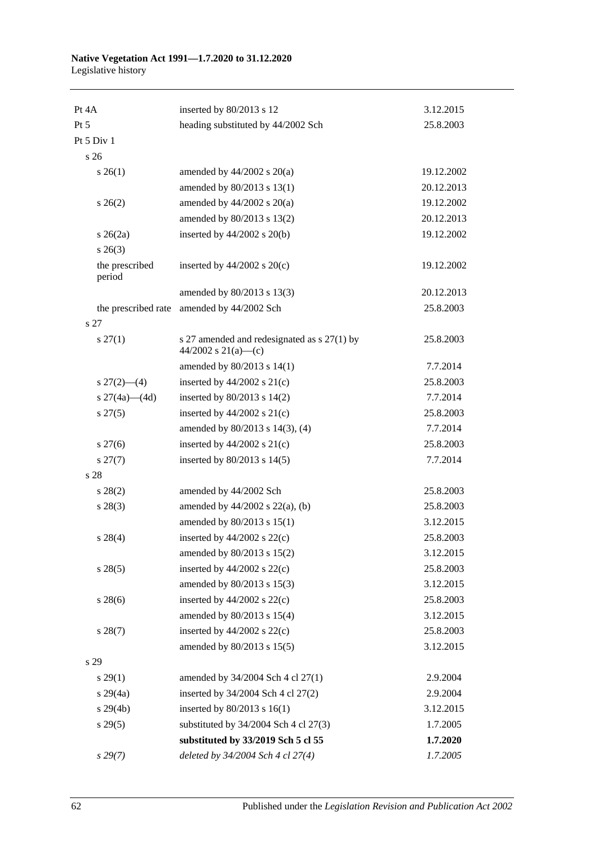#### **Native Vegetation Act 1991—1.7.2020 to 31.12.2020** Legislative history

| Pt 4A                     | inserted by 80/2013 s 12                                           | 3.12.2015  |
|---------------------------|--------------------------------------------------------------------|------------|
| Pt 5                      | heading substituted by 44/2002 Sch                                 | 25.8.2003  |
| Pt 5 Div 1                |                                                                    |            |
| s 26                      |                                                                    |            |
| $s \; 26(1)$              | amended by $44/2002$ s $20(a)$                                     | 19.12.2002 |
|                           | amended by 80/2013 s 13(1)                                         | 20.12.2013 |
| $s \; 26(2)$              | amended by $44/2002$ s $20(a)$                                     | 19.12.2002 |
|                           | amended by 80/2013 s 13(2)                                         | 20.12.2013 |
| $s \; 26(2a)$             | inserted by $44/2002$ s $20(b)$                                    | 19.12.2002 |
| $s \; 26(3)$              |                                                                    |            |
| the prescribed<br>period  | inserted by $44/2002$ s $20(c)$                                    | 19.12.2002 |
|                           | amended by 80/2013 s 13(3)                                         | 20.12.2013 |
| the prescribed rate       | amended by 44/2002 Sch                                             | 25.8.2003  |
| s 27                      |                                                                    |            |
| $s \, 27(1)$              | s 27 amended and redesignated as s 27(1) by<br>44/2002 s 21(a)—(c) | 25.8.2003  |
|                           | amended by 80/2013 s 14(1)                                         | 7.7.2014   |
| $s \frac{27(2) - (4)}{ }$ | inserted by $44/2002$ s $21(c)$                                    | 25.8.2003  |
| s $27(4a)$ (4d)           | inserted by $80/2013$ s $14(2)$                                    | 7.7.2014   |
| $s\,27(5)$                | inserted by $44/2002$ s $21(c)$                                    | 25.8.2003  |
|                           | amended by 80/2013 s 14(3), (4)                                    | 7.7.2014   |
| $s \, 27(6)$              | inserted by $44/2002$ s $21(c)$                                    | 25.8.2003  |
| $s\,27(7)$                | inserted by 80/2013 s 14(5)                                        | 7.7.2014   |
| s 28                      |                                                                    |            |
| s 28(2)                   | amended by 44/2002 Sch                                             | 25.8.2003  |
| $s\,28(3)$                | amended by $44/2002$ s $22(a)$ , (b)                               | 25.8.2003  |
|                           | amended by 80/2013 s 15(1)                                         | 3.12.2015  |
| $s\ 28(4)$                | inserted by $44/2002$ s $22(c)$                                    | 25.8.2003  |
|                           | amended by 80/2013 s 15(2)                                         | 3.12.2015  |
| $s\,28(5)$                | inserted by $44/2002$ s $22(c)$                                    | 25.8.2003  |
|                           | amended by 80/2013 s 15(3)                                         | 3.12.2015  |
| $s\,28(6)$                | inserted by $44/2002$ s $22(c)$                                    | 25.8.2003  |
|                           | amended by 80/2013 s 15(4)                                         | 3.12.2015  |
| $s\,28(7)$                | inserted by $44/2002$ s $22(c)$                                    | 25.8.2003  |
|                           | amended by 80/2013 s 15(5)                                         | 3.12.2015  |
| s 29                      |                                                                    |            |
| $s\,29(1)$                | amended by 34/2004 Sch 4 cl 27(1)                                  | 2.9.2004   |
| $s\,29(4a)$               | inserted by 34/2004 Sch 4 cl 27(2)                                 | 2.9.2004   |
| $s\,29(4b)$               | inserted by $80/2013$ s $16(1)$                                    | 3.12.2015  |
| $s\,29(5)$                | substituted by $34/2004$ Sch 4 cl $27(3)$                          | 1.7.2005   |
|                           | substituted by 33/2019 Sch 5 cl 55                                 | 1.7.2020   |
| s 29(7)                   | deleted by 34/2004 Sch 4 cl 27(4)                                  | 1.7.2005   |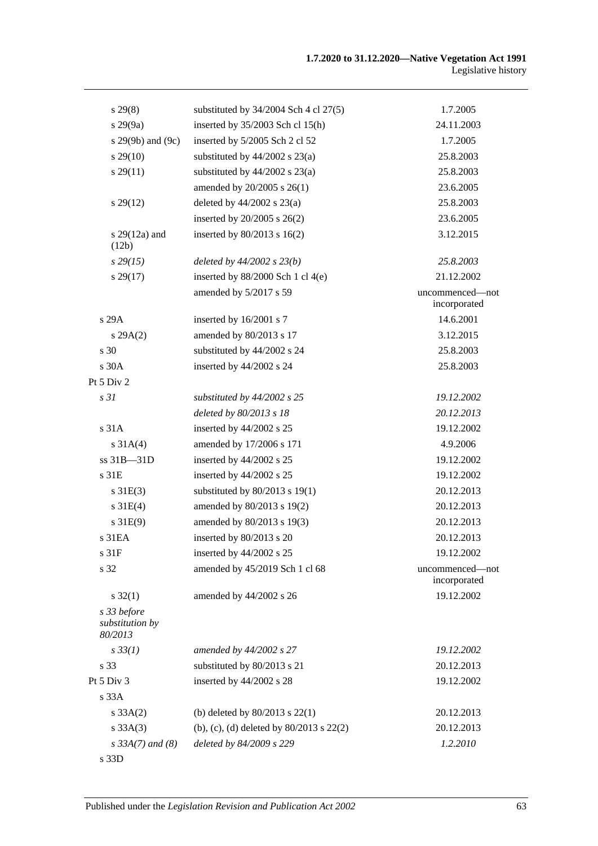| $s\,29(8)$                                | substituted by $34/2004$ Sch 4 cl $27(5)$    | 1.7.2005                        |
|-------------------------------------------|----------------------------------------------|---------------------------------|
| s 29(9a)                                  | inserted by $35/2003$ Sch cl 15(h)           | 24.11.2003                      |
| s 29(9b) and (9c)                         | inserted by 5/2005 Sch 2 cl 52               | 1.7.2005                        |
| $s\,29(10)$                               | substituted by $44/2002$ s $23(a)$           | 25.8.2003                       |
| $s\,29(11)$                               | substituted by $44/2002$ s $23(a)$           | 25.8.2003                       |
|                                           | amended by 20/2005 s 26(1)                   | 23.6.2005                       |
| $s\,29(12)$                               | deleted by $44/2002$ s $23(a)$               | 25.8.2003                       |
|                                           | inserted by 20/2005 s 26(2)                  | 23.6.2005                       |
| s $29(12a)$ and<br>(12b)                  | inserted by $80/2013$ s $16(2)$              | 3.12.2015                       |
| $s\,29(15)$                               | deleted by $44/2002$ s $23(b)$               | 25.8.2003                       |
| $s\,29(17)$                               | inserted by $88/2000$ Sch 1 cl 4(e)          | 21.12.2002                      |
|                                           | amended by 5/2017 s 59                       | uncommenced—not<br>incorporated |
| s 29A                                     | inserted by 16/2001 s 7                      | 14.6.2001                       |
| s 29A(2)                                  | amended by 80/2013 s 17                      | 3.12.2015                       |
| $\sqrt{s}$ 30                             | substituted by 44/2002 s 24                  | 25.8.2003                       |
| s 30A                                     | inserted by 44/2002 s 24                     | 25.8.2003                       |
| Pt 5 Div 2                                |                                              |                                 |
| s <sub>31</sub>                           | substituted by 44/2002 s 25                  | 19.12.2002                      |
|                                           | deleted by 80/2013 s 18                      | 20.12.2013                      |
| s 31A                                     | inserted by 44/2002 s 25                     | 19.12.2002                      |
| $s \, 31A(4)$                             | amended by 17/2006 s 171                     | 4.9.2006                        |
| ss 31B-31D                                | inserted by 44/2002 s 25                     | 19.12.2002                      |
| s 31E                                     | inserted by 44/2002 s 25                     | 19.12.2002                      |
| $s \, 31E(3)$                             | substituted by $80/2013$ s 19(1)             | 20.12.2013                      |
| $s \, 31E(4)$                             | amended by 80/2013 s 19(2)                   | 20.12.2013                      |
| $s \, 31E(9)$                             | amended by 80/2013 s 19(3)                   | 20.12.2013                      |
| s 31EA                                    | inserted by 80/2013 s 20                     | 20.12.2013                      |
| s 31F                                     | inserted by 44/2002 s 25                     | 19.12.2002                      |
| s 32                                      | amended by 45/2019 Sch 1 cl 68               | uncommenced-not<br>incorporated |
| $s \, 32(1)$                              | amended by 44/2002 s 26                      | 19.12.2002                      |
| s 33 before<br>substitution by<br>80/2013 |                                              |                                 |
| $s \, 33(1)$                              | amended by 44/2002 s 27                      | 19.12.2002                      |
| s 33                                      | substituted by 80/2013 s 21                  | 20.12.2013                      |
| Pt 5 Div 3                                | inserted by 44/2002 s 28                     | 19.12.2002                      |
| s 33A                                     |                                              |                                 |
| $s \, 33A(2)$                             | (b) deleted by $80/2013$ s $22(1)$           | 20.12.2013                      |
| s 33A(3)                                  | (b), (c), (d) deleted by $80/2013$ s $22(2)$ | 20.12.2013                      |
| $s \, 33A(7)$ and (8)                     | deleted by 84/2009 s 229                     | 1.2.2010                        |
| s 33D                                     |                                              |                                 |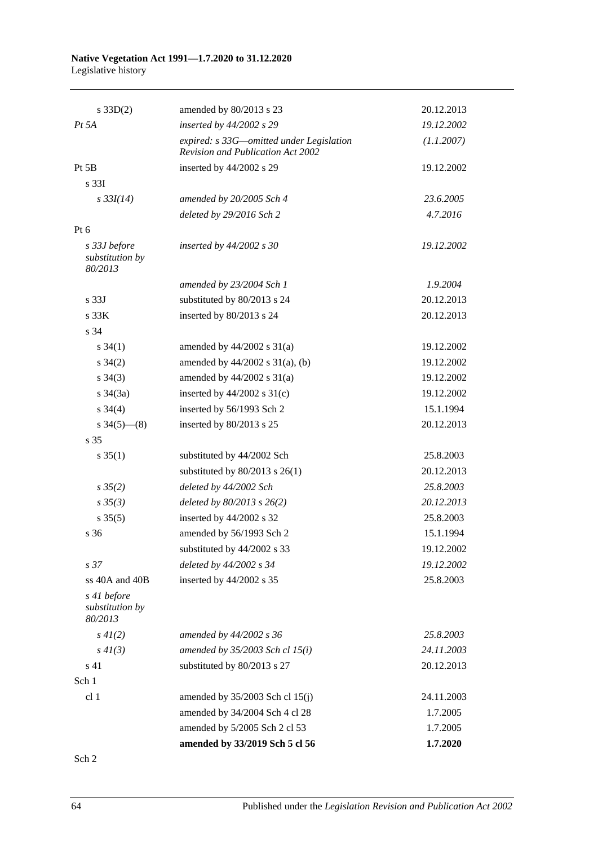#### **Native Vegetation Act 1991—1.7.2020 to 31.12.2020** Legislative history

| $s \, 33D(2)$                              | amended by 80/2013 s 23                                                       | 20.12.2013 |
|--------------------------------------------|-------------------------------------------------------------------------------|------------|
| $Pt\,5A$                                   | inserted by 44/2002 s 29                                                      | 19.12.2002 |
|                                            | expired: s 33G—omitted under Legislation<br>Revision and Publication Act 2002 | (1.1.2007) |
| Pt 5B                                      | inserted by 44/2002 s 29                                                      | 19.12.2002 |
| s 33I                                      |                                                                               |            |
| $s \frac{33I(14)}{2}$                      | amended by 20/2005 Sch 4                                                      | 23.6.2005  |
|                                            | deleted by 29/2016 Sch 2                                                      | 4.7.2016   |
| Pt 6                                       |                                                                               |            |
| s 33J before<br>substitution by<br>80/2013 | inserted by $44/2002$ s 30                                                    | 19.12.2002 |
|                                            | amended by 23/2004 Sch 1                                                      | 1.9.2004   |
| s <sub>33J</sub>                           | substituted by 80/2013 s 24                                                   | 20.12.2013 |
| s <sub>33K</sub>                           | inserted by 80/2013 s 24                                                      | 20.12.2013 |
| s 34                                       |                                                                               |            |
| $s \; 34(1)$                               | amended by $44/2002$ s $31(a)$                                                | 19.12.2002 |
| $s \; 34(2)$                               | amended by $44/2002$ s $31(a)$ , (b)                                          | 19.12.2002 |
| $s \; 34(3)$                               | amended by $44/2002$ s $31(a)$                                                | 19.12.2002 |
| $s \frac{34}{3a}$                          | inserted by $44/2002$ s $31(c)$                                               | 19.12.2002 |
| $s \; 34(4)$                               | inserted by 56/1993 Sch 2                                                     | 15.1.1994  |
| $s \frac{34(5)-(8)}{2}$                    | inserted by 80/2013 s 25                                                      | 20.12.2013 |
| s 35                                       |                                                                               |            |
| $s \; 35(1)$                               | substituted by 44/2002 Sch                                                    | 25.8.2003  |
|                                            | substituted by $80/2013$ s $26(1)$                                            | 20.12.2013 |
| $s \, 35(2)$                               | deleted by 44/2002 Sch                                                        | 25.8.2003  |
| $s \, 35(3)$                               | deleted by $80/2013$ s $26(2)$                                                | 20.12.2013 |
| $s \, 35(5)$                               | inserted by 44/2002 s 32                                                      | 25.8.2003  |
| s 36                                       | amended by 56/1993 Sch 2                                                      | 15.1.1994  |
|                                            | substituted by 44/2002 s 33                                                   | 19.12.2002 |
| s <sub>37</sub>                            | deleted by 44/2002 s 34                                                       | 19.12.2002 |
| ss 40A and 40B                             | inserted by 44/2002 s 35                                                      | 25.8.2003  |
| s 41 before<br>substitution by<br>80/2013  |                                                                               |            |
| $s\,4I(2)$                                 | amended by 44/2002 s 36                                                       | 25.8.2003  |
| $s\,4I(3)$                                 | amended by $35/2003$ Sch cl $15(i)$                                           | 24.11.2003 |
| s 41                                       | substituted by 80/2013 s 27                                                   | 20.12.2013 |
| Sch 1                                      |                                                                               |            |
| cl <sub>1</sub>                            | amended by $35/2003$ Sch cl $15(j)$                                           | 24.11.2003 |
|                                            | amended by 34/2004 Sch 4 cl 28                                                | 1.7.2005   |
|                                            | amended by 5/2005 Sch 2 cl 53                                                 | 1.7.2005   |
|                                            | amended by 33/2019 Sch 5 cl 56                                                | 1.7.2020   |